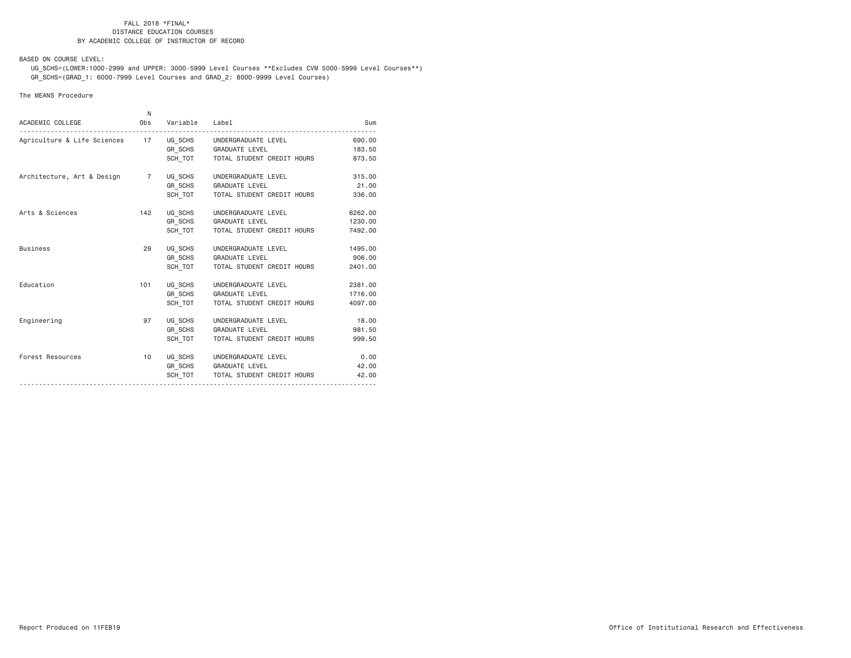BASED ON COURSE LEVEL:

 UG\_SCHS=(LOWER:1000-2999 and UPPER: 3000-5999 Level Courses \*\*Excludes CVM 5000-5999 Level Courses\*\*) GR\_SCHS=(GRAD\_1: 6000-7999 Level Courses and GRAD\_2: 8000-9999 Level Courses)

## The MEANS Procedure

| ACADEMIC COLLEGE                                           | N.  | Obs Variable Label |                                                                                               | Sum                           |
|------------------------------------------------------------|-----|--------------------|-----------------------------------------------------------------------------------------------|-------------------------------|
| Agriculture & Life Sciences 17 UG_SCHS UNDERGRADUATE LEVEL |     |                    | GR SCHS GRADUATE LEVEL<br>SCH_TOT TOTAL STUDENT CREDIT HOURS                                  | 690,00<br>183.50<br>873.50    |
| Architecture, Art & Design 7 UG SCHS                       |     | SCH TOT            | UNDERGRADUATE LEVEL<br>GR SCHS GRADUATE LEVEL<br>TOTAL STUDENT CREDIT HOURS                   | 315,00<br>21,00<br>336.00     |
| Arts & Sciences                                            | 142 | UG SCHS            | UNDERGRADUATE LEVEL<br>GR_SCHS GRADUATE LEVEL<br>SCH TOT   TOTAL STUDENT CREDIT HOURS         | 6262.00<br>1230.00<br>7492.00 |
| <b>Business</b>                                            | 29  | UG SCHS<br>SCH TOT | UNDERGRADUATE LEVEL<br>GR_SCHS GRADUATE LEVEL<br>TOTAL STUDENT CREDIT HOURS                   | 1495.00<br>906.00<br>2401.00  |
| Education                                                  | 101 | UG SCHS<br>SCH TOT | UNDERGRADUATE LEVEL<br>GR SCHS GRADUATE LEVEL<br>TOTAL STUDENT CREDIT HOURS                   | 2381,00<br>1716.00<br>4097.00 |
| Engineering                                                | 97  | SCH TOT            | UG SCHS UNDERGRADUATE LEVEL<br>GR SCHS GRADUATE LEVEL<br>TOTAL STUDENT CREDIT HOURS           | 18.00<br>981,50<br>999.50     |
| Forest Resources                                           | 10  |                    | UG SCHS UNDERGRADUATE LEVEL<br>GR SCHS GRADUATE LEVEL<br>SCH TOT   TOTAL STUDENT CREDIT HOURS | 0.00<br>42,00<br>42.00        |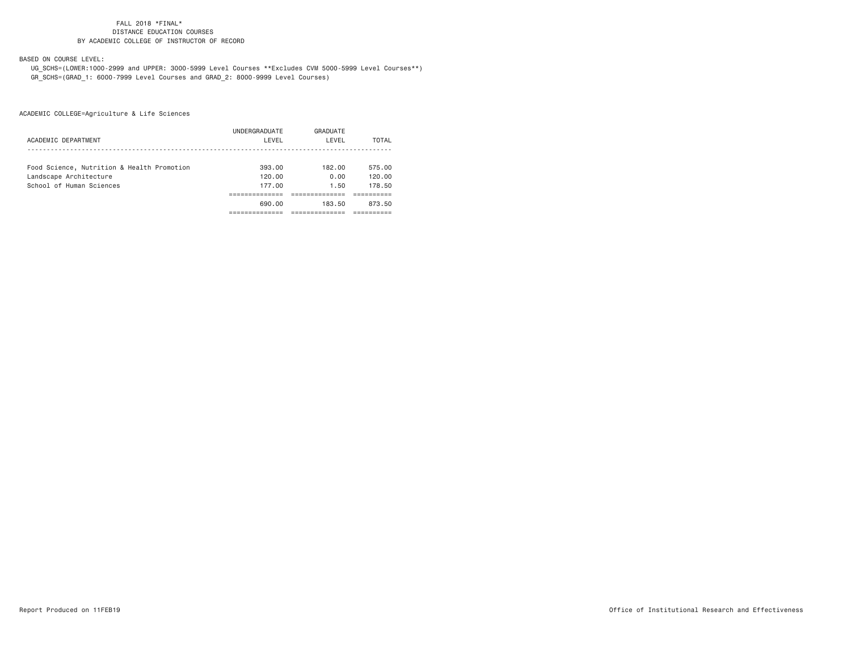BASED ON COURSE LEVEL:

 UG\_SCHS=(LOWER:1000-2999 and UPPER: 3000-5999 Level Courses \*\*Excludes CVM 5000-5999 Level Courses\*\*) GR\_SCHS=(GRAD\_1: 6000-7999 Level Courses and GRAD\_2: 8000-9999 Level Courses)

|                                            | UNDERGRADUATE | GRADUATE |        |
|--------------------------------------------|---------------|----------|--------|
| ACADEMIC DEPARTMENT                        | LEVEL         | LEVEL    | TOTAL  |
|                                            |               |          |        |
| Food Science, Nutrition & Health Promotion | 393.00        | 182.00   | 575.00 |
| Landscape Architecture                     | 120.00        | 0.00     | 120.00 |
| School of Human Sciences                   | 177.00        | 1.50     | 178.50 |
|                                            |               |          |        |
|                                            | 690.00        | 183.50   | 873.50 |
|                                            |               |          |        |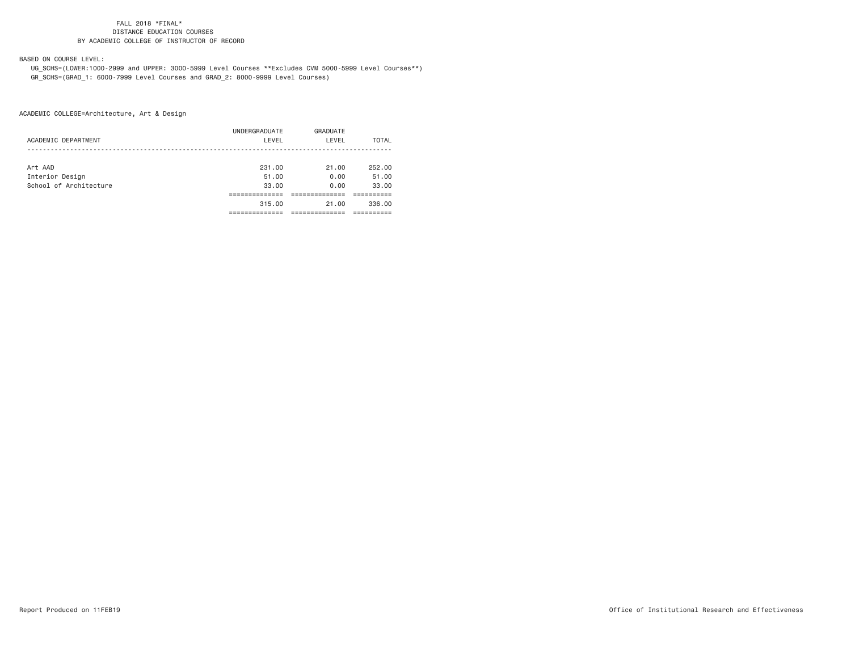# BASED ON COURSE LEVEL:

 UG\_SCHS=(LOWER:1000-2999 and UPPER: 3000-5999 Level Courses \*\*Excludes CVM 5000-5999 Level Courses\*\*) GR\_SCHS=(GRAD\_1: 6000-7999 Level Courses and GRAD\_2: 8000-9999 Level Courses)

|                        | UNDERGRADUATE | GRADUATE |        |
|------------------------|---------------|----------|--------|
| ACADEMIC DEPARTMENT    | LEVEL         | LEVEL    | TOTAL  |
|                        |               |          |        |
| Art AAD                | 231.00        | 21.00    | 252.00 |
| Interior Design        | 51.00         | 0.00     | 51.00  |
| School of Architecture | 33.00         | 0.00     | 33.00  |
|                        |               |          |        |
|                        | 315.00        | 21.00    | 336.00 |
|                        |               |          |        |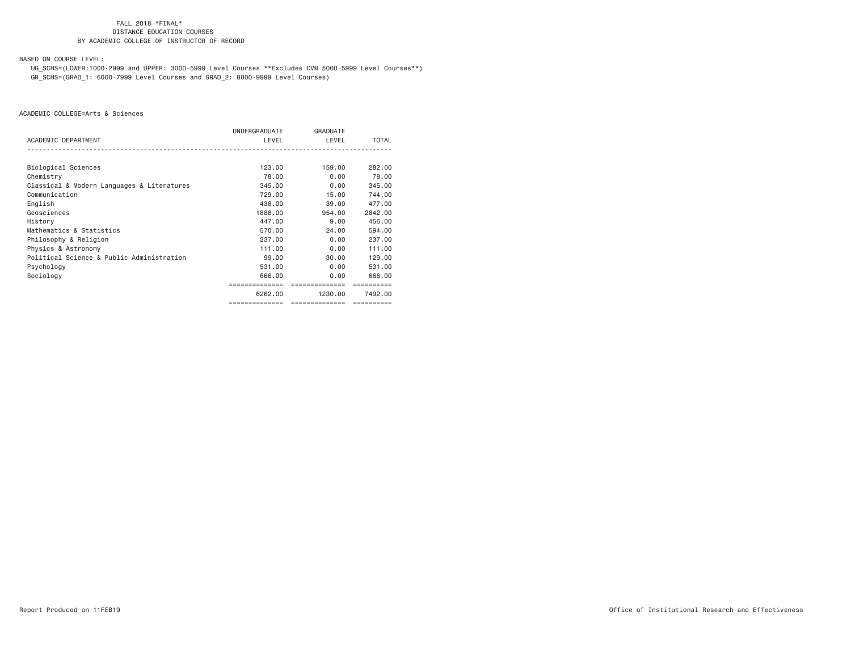BASED ON COURSE LEVEL:

 UG\_SCHS=(LOWER:1000-2999 and UPPER: 3000-5999 Level Courses \*\*Excludes CVM 5000-5999 Level Courses\*\*) GR\_SCHS=(GRAD\_1: 6000-7999 Level Courses and GRAD\_2: 8000-9999 Level Courses)

|                                            | UNDERGRADUATE  | GRADUATE      |              |
|--------------------------------------------|----------------|---------------|--------------|
| ACADEMIC DEPARTMENT                        | LEVEL          | LEVEL         | <b>TOTAL</b> |
|                                            |                |               |              |
| Biological Sciences                        | 123.00         | 159.00        | 282.00       |
| Chemistry                                  | 78,00          | 0.00          | 78.00        |
| Classical & Modern Languages & Literatures | 345,00         | 0.00          | 345,00       |
| Communication                              | 729,00         | 15,00         | 744.00       |
| English                                    | 438,00         | 39,00         | 477.00       |
| Geosciences                                | 1888,00        | 954,00        | 2842.00      |
| History                                    | 447.00         | 9.00          | 456,00       |
| Mathematics & Statistics                   | 570.00         | 24,00         | 594.00       |
| Philosophy & Religion                      | 237.00         | 0.00          | 237,00       |
| Physics & Astronomy                        | 111.00         | 0.00          | 111.00       |
| Political Science & Public Administration  | 99.00          | 30.00         | 129.00       |
| Psychology                                 | 531,00         | 0.00          | 531,00       |
| Sociology                                  | 666.00         | 0.00          | 666.00       |
|                                            |                |               |              |
|                                            | 6262.00        | 1230.00       | 7492.00      |
|                                            | ============== | ------------- |              |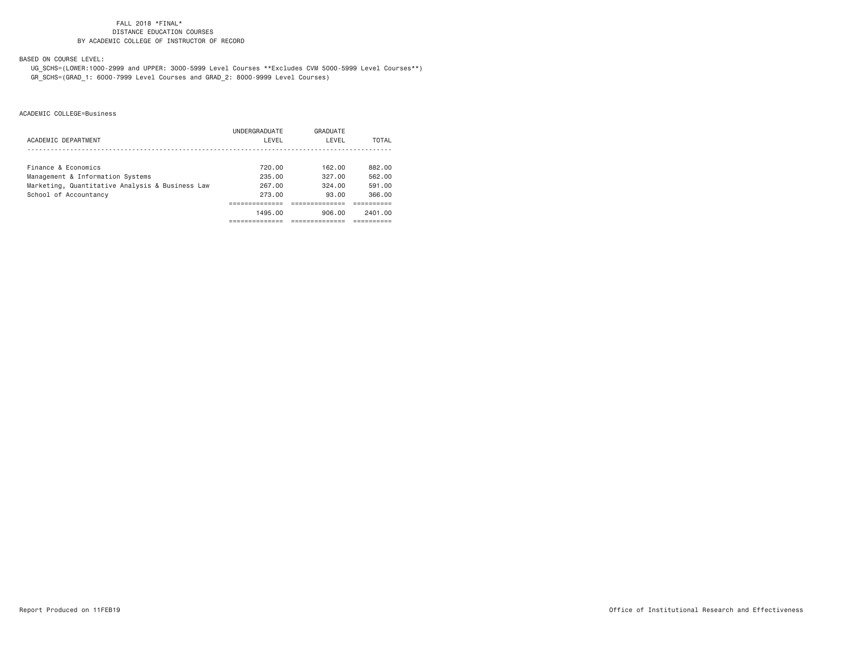BASED ON COURSE LEVEL:

 UG\_SCHS=(LOWER:1000-2999 and UPPER: 3000-5999 Level Courses \*\*Excludes CVM 5000-5999 Level Courses\*\*) GR\_SCHS=(GRAD\_1: 6000-7999 Level Courses and GRAD\_2: 8000-9999 Level Courses)

|                                                 | UNDERGRADUATE | GRADUATE |         |
|-------------------------------------------------|---------------|----------|---------|
| ACADEMIC DEPARTMENT                             | LEVEL         | LEVEL    | TOTAL   |
|                                                 |               |          |         |
| Finance & Economics                             | 720.00        | 162.00   | 882.00  |
| Management & Information Systems                | 235.00        | 327.00   | 562.00  |
| Marketing, Quantitative Analysis & Business Law | 267.00        | 324.00   | 591.00  |
| School of Accountancy                           | 273.00        | 93.00    | 366.00  |
|                                                 |               |          |         |
|                                                 | 1495.00       | 906.00   | 2401.00 |
|                                                 |               |          |         |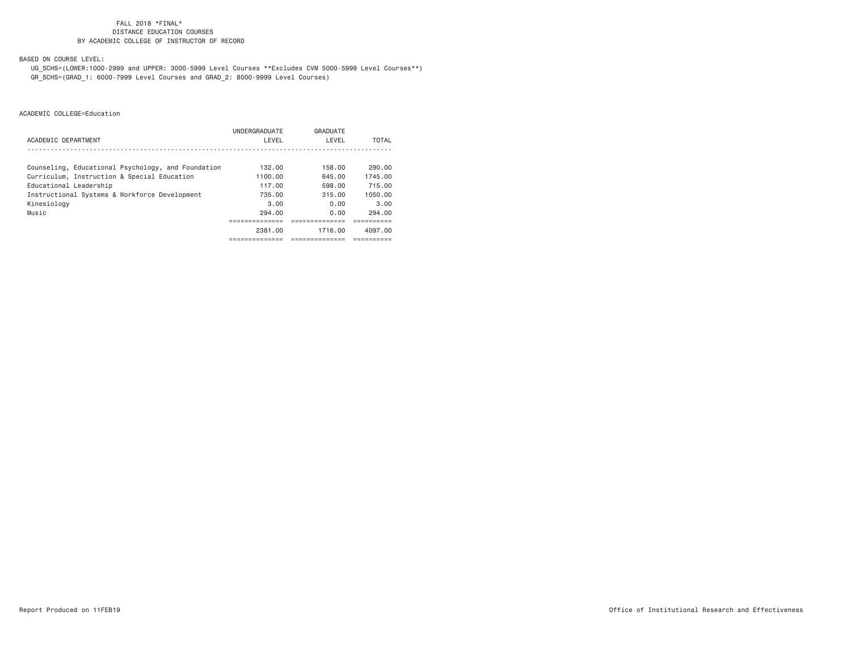# BASED ON COURSE LEVEL:

 UG\_SCHS=(LOWER:1000-2999 and UPPER: 3000-5999 Level Courses \*\*Excludes CVM 5000-5999 Level Courses\*\*) GR\_SCHS=(GRAD\_1: 6000-7999 Level Courses and GRAD\_2: 8000-9999 Level Courses)

|                                                    | UNDERGRADUATE | GRADUATE    |         |
|----------------------------------------------------|---------------|-------------|---------|
| ACADEMIC DEPARTMENT                                | LEVEL         | LEVEL       | TOTAL   |
|                                                    |               |             |         |
| Counseling, Educational Psychology, and Foundation | 132.00        | 158.00      | 290.00  |
| Curriculum, Instruction & Special Education        | 1100.00       | 645.00      | 1745.00 |
| Educational Leadership                             | 117.00        | 598.00      | 715.00  |
| Instructional Systems & Workforce Development      | 735.00        | 315.00      | 1050.00 |
| Kinesiology                                        | 3.00          | 0.00        | 3.00    |
| Music                                              | 294.00        | 0.00        | 294.00  |
|                                                    |               |             |         |
|                                                    | 2381.00       | 1716.00     | 4097.00 |
|                                                    | -----------   | ----------- |         |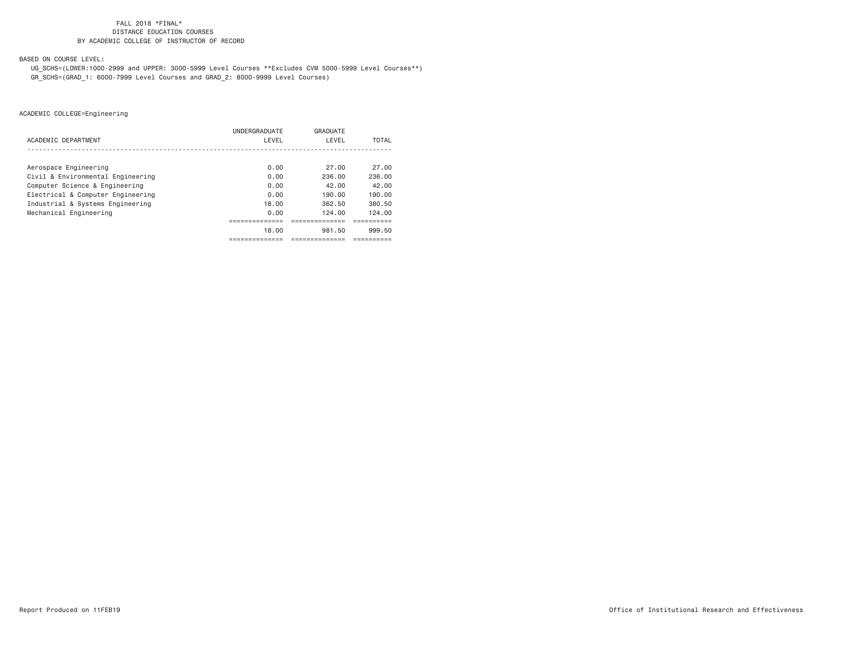BASED ON COURSE LEVEL:

 UG\_SCHS=(LOWER:1000-2999 and UPPER: 3000-5999 Level Courses \*\*Excludes CVM 5000-5999 Level Courses\*\*) GR\_SCHS=(GRAD\_1: 6000-7999 Level Courses and GRAD\_2: 8000-9999 Level Courses)

|                                   | UNDERGRADUATE | GRADUATE |        |
|-----------------------------------|---------------|----------|--------|
| ACADEMIC DEPARTMENT               | LEVEL         | LEVEL    | TOTAL  |
|                                   |               |          |        |
| Aerospace Engineering             | 0.00          | 27.00    | 27.00  |
| Civil & Environmental Engineering | 0.00          | 236.00   | 236.00 |
| Computer Science & Engineering    | 0.00          | 42.00    | 42.00  |
| Electrical & Computer Engineering | 0.00          | 190.00   | 190.00 |
| Industrial & Systems Engineering  | 18.00         | 362.50   | 380.50 |
| Mechanical Engineering            | 0.00          | 124,00   | 124.00 |
|                                   |               |          |        |
|                                   | 18.00         | 981.50   | 999.50 |
|                                   |               |          |        |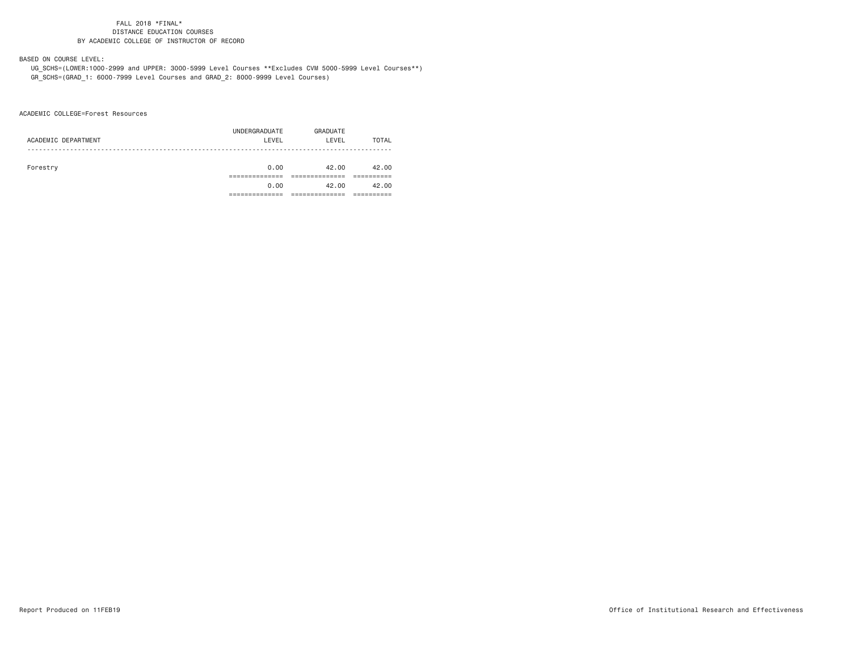# BASED ON COURSE LEVEL:

 UG\_SCHS=(LOWER:1000-2999 and UPPER: 3000-5999 Level Courses \*\*Excludes CVM 5000-5999 Level Courses\*\*) GR\_SCHS=(GRAD\_1: 6000-7999 Level Courses and GRAD\_2: 8000-9999 Level Courses)

ACADEMIC COLLEGE=Forest Resources

| ACADEMIC DEPARTMENT | UNDERGRADUATE<br>LEVEL | GRADUATE<br>LEVEL | TOTAL |
|---------------------|------------------------|-------------------|-------|
| Forestry            | 0.00                   | 42.00             | 42.00 |
|                     |                        |                   |       |
|                     | 0.00                   | 42.00             | 42.00 |
|                     |                        |                   |       |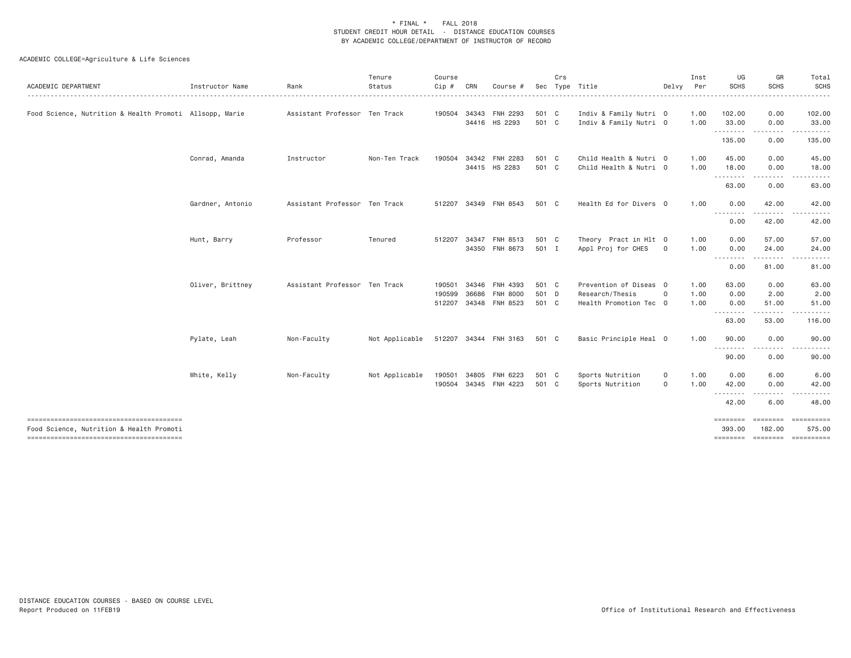| Instructor Name                                         | Rank<br>.    | Tenure<br>Status<br>. | Course<br>$Cip$ #                                                                                                 | CRN   | Course #                                                               | Sec                                                                                                                                                                                                              | Crs |                                                                                                                   |                                                   | Inst<br>Per                                                                                                                                                                                                                                               | UG<br>SCHS            | GR<br><b>SCHS</b>              | Total<br>SCHS<br>$- - - - -$                            |
|---------------------------------------------------------|--------------|-----------------------|-------------------------------------------------------------------------------------------------------------------|-------|------------------------------------------------------------------------|------------------------------------------------------------------------------------------------------------------------------------------------------------------------------------------------------------------|-----|-------------------------------------------------------------------------------------------------------------------|---------------------------------------------------|-----------------------------------------------------------------------------------------------------------------------------------------------------------------------------------------------------------------------------------------------------------|-----------------------|--------------------------------|---------------------------------------------------------|
| Food Science, Nutrition & Health Promoti Allsopp, Marie |              |                       | 190504                                                                                                            |       |                                                                        |                                                                                                                                                                                                                  |     |                                                                                                                   |                                                   | 1.00<br>1.00                                                                                                                                                                                                                                              | 102.00<br>33.00       | 0.00<br>0.00                   | 102.00<br>33.00                                         |
|                                                         |              |                       |                                                                                                                   |       |                                                                        |                                                                                                                                                                                                                  |     |                                                                                                                   |                                                   |                                                                                                                                                                                                                                                           | .<br>135.00           | $- - - - -$<br>0.00            | 135.00                                                  |
| Conrad, Amanda                                          | Instructor   | Non-Ten Track         | 190504                                                                                                            |       |                                                                        |                                                                                                                                                                                                                  |     |                                                                                                                   |                                                   | 1.00<br>1.00                                                                                                                                                                                                                                              | 45.00<br>18.00        | 0.00<br>0.00                   | 45.00<br>18.00                                          |
|                                                         |              |                       |                                                                                                                   |       |                                                                        |                                                                                                                                                                                                                  |     |                                                                                                                   |                                                   |                                                                                                                                                                                                                                                           | .<br>63.00            | 0.00                           | 63.00                                                   |
| Gardner, Antonio                                        |              |                       |                                                                                                                   |       |                                                                        |                                                                                                                                                                                                                  |     |                                                                                                                   |                                                   | 1.00                                                                                                                                                                                                                                                      | 0.00                  | 42.00                          | 42.00                                                   |
|                                                         |              |                       |                                                                                                                   |       |                                                                        |                                                                                                                                                                                                                  |     |                                                                                                                   |                                                   |                                                                                                                                                                                                                                                           | 0.00                  | 42.00                          | 42.00                                                   |
| Hunt, Barry                                             | Professor    | Tenured               |                                                                                                                   |       | FNH 8513                                                               |                                                                                                                                                                                                                  |     | Appl Proj for CHES                                                                                                | $\mathbf 0$                                       | 1.00<br>1.00                                                                                                                                                                                                                                              | 0.00<br>0.00          | 57.00<br>24.00                 | 57.00<br>24.00                                          |
|                                                         |              |                       |                                                                                                                   |       |                                                                        |                                                                                                                                                                                                                  |     |                                                                                                                   |                                                   |                                                                                                                                                                                                                                                           | .<br>0.00             | <u>.</u><br>81.00              | 81.00                                                   |
| Oliver, Brittney                                        |              |                       |                                                                                                                   | 34346 | FNH 4393                                                               |                                                                                                                                                                                                                  |     |                                                                                                                   |                                                   | 1.00                                                                                                                                                                                                                                                      | 63.00                 | 0.00                           | 63.00<br>2.00                                           |
|                                                         |              |                       |                                                                                                                   |       |                                                                        |                                                                                                                                                                                                                  |     |                                                                                                                   |                                                   | 1.00                                                                                                                                                                                                                                                      | 0.00<br>.             | 51.00<br>------                | 51.00                                                   |
|                                                         |              |                       |                                                                                                                   |       |                                                                        |                                                                                                                                                                                                                  |     |                                                                                                                   |                                                   |                                                                                                                                                                                                                                                           | 63.00                 | 53.00                          | 116.00                                                  |
| Pylate, Leah                                            | Non-Faculty  | Not Applicable        |                                                                                                                   |       |                                                                        |                                                                                                                                                                                                                  |     |                                                                                                                   |                                                   | 1.00                                                                                                                                                                                                                                                      | 90.00<br>.            | 0.00                           | 90.00                                                   |
|                                                         |              |                       |                                                                                                                   |       |                                                                        |                                                                                                                                                                                                                  |     |                                                                                                                   |                                                   |                                                                                                                                                                                                                                                           | 90.00                 | 0.00                           | 90.00                                                   |
|                                                         |              |                       |                                                                                                                   |       |                                                                        |                                                                                                                                                                                                                  |     | Sports Nutrition                                                                                                  | $\mathsf{O}$                                      | 1.00                                                                                                                                                                                                                                                      | 42.00                 | 0.00                           | 6.00<br>42.00                                           |
|                                                         |              |                       |                                                                                                                   |       |                                                                        |                                                                                                                                                                                                                  |     |                                                                                                                   |                                                   |                                                                                                                                                                                                                                                           | 42.00                 | 6.00                           | 48.00                                                   |
|                                                         |              |                       |                                                                                                                   |       |                                                                        |                                                                                                                                                                                                                  |     |                                                                                                                   |                                                   |                                                                                                                                                                                                                                                           | ========<br>393.00    | ========<br>182.00             | ==========<br>575.00                                    |
|                                                         | White, Kelly | Non-Faculty           | Assistant Professor Ten Track<br>Assistant Professor Ten Track<br>Assistant Professor Ten Track<br>Not Applicable |       | 512207<br>512207 34347<br>190501<br>190599<br>36686<br>190501<br>34805 | 34343 FNH 2293<br>34416 HS 2293<br>34342 FNH 2283<br>34415 HS 2283<br>34349 FNH 8543<br>34350 FNH 8673<br><b>FNH 8000</b><br>512207 34348 FNH 8523<br>512207 34344 FNH 3163<br>FNH 6223<br>190504 34345 FNH 4223 |     | 501 C<br>501 C<br>501 C<br>501 C<br>501 C<br>501 C<br>501 I<br>501 C<br>501 D<br>501 C<br>501 C<br>501 C<br>501 C | Type Title<br>Research/Thesis<br>Sports Nutrition | Indiv & Family Nutri 0<br>Indiv & Family Nutri 0<br>Child Health & Nutri 0<br>Child Health & Nutri 0<br>Health Ed for Divers 0<br>Theory Pract in Hlt 0<br>Prevention of Diseas 0<br>$\mathbf 0$<br>Health Promotion Tec 0<br>Basic Principle Heal 0<br>0 | Delvy<br>1.00<br>1.00 | ---------<br>0.00<br>0.00<br>. | -----<br>2.00<br>6.00<br>========= ========= ========== |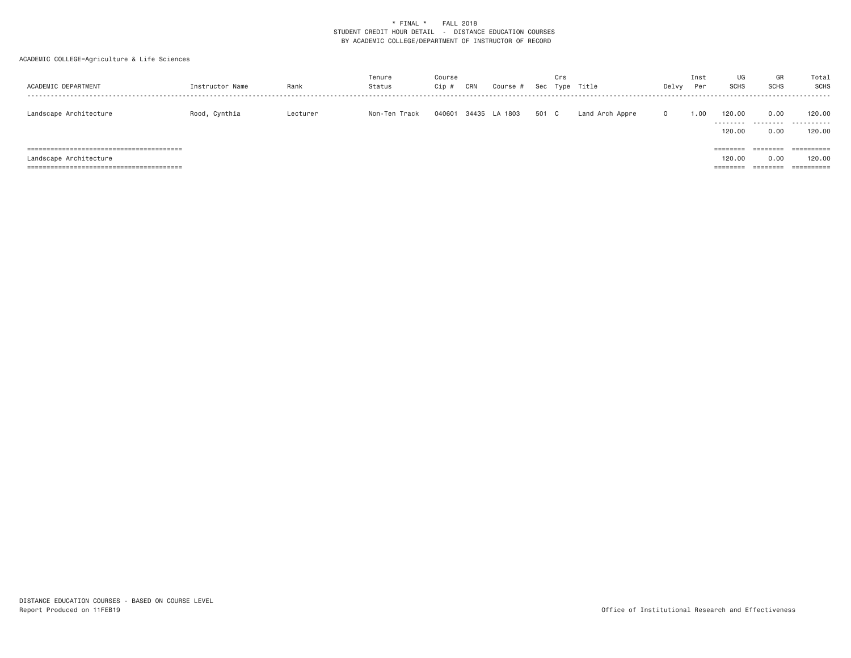| ACADEMIC DEPARTMENT    | Instructor Name | Rank     | Tenure<br>Status | Course<br>Cip | CRN | Course #             |       | Crs | Sec Type Title  | Delvy    | Inst<br>Per | UG<br><b>SCHS</b>              | GR<br><b>SCHS</b>            | Total<br><b>SCHS</b>                          |
|------------------------|-----------------|----------|------------------|---------------|-----|----------------------|-------|-----|-----------------|----------|-------------|--------------------------------|------------------------------|-----------------------------------------------|
| Landscape Architecture | Rood, Cynthia   | Lecturer | Non-Ten Track    |               |     | 040601 34435 LA 1803 | 501 C |     | Land Arch Appre | $\Omega$ | 1.00        | 120.00<br>.<br>120.00          | 0.00<br>.<br>0.00            | 120,00<br>.<br>120.00                         |
| Landscape Architecture |                 |          |                  |               |     |                      |       |     |                 |          |             | ========<br>120,00<br>======== | ========<br>0.00<br>======== | $=$ = = = = = = = = =<br>120,00<br>========== |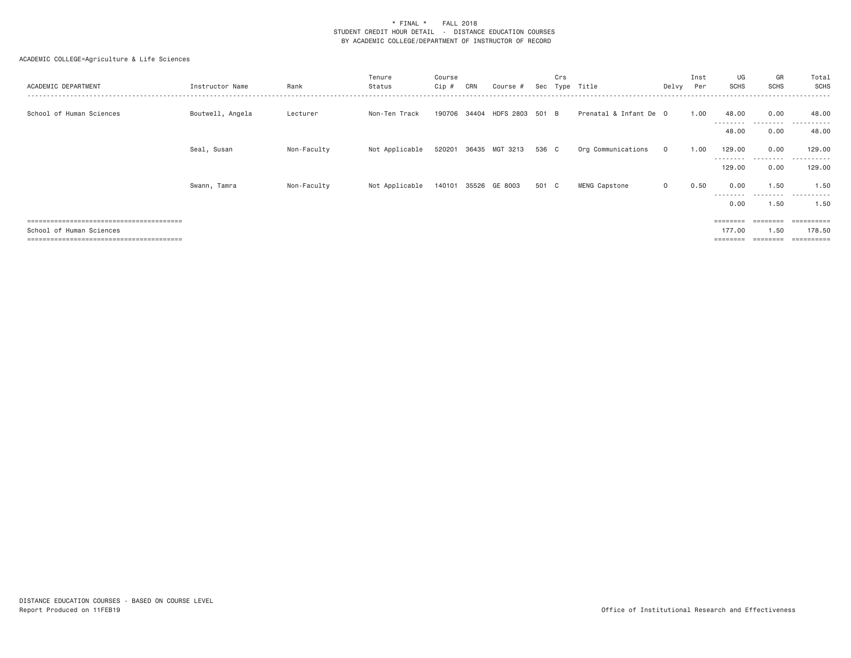| ACADEMIC DEPARTMENT       | Instructor Name  | Rank        | Tenure<br>Status | Course<br>$Cip \#$ | CRN | Course #                     | Sec   | Crs<br>Tvpe | Title                  | Delvy        | Inst<br>Per | UG<br><b>SCHS</b>   | GR<br><b>SCHS</b> | Total<br>SCHS        |
|---------------------------|------------------|-------------|------------------|--------------------|-----|------------------------------|-------|-------------|------------------------|--------------|-------------|---------------------|-------------------|----------------------|
| School of Human Sciences  | Boutwell, Angela | Lecturer    | Non-Ten Track    |                    |     | 190706 34404 HDFS 2803 501 B |       |             | Prenatal & Infant De 0 |              | 1.00        | 48.00<br>---------  | 0.00<br>.         | 48,00<br>.           |
|                           |                  |             |                  |                    |     |                              |       |             |                        |              |             | 48.00               | 0.00              | 48.00                |
|                           | Seal, Susan      | Non-Faculty | Not Applicable   |                    |     | 520201 36435 MGT 3213        | 536 C |             | Org Communications     | $\mathbf{O}$ | 1.00        | 129.00              | 0.00              | 129,00               |
|                           |                  |             |                  |                    |     |                              |       |             |                        |              |             | ---------<br>129.00 | .<br>0.00         | ----------<br>129,00 |
|                           | Swann, Tamra     | Non-Faculty | Not Applicable   | 140101             |     | 35526 GE 8003                | 501 C |             | MENG Capstone          | $\circ$      | 0.50        | 0.00                | 1.50              | 1.50                 |
|                           |                  |             |                  |                    |     |                              |       |             |                        |              |             | ---------<br>0.00   | .<br>1.50         | .<br>1.50            |
|                           |                  |             |                  |                    |     |                              |       |             |                        |              |             | ========            | ========          | =========            |
| School of Human Sciences  |                  |             |                  |                    |     |                              |       |             |                        |              |             | 177.00              | 1.50              | 178.50               |
| ;======================== |                  |             |                  |                    |     |                              |       |             |                        |              |             | ========            |                   | ==========           |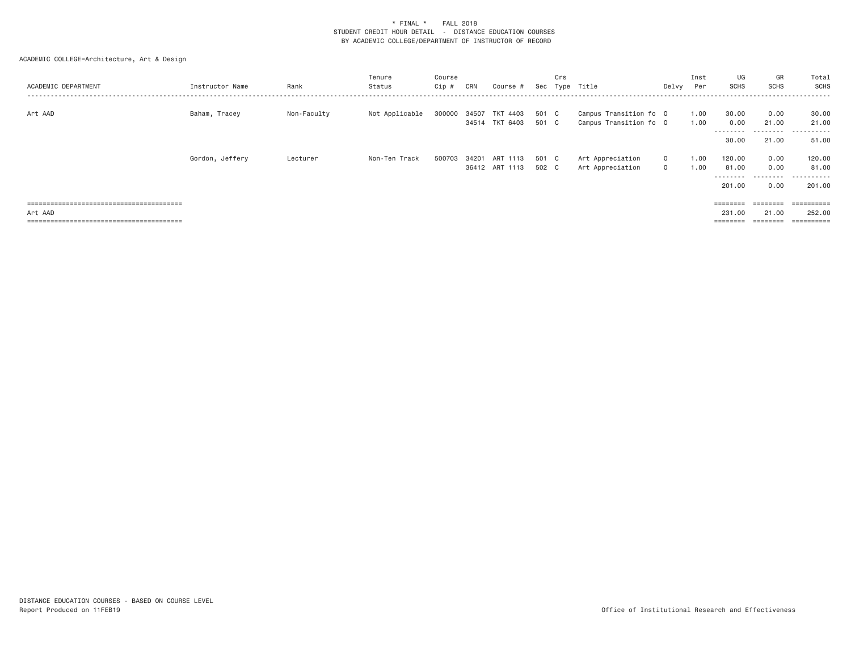| ACADEMIC DEPARTMENT | Instructor Name | Rank        | Tenure<br>Status | Course<br>Cip # | CRN | Course #                                |                | Crs | Sec Type Title                                   | Delvy Per                    | Inst         | UG<br>SCHS                             | GR<br><b>SCHS</b>                 | Total<br>SCHS                           |
|---------------------|-----------------|-------------|------------------|-----------------|-----|-----------------------------------------|----------------|-----|--------------------------------------------------|------------------------------|--------------|----------------------------------------|-----------------------------------|-----------------------------------------|
| Art AAD             | Baham, Tracey   | Non-Faculty | Not Applicable   |                 |     | 300000 34507 TKT 4403<br>34514 TKT 6403 | 501 C<br>501 C |     | Campus Transition fo 0<br>Campus Transition fo 0 |                              | 1.00<br>1.00 | 30.00<br>0.00                          | 0.00<br>21.00                     | 30.00<br>21.00<br>.                     |
|                     |                 |             |                  |                 |     |                                         |                |     |                                                  |                              |              | 30.00                                  | 21.00                             | 51.00                                   |
|                     | Gordon, Jeffery | Lecturer    | Non-Ten Track    | 500703          |     | 34201 ART 1113<br>36412 ART 1113        | 501 C<br>502 C |     | Art Appreciation<br>Art Appreciation             | $\mathbf{0}$<br>$\mathbf{0}$ | 1.00<br>1.00 | 120.00<br>81.00<br>---------<br>201,00 | 0.00<br>0.00<br>---------<br>0.00 | 120.00<br>81.00<br>----------<br>201,00 |
| Art AAD             |                 |             |                  |                 |     |                                         |                |     |                                                  |                              |              | ========<br>231,00<br>========         | ========<br>21.00<br>========     | $=$ = = = = = = = = =<br>252,00         |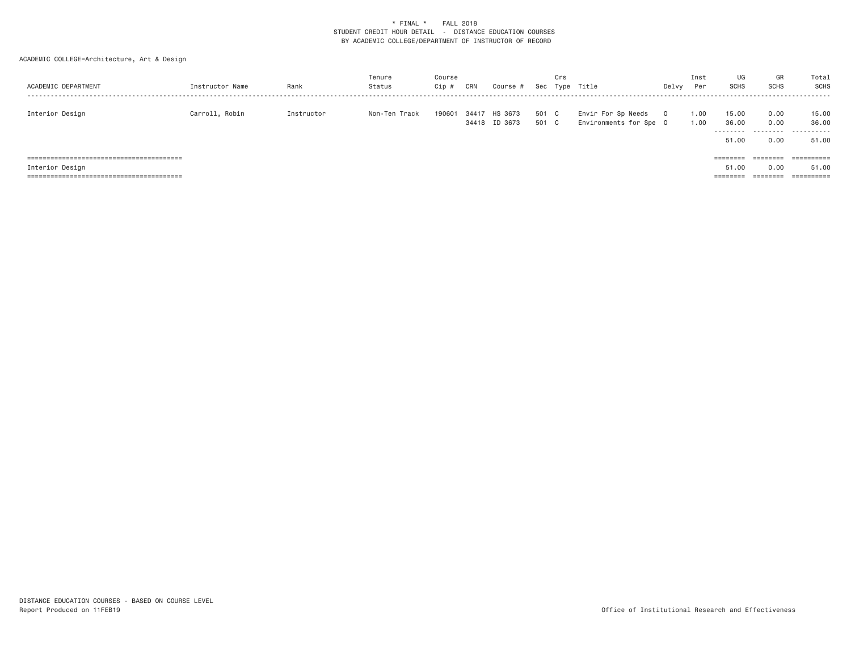| ACADEMIC DEPARTMENT | Instructor Name | Rank       | Tenure<br>Status | Course<br>Cip # | CRN | Course #                       |                | Crs | Sec Type Title                               | Delvy    | Inst<br>Per  | UG<br>SCHS                   | GR<br>SCHS                | Total<br>SCHS                |
|---------------------|-----------------|------------|------------------|-----------------|-----|--------------------------------|----------------|-----|----------------------------------------------|----------|--------------|------------------------------|---------------------------|------------------------------|
| Interior Design     | Carroll, Robin  | Instructor | Non-Ten Track    | 190601          |     | 34417 HS 3673<br>34418 ID 3673 | 501 C<br>501 C |     | Envir For Sp Needs<br>Environments for Spe 0 | $\Omega$ | 1.00<br>1.00 | 15.00<br>36.00<br>.<br>51.00 | 0.00<br>0.00<br>.<br>0.00 | 15.00<br>36.00<br>.<br>51.00 |
|                     |                 |            |                  |                 |     |                                |                |     |                                              |          |              | ========                     | ========                  | ==========                   |
| Interior Design     |                 |            |                  |                 |     |                                |                |     |                                              |          |              | 51.00                        | 0.00                      | 51,00                        |
|                     |                 |            |                  |                 |     |                                |                |     |                                              |          |              | ========                     | ========                  |                              |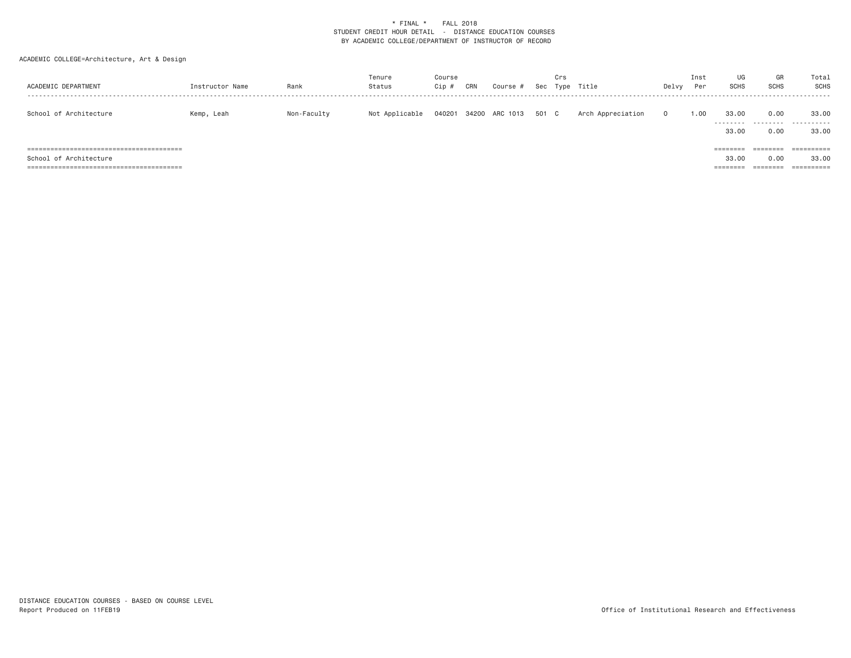| ACADEMIC DEPARTMENT    | Instructor Name | Rank        | Tenure<br>Status | Course<br>Cip # | CRN | Course #       |       | Crs | Sec Type Title    | Delvy    | Inst<br>Per | UG<br><b>SCHS</b>             | GR<br>SCHS                   | Total<br>SCHS       |
|------------------------|-----------------|-------------|------------------|-----------------|-----|----------------|-------|-----|-------------------|----------|-------------|-------------------------------|------------------------------|---------------------|
| School of Architecture | Kemp, Leah      | Non-Faculty | Not Applicable   | 040201          |     | 34200 ARC 1013 | 501 C |     | Arch Appreciation | $\Omega$ | 1.00        | 33,00<br>.<br>33.00           | 0.00<br>.<br>0.00            | 33,00<br>.<br>33,00 |
| School of Architecture |                 |             |                  |                 |     |                |       |     |                   |          |             | ========<br>33,00<br>======== | ========<br>0.00<br>======== | ==========<br>33,00 |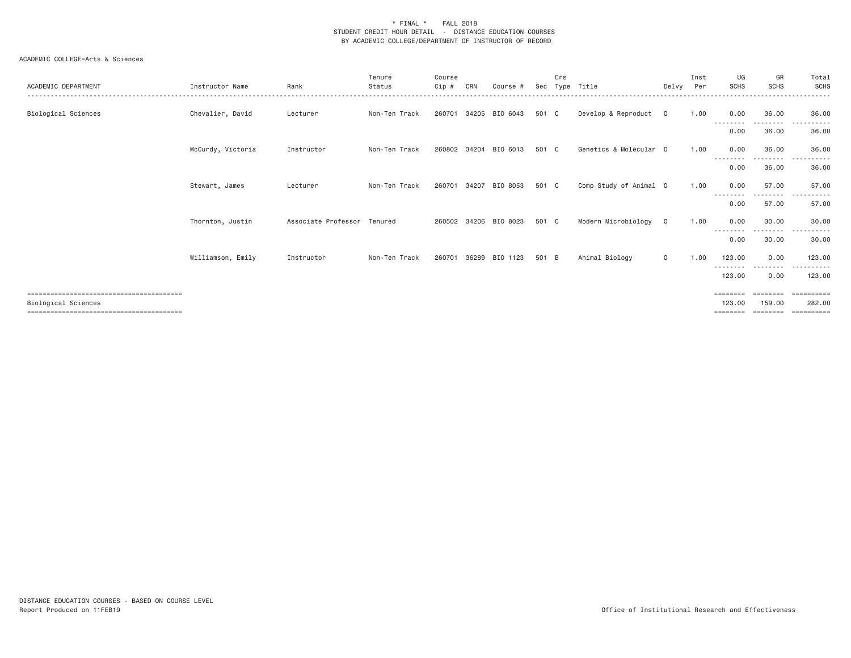| ACADEMIC DEPARTMENT        | Instructor Name   | Rank                        | Tenure<br>Status | Course<br>Cip # | CRN   | Course #              | Sec   | Crs<br>Type | Title                  | Delvy          | Inst<br>Per | UG<br><b>SCHS</b>         | GR<br><b>SCHS</b>              | Total<br><b>SCHS</b>                |
|----------------------------|-------------------|-----------------------------|------------------|-----------------|-------|-----------------------|-------|-------------|------------------------|----------------|-------------|---------------------------|--------------------------------|-------------------------------------|
| Biological Sciences        | Chevalier, David  | Lecturer                    | Non-Ten Track    | 260701          |       | 34205 BIO 6043        | 501 C |             | Develop & Reproduct    | $\circ$        | 1.00        | 0.00                      | 36.00                          | 36.00                               |
|                            |                   |                             |                  |                 |       |                       |       |             |                        |                |             | 0.00                      | 36.00                          | 36.00                               |
|                            | McCurdy, Victoria | Instructor                  | Non-Ten Track    | 260802          | 34204 | BIO 6013              | 501 C |             | Genetics & Molecular 0 |                | 1.00        | 0.00<br>- - - - - - - -   | 36,00<br>---------             | 36.00<br>.<br>$\sim$ $\sim$ $\sim$  |
|                            |                   |                             |                  |                 |       |                       |       |             |                        |                |             | 0.00                      | 36.00                          | 36.00                               |
|                            | Stewart, James    | Lecturer                    | Non-Ten Track    | 260701          | 34207 | BIO 8053              | 501 C |             | Comp Study of Animal 0 |                | 1.00        | 0.00                      | 57.00                          | 57.00                               |
|                            |                   |                             |                  |                 |       |                       |       |             |                        |                |             | 0.00                      | 57.00                          | 57.00                               |
|                            | Thornton, Justin  | Associate Professor Tenured |                  |                 |       | 260502 34206 BIO 8023 | 501 C |             | Modern Microbiology    | $\overline{0}$ | 1.00        | 0.00                      | 30.00<br>---------             | 30,00<br>.<br>$\cdots$              |
|                            |                   |                             |                  |                 |       |                       |       |             |                        |                |             | 0.00                      | 30,00                          | 30.00                               |
|                            | Williamson, Emily | Instructor                  | Non-Ten Track    | 260701          | 36289 | BIO 1123              | 501 B |             | Animal Biology         | $\circ$        | 1.00        | 123,00<br>.               | 0.00<br>.                      | 123,00<br>-------                   |
|                            |                   |                             |                  |                 |       |                       |       |             |                        |                |             | 123.00                    | 0.00                           | 123,00                              |
| <b>Biological Sciences</b> |                   |                             |                  |                 |       |                       |       |             |                        |                |             | ========<br>123,00<br>$=$ | ========<br>159,00<br>======== | ==========<br>282,00<br>----------- |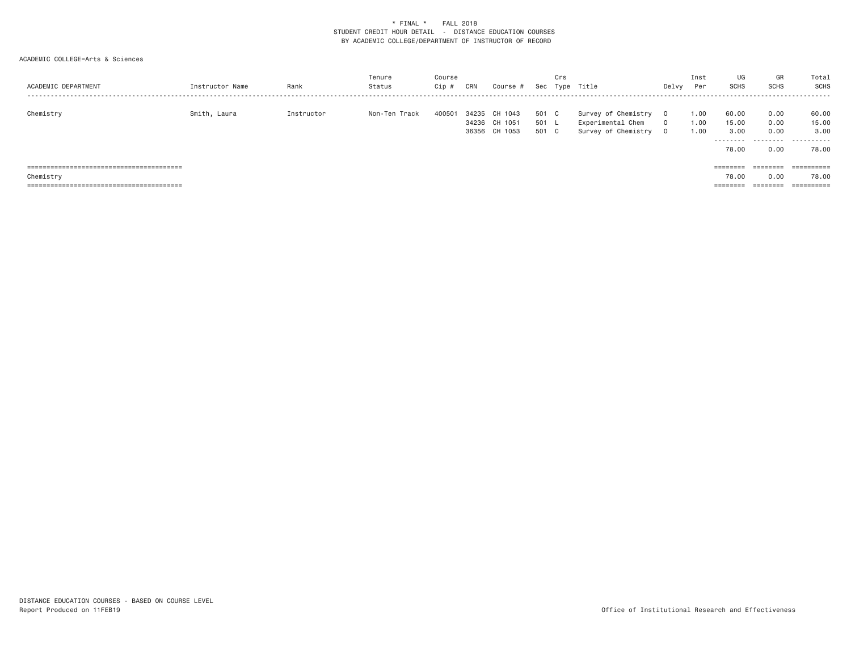| ACADEMIC DEPARTMENT | Instructor Name | Rank       | Tenure<br>Status | Course<br>Cip # | CRN   | Course #      | Sec   | Crs | Type Title          | Delvy    | Inst<br>Per | UG<br><b>SCHS</b> | GR<br><b>SCHS</b> | Total<br>SCHS |
|---------------------|-----------------|------------|------------------|-----------------|-------|---------------|-------|-----|---------------------|----------|-------------|-------------------|-------------------|---------------|
|                     |                 |            | Non-Ten Track    |                 | 34235 | CH 1043       | 501   |     |                     | $\Omega$ |             | 60.00             | 0.00              |               |
| Chemistry           | Smith, Laura    | Instructor |                  | 400501          |       |               |       | C.  | Survey of Chemistry |          | 1.00        |                   |                   | 60.00         |
|                     |                 |            |                  |                 |       | 34236 CH 1051 | 501   |     | Experimental Chem   | $\Omega$ | 1.00        | 15.00             | 0.00              | 15.00         |
|                     |                 |            |                  |                 |       | 36356 CH 1053 | 501 C |     | Survey of Chemistry | 0        | 1.00        | 3,00              | 0.00              | 3,00          |
|                     |                 |            |                  |                 |       |               |       |     |                     |          |             |                   |                   | .             |
|                     |                 |            |                  |                 |       |               |       |     |                     |          |             | 78.00             | 0.00              | 78.00         |
|                     |                 |            |                  |                 |       |               |       |     |                     |          |             |                   |                   |               |
|                     |                 |            |                  |                 |       |               |       |     |                     |          |             | ========          | ========          | ==========    |
| Chemistry           |                 |            |                  |                 |       |               |       |     |                     |          |             | 78.00             | 0.00              | 78.00         |
|                     |                 |            |                  |                 |       |               |       |     |                     |          |             | ========          | ========          |               |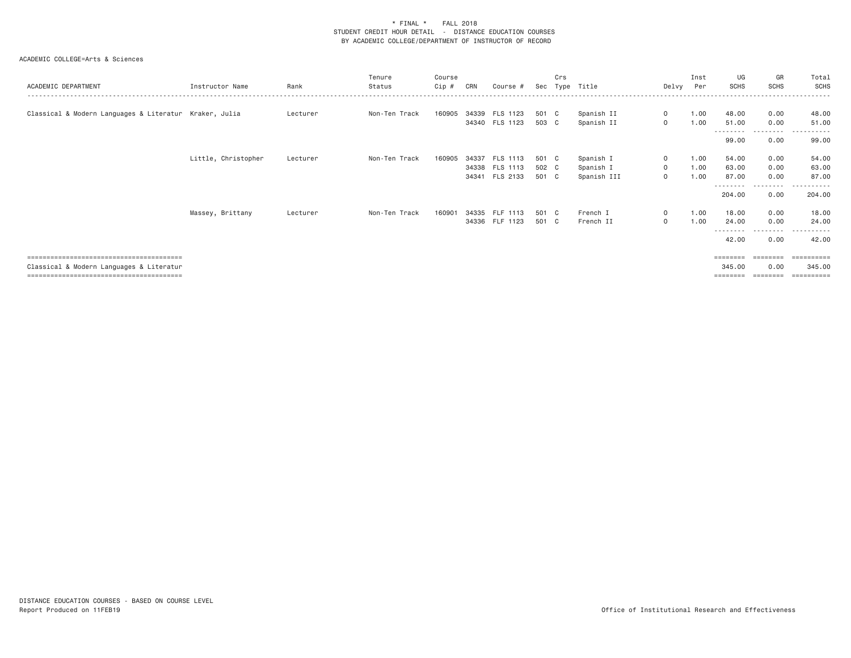| ACADEMIC DEPARTMENT                                    | Instructor Name     | Rank     | Tenure<br>Status | Course<br>Cip # | CRN   | Course #        | Sec   | Crs | Type Title  |              | Inst<br>Delvy Per | UG<br><b>SCHS</b> | GR<br><b>SCHS</b> | Total<br>SCHS         |
|--------------------------------------------------------|---------------------|----------|------------------|-----------------|-------|-----------------|-------|-----|-------------|--------------|-------------------|-------------------|-------------------|-----------------------|
|                                                        |                     |          |                  |                 |       |                 |       |     |             |              |                   |                   |                   |                       |
| Classical & Modern Languages & Literatur Kraker, Julia |                     | Lecturer | Non-Ten Track    | 160905          |       | 34339 FLS 1123  | 501 C |     | Spanish II  | $\mathbf{0}$ | 1.00              | 48.00             | 0.00              | 48.00                 |
|                                                        |                     |          |                  |                 |       | 34340 FLS 1123  | 503 C |     | Spanish II  | $\circ$      | 1.00              | 51.00             | 0.00              | 51.00                 |
|                                                        |                     |          |                  |                 |       |                 |       |     |             |              |                   | ---------         | ---------         | .                     |
|                                                        |                     |          |                  |                 |       |                 |       |     |             |              |                   | 99.00             | 0.00              | 99.00                 |
|                                                        | Little, Christopher | Lecturer | Non-Ten Track    | 160905          | 34337 | FLS 1113        | 501 C |     | Spanish I   | $\circ$      | 1.00              | 54.00             | 0.00              | 54.00                 |
|                                                        |                     |          |                  |                 |       | 34338 FLS 1113  | 502 C |     | Spanish I   | $\circ$      | 1.00              | 63.00             | 0.00              | 63.00                 |
|                                                        |                     |          |                  |                 | 34341 | FLS 2133        | 501 C |     | Spanish III | $\mathbf{O}$ | 1.00              | 87.00             | 0.00              | 87.00                 |
|                                                        |                     |          |                  |                 |       |                 |       |     |             |              |                   | --------          | --------          | - - - - - - -         |
|                                                        |                     |          |                  |                 |       |                 |       |     |             |              |                   | 204.00            | 0.00              | 204.00                |
|                                                        | Massey, Brittany    | Lecturer | Non-Ten Track    | 160901          | 34335 | <b>FLF 1113</b> | 501 C |     | French I    | $\circ$      | 1.00              | 18.00             | 0.00              | 18.00                 |
|                                                        |                     |          |                  |                 |       | 34336 FLF 1123  | 501 C |     | French II   | $\circ$      | 1.00              | 24.00             | 0.00              | 24.00                 |
|                                                        |                     |          |                  |                 |       |                 |       |     |             |              |                   | --------          |                   |                       |
|                                                        |                     |          |                  |                 |       |                 |       |     |             |              |                   | 42.00             | 0.00              | 42.00                 |
|                                                        |                     |          |                  |                 |       |                 |       |     |             |              |                   | $=$ = = = = = = = | ======            | $=$ = = = = = = = = = |
| Classical & Modern Languages & Literatur               |                     |          |                  |                 |       |                 |       |     |             |              |                   | 345,00            | 0.00              | 345,00                |
|                                                        |                     |          |                  |                 |       |                 |       |     |             |              |                   | ========          |                   | $=$ = = = = = = = = = |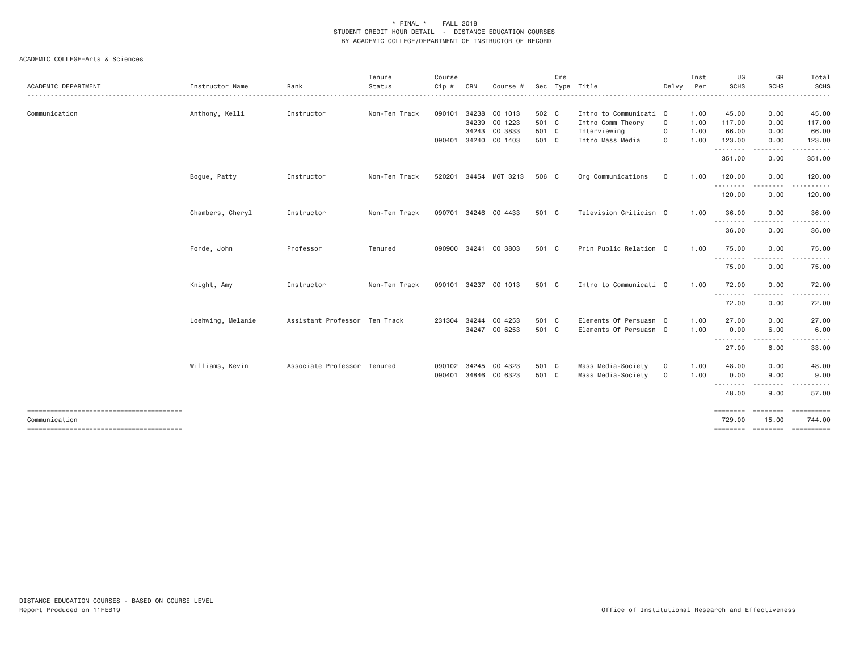|                                                         |                   |                               | Tenure        | Course |     |                      |       | Crs |                        |              | Inst | UG                 | GR          | Total                                                                                                                                                         |
|---------------------------------------------------------|-------------------|-------------------------------|---------------|--------|-----|----------------------|-------|-----|------------------------|--------------|------|--------------------|-------------|---------------------------------------------------------------------------------------------------------------------------------------------------------------|
| ACADEMIC DEPARTMENT                                     | Instructor Name   | Rank                          | Status        | Cip #  | CRN | Course               | Sec   |     | Type Title             | Delvy        | Per  | <b>SCHS</b>        | <b>SCHS</b> | <b>SCHS</b>                                                                                                                                                   |
| Communication                                           | Anthony, Kelli    | Instructor                    | Non-Ten Track | 090101 |     | 34238 CO 1013        | 502 C |     | Intro to Communicati 0 |              | 1.00 | 45.00              | 0.00        | 45.00                                                                                                                                                         |
|                                                         |                   |                               |               |        |     | 34239 CO 1223        | 501 C |     | Intro Comm Theory      | $\mathbf 0$  | 1.00 | 117.00             | 0.00        | 117.00                                                                                                                                                        |
|                                                         |                   |                               |               |        |     | 34243 CO 3833        | 501 C |     | Interviewing           | 0            | 1.00 | 66.00              | 0.00        | 66.00                                                                                                                                                         |
|                                                         |                   |                               |               | 090401 |     | 34240 CO 1403        | 501 C |     | Intro Mass Media       | 0            | 1.00 | 123.00             | 0.00        | 123.00                                                                                                                                                        |
|                                                         |                   |                               |               |        |     |                      |       |     |                        |              |      | .                  | .           |                                                                                                                                                               |
|                                                         |                   |                               |               |        |     |                      |       |     |                        |              |      | 351.00             | 0.00        | 351.00                                                                                                                                                        |
|                                                         | Bogue, Patty      | Instructor                    | Non-Ten Track | 520201 |     | 34454 MGT 3213       | 506 C |     | Org Communications     | 0            | 1.00 | 120.00<br>.        | 0.00<br>.   | 120.00                                                                                                                                                        |
|                                                         |                   |                               |               |        |     |                      |       |     |                        |              |      | 120.00             | 0.00        | 120.00                                                                                                                                                        |
|                                                         | Chambers, Cheryl  | Instructor                    | Non-Ten Track | 090701 |     | 34246 CO 4433        | 501 C |     | Television Criticism 0 |              | 1.00 | 36.00<br>.         | 0.00        | 36.00<br>.                                                                                                                                                    |
|                                                         |                   |                               |               |        |     |                      |       |     |                        |              |      | 36.00              | 0.00        | 36.00                                                                                                                                                         |
|                                                         | Forde, John       | Professor                     | Tenured       |        |     | 090900 34241 CO 3803 | 501 C |     | Prin Public Relation 0 |              | 1,00 | 75.00              | 0.00        | 75.00                                                                                                                                                         |
|                                                         |                   |                               |               |        |     |                      |       |     |                        |              |      | --------<br>75.00  | 0.00        | $\cdots \cdots \cdots$<br>75.00                                                                                                                               |
|                                                         | Knight, Amy       | Instructor                    | Non-Ten Track | 090101 |     | 34237 CO 1013        | 501 C |     | Intro to Communicati 0 |              | 1.00 | 72.00<br>.         | 0.00<br>.   | 72.00<br>. <u>.</u> .                                                                                                                                         |
|                                                         |                   |                               |               |        |     |                      |       |     |                        |              |      | 72.00              | 0.00        | 72.00                                                                                                                                                         |
|                                                         | Loehwing, Melanie | Assistant Professor Ten Track |               |        |     | 231304 34244 CO 4253 | 501 C |     | Elements Of Persuasn 0 |              | 1.00 | 27.00              | 0.00        | 27.00                                                                                                                                                         |
|                                                         |                   |                               |               |        |     | 34247 CO 6253        | 501 C |     | Elements Of Persuasn 0 |              | 1.00 | 0.00               | 6.00        | 6.00                                                                                                                                                          |
|                                                         |                   |                               |               |        |     |                      |       |     |                        |              |      | ---------<br>27.00 | .<br>6.00   | $\frac{1}{2} \left( \frac{1}{2} \right) \left( \frac{1}{2} \right) \left( \frac{1}{2} \right) \left( \frac{1}{2} \right) \left( \frac{1}{2} \right)$<br>33.00 |
|                                                         |                   |                               |               |        |     |                      |       |     |                        |              |      |                    |             |                                                                                                                                                               |
|                                                         | Williams, Kevin   | Associate Professor Tenured   |               | 090102 |     | 34245 CO 4323        | 501 C |     | Mass Media-Society     | $\mathsf{O}$ | 1.00 | 48.00              | 0.00        | 48.00                                                                                                                                                         |
|                                                         |                   |                               |               | 090401 |     | 34846 CO 6323        | 501 C |     | Mass Media-Society     | $\mathbf 0$  | 1.00 | 0.00               | 9.00        | 9.00                                                                                                                                                          |
|                                                         |                   |                               |               |        |     |                      |       |     |                        |              |      | --------           | -----       |                                                                                                                                                               |
|                                                         |                   |                               |               |        |     |                      |       |     |                        |              |      | 48.00              | 9.00        | 57.00                                                                                                                                                         |
|                                                         |                   |                               |               |        |     |                      |       |     |                        |              |      | ========           | ========    |                                                                                                                                                               |
| Communication<br>-------------------------------------- |                   |                               |               |        |     |                      |       |     |                        |              |      | 729.00             | 15.00       | 744.00<br>======== ======== =========                                                                                                                         |
|                                                         |                   |                               |               |        |     |                      |       |     |                        |              |      |                    |             |                                                                                                                                                               |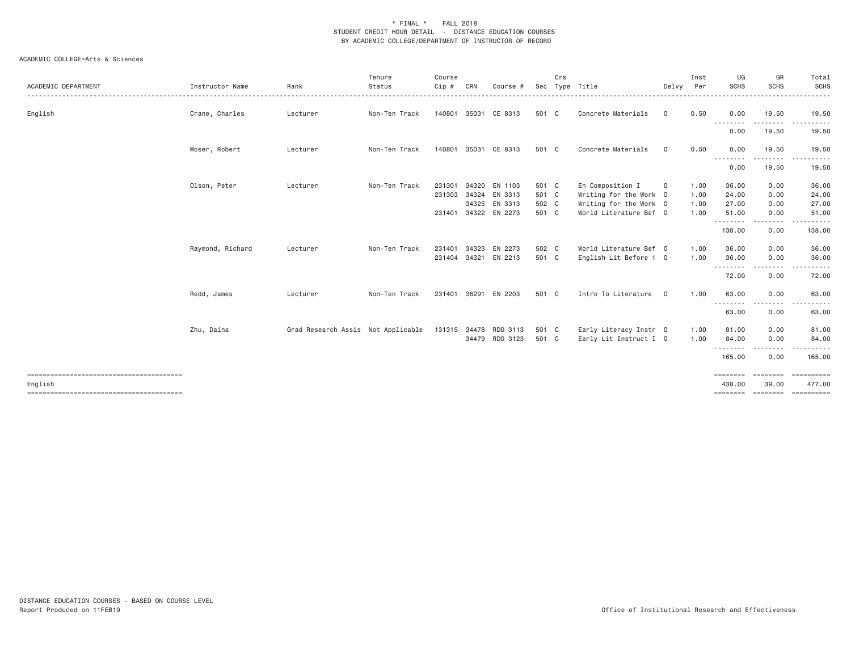| ACADEMIC DEPARTMENT | Instructor Name  | Rank                               | Tenure<br>Status | Course<br>Cip # | CRN   | Course #              | Sec   | Crs | Type Title             | Delvy          | Inst<br>Per | UG<br><b>SCHS</b>        | GR<br><b>SCHS</b> | Total<br><b>SCHS</b><br>. |
|---------------------|------------------|------------------------------------|------------------|-----------------|-------|-----------------------|-------|-----|------------------------|----------------|-------------|--------------------------|-------------------|---------------------------|
| English             | Crane, Charles   | Lecturer                           | Non-Ten Track    |                 |       | 140801 35031 CE 8313  | 501 C |     | Concrete Materials     | $\mathbf 0$    | 0.50        | 0.00                     | 19.50             | 19.50                     |
|                     |                  |                                    |                  |                 |       |                       |       |     |                        |                |             | .<br>0.00                | .<br>19.50        | 19.50                     |
|                     | Moser, Robert    | Lecturer                           | Non-Ten Track    | 140801          | 35031 | CE 8313               | 501 C |     | Concrete Materials     | 0              | 0.50        | 0.00<br>.                | 19.50             | 19.50                     |
|                     |                  |                                    |                  |                 |       |                       |       |     |                        |                |             | 0.00                     | 19.50             | 19.50                     |
|                     | Olson, Peter     | Lecturer                           | Non-Ten Track    | 231301          | 34320 | EN 1103               | 501 C |     | En Composition I       | $\mathbf 0$    | 1.00        | 36.00                    | 0.00              | 36.00                     |
|                     |                  |                                    |                  |                 |       | 231303 34324 EN 3313  | 501 C |     | Writing for the Work 0 |                | 1.00        | 24.00                    | 0.00              | 24.00                     |
|                     |                  |                                    |                  |                 |       | 34325 EN 3313         | 502 C |     | Writing for the Work 0 |                | 1.00        | 27.00                    | 0.00              | 27.00                     |
|                     |                  |                                    |                  | 231401          |       | 34322 EN 2273         | 501 C |     | World Literature Bef 0 |                | 1.00        | 51.00<br>.               | 0.00<br>.         | 51.00<br>.                |
|                     |                  |                                    |                  |                 |       |                       |       |     |                        |                |             | 138.00                   | 0.00              | 138.00                    |
|                     | Raymond, Richard | Lecturer                           | Non-Ten Track    | 231401          | 34323 | EN 2273               | 502 C |     | World Literature Bef 0 |                | 1.00        | 36.00                    | 0.00              | 36.00                     |
|                     |                  |                                    |                  | 231404 34321    |       | EN 2213               | 501 C |     | English Lit Before 1 0 |                | 1.00        | 36.00<br>.               | 0.00<br>.         | 36.00                     |
|                     |                  |                                    |                  |                 |       |                       |       |     |                        |                |             | 72.00                    | 0.00              | 72.00                     |
|                     | Redd, James      | Lecturer                           | Non-Ten Track    | 231401 36291    |       | EN 2203               | 501 C |     | Intro To Literature    | $\overline{0}$ | 1.00        | 63.00                    | 0.00              | 63.00                     |
|                     |                  |                                    |                  |                 |       |                       |       |     |                        |                |             | - - - - - - - -<br>63.00 | 0.00              | 63.00                     |
|                     | Zhu, Daina       | Grad Research Assis Not Applicable |                  |                 |       | 131315 34478 RDG 3113 | 501 C |     | Early Literacy Instr 0 |                | 1.00        | 81.00                    | 0.00              | 81.00                     |
|                     |                  |                                    |                  |                 |       | 34479 RDG 3123        | 501 C |     | Early Lit Instruct I 0 |                | 1.00        | 84,00                    | 0.00              | 84.00                     |
|                     |                  |                                    |                  |                 |       |                       |       |     |                        |                |             | .<br>165.00              | .<br>0.00         | 165.00                    |
| English             |                  |                                    |                  |                 |       |                       |       |     |                        |                |             | 438.00                   | 39.00             | 477.00                    |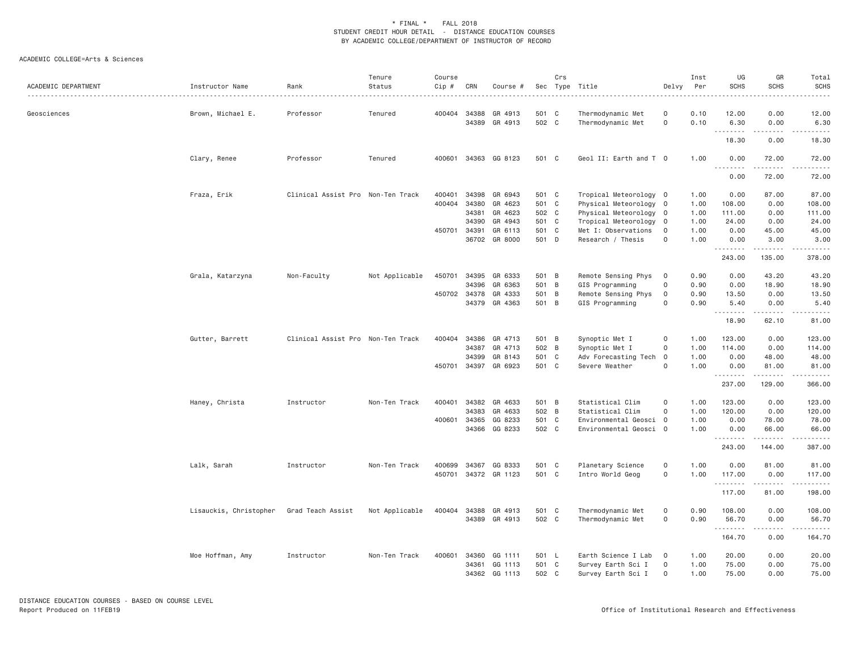| ACADEMIC DEPARTMENT | Instructor Name        | Rank                              | Tenure<br>Status | Course<br>Cip # | CRN   | Course #             | Sec   | Crs | Type Title             | Delvy               | Inst<br>Per | UG<br><b>SCHS</b>  | GR<br><b>SCHS</b> | Total<br><b>SCHS</b>                                                                                                                                                                    |
|---------------------|------------------------|-----------------------------------|------------------|-----------------|-------|----------------------|-------|-----|------------------------|---------------------|-------------|--------------------|-------------------|-----------------------------------------------------------------------------------------------------------------------------------------------------------------------------------------|
| Geosciences         | Brown, Michael E.      | Professor                         | Tenured          | 400404          | 34388 | GR 4913              | 501 C |     | Thermodynamic Met      | 0                   | 0.10        | 12.00              | 0.00              | 12.00                                                                                                                                                                                   |
|                     |                        |                                   |                  |                 | 34389 | GR 4913              | 502 C |     | Thermodynamic Met      | $\mathbf 0$         | 0.10        | 6.30<br>$\cdots$   | 0.00<br>.         | 6.30                                                                                                                                                                                    |
|                     |                        |                                   |                  |                 |       |                      |       |     |                        |                     |             | 18.30              | 0.00              | 18.30                                                                                                                                                                                   |
|                     | Clary, Renee           | Professor                         | Tenured          | 400601          | 34363 | GG 8123              | 501 C |     | Geol II: Earth and T 0 |                     | 1.00        | 0.00<br>.          | 72.00             | 72.00                                                                                                                                                                                   |
|                     |                        |                                   |                  |                 |       |                      |       |     |                        |                     |             | 0.00               | 72.00             | 72.00                                                                                                                                                                                   |
|                     | Fraza, Erik            | Clinical Assist Pro Non-Ten Track |                  | 400401          | 34398 | GR 6943              | 501 C |     | Tropical Meteorology 0 |                     | 1.00        | 0.00               | 87.00             | 87.00                                                                                                                                                                                   |
|                     |                        |                                   |                  | 400404          | 34380 | GR 4623              | 501 C |     | Physical Meteorology 0 |                     | 1.00        | 108.00             | 0.00              | 108.00                                                                                                                                                                                  |
|                     |                        |                                   |                  |                 | 34381 | GR 4623              | 502 C |     | Physical Meteorology 0 |                     | 1.00        | 111.00             | 0.00              | 111.00                                                                                                                                                                                  |
|                     |                        |                                   |                  |                 | 34390 | GR 4943              | 501 C |     | Tropical Meteorology 0 |                     | 1.00        | 24.00              | 0.00              | 24.00                                                                                                                                                                                   |
|                     |                        |                                   |                  | 450701 34391    |       | GR 6113              | 501 C |     | Met I: Observations    | $\circ$             | 1.00        | 0.00               | 45.00             | 45.00                                                                                                                                                                                   |
|                     |                        |                                   |                  |                 | 36702 | GR 8000              | 501 D |     | Research / Thesis      | $\mathsf{O}\xspace$ | 1.00        | 0.00<br><u>.</u>   | 3.00<br>.         | 3.00<br>$\frac{1}{2} \left( \frac{1}{2} \right) \left( \frac{1}{2} \right) \left( \frac{1}{2} \right) \left( \frac{1}{2} \right) \left( \frac{1}{2} \right) \left( \frac{1}{2} \right)$ |
|                     |                        |                                   |                  |                 |       |                      |       |     |                        |                     |             | 243.00             | 135.00            | 378.00                                                                                                                                                                                  |
|                     | Grala, Katarzyna       | Non-Faculty                       | Not Applicable   | 450701          | 34395 | GR 6333              | 501 B |     | Remote Sensing Phys    | 0                   | 0.90        | 0.00               | 43.20             | 43.20                                                                                                                                                                                   |
|                     |                        |                                   |                  |                 | 34396 | GR 6363              | 501 B |     | GIS Programming        | $\Omega$            | 0.90        | 0.00               | 18.90             | 18.90                                                                                                                                                                                   |
|                     |                        |                                   |                  | 450702 34378    |       | GR 4333              | 501 B |     | Remote Sensing Phys    | 0                   | 0.90        | 13.50              | 0.00              | 13.50                                                                                                                                                                                   |
|                     |                        |                                   |                  |                 |       | 34379 GR 4363        | 501 B |     | GIS Programming        | $\Omega$            | 0.90        | 5.40<br>.          | 0.00              | 5.40                                                                                                                                                                                    |
|                     |                        |                                   |                  |                 |       |                      |       |     |                        |                     |             | 18.90              | 62.10             | 81.00                                                                                                                                                                                   |
|                     | Gutter, Barrett        | Clinical Assist Pro Non-Ten Track |                  | 400404          | 34386 | GR 4713              | 501 B |     | Synoptic Met I         | $\mathsf{O}\xspace$ | 1.00        | 123.00             | 0.00              | 123.00                                                                                                                                                                                  |
|                     |                        |                                   |                  |                 | 34387 | GR 4713              | 502 B |     | Synoptic Met I         | $\Omega$            | 1.00        | 114.00             | 0.00              | 114.00                                                                                                                                                                                  |
|                     |                        |                                   |                  |                 | 34399 | GR 8143              | 501 C |     | Adv Forecasting Tech 0 |                     | 1.00        | 0.00               | 48.00             | 48.00                                                                                                                                                                                   |
|                     |                        |                                   |                  |                 |       | 450701 34397 GR 6923 | 501 C |     | Severe Weather         | $\mathbf 0$         | 1.00        | 0.00               | 81.00             | 81.00                                                                                                                                                                                   |
|                     |                        |                                   |                  |                 |       |                      |       |     |                        |                     |             | 237.00             | 129.00            | 366.00                                                                                                                                                                                  |
|                     | Haney, Christa         | Instructor                        | Non-Ten Track    | 400401          | 34382 | GR 4633              | 501 B |     | Statistical Clim       | $\mathsf{O}\xspace$ | 1.00        | 123.00             | 0.00              | 123.00                                                                                                                                                                                  |
|                     |                        |                                   |                  |                 | 34383 | GR 4633              | 502 B |     | Statistical Clim       | 0                   | 1.00        | 120.00             | 0.00              | 120.00                                                                                                                                                                                  |
|                     |                        |                                   |                  | 400601          | 34365 | GG 8233              | 501 C |     | Environmental Geosci   | $\overline{0}$      | 1.00        | 0.00               | 78.00             | 78.00                                                                                                                                                                                   |
|                     |                        |                                   |                  |                 | 34366 | GG 8233              | 502 C |     | Environmental Geosci 0 |                     | 1.00        | 0.00<br>. <b>.</b> | 66.00             | 66.00                                                                                                                                                                                   |
|                     |                        |                                   |                  |                 |       |                      |       |     |                        |                     |             | 243.00             | 144.00            | 387.00                                                                                                                                                                                  |
|                     | Lalk, Sarah            | Instructor                        | Non-Ten Track    | 400699          | 34367 | GG 8333              | 501 C |     | Planetary Science      | $\mathsf{O}\xspace$ | 1.00        | 0.00               | 81.00             | 81.00                                                                                                                                                                                   |
|                     |                        |                                   |                  | 450701          |       | 34372 GR 1123        | 501 C |     | Intro World Geog       | $\mathsf{O}\xspace$ | 1.00        | 117.00             | 0.00              | 117.00                                                                                                                                                                                  |
|                     |                        |                                   |                  |                 |       |                      |       |     |                        |                     |             | .                  | -----             |                                                                                                                                                                                         |
|                     |                        |                                   |                  |                 |       |                      |       |     |                        |                     |             | 117.00             | 81.00             | 198.00                                                                                                                                                                                  |
|                     | Lisauckis, Christopher | Grad Teach Assist                 | Not Applicable   | 400404          | 34388 | GR 4913              | 501 C |     | Thermodynamic Met      | $\mathsf{O}\xspace$ | 0.90        | 108.00             | 0.00              | 108.00                                                                                                                                                                                  |
|                     |                        |                                   |                  |                 |       | 34389 GR 4913        | 502 C |     | Thermodynamic Met      | $\mathsf{O}\xspace$ | 0.90        | 56.70<br>.         | 0.00              | 56.70                                                                                                                                                                                   |
|                     |                        |                                   |                  |                 |       |                      |       |     |                        |                     |             | 164.70             | 0.00              | 164.70                                                                                                                                                                                  |
|                     | Moe Hoffman, Amy       | Instructor                        | Non-Ten Track    | 400601          | 34360 | GG 1111              | 501 L |     | Earth Science I Lab    | $\mathbf 0$         | 1.00        | 20.00              | 0.00              | 20.00                                                                                                                                                                                   |
|                     |                        |                                   |                  |                 |       | 34361 GG 1113        | 501 C |     | Survey Earth Sci I     | $\mathsf{O}\xspace$ | 1.00        | 75.00              | 0.00              | 75.00                                                                                                                                                                                   |
|                     |                        |                                   |                  |                 | 34362 | GG 1113              | 502 C |     | Survey Earth Sci I     | $\mathsf{O}\xspace$ | 1.00        | 75.00              | 0.00              | 75.00                                                                                                                                                                                   |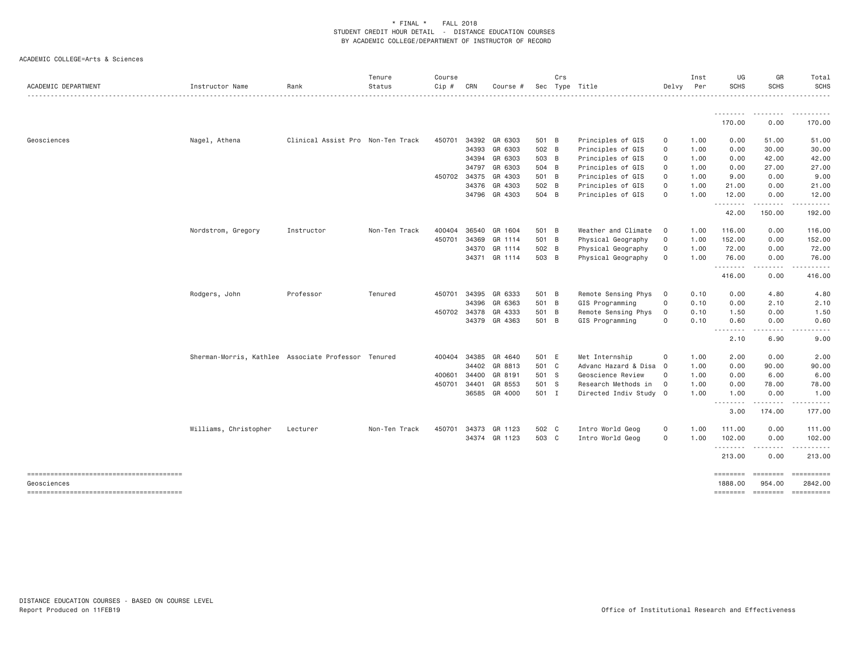| ACADEMIC DEPARTMENT                    | Instructor Name                                     | Rank                              | Tenure<br>Status | Course<br>$Cip$ # | CRN   | Course #             |       | Crs<br>Sec Type Title |                        | Delvy               | Inst<br>Per | UG<br><b>SCHS</b>           | GR<br><b>SCHS</b>                                                                                                                                                                                                                                                                                                                                                                                                                                                                      | Total<br><b>SCHS</b>  |
|----------------------------------------|-----------------------------------------------------|-----------------------------------|------------------|-------------------|-------|----------------------|-------|-----------------------|------------------------|---------------------|-------------|-----------------------------|----------------------------------------------------------------------------------------------------------------------------------------------------------------------------------------------------------------------------------------------------------------------------------------------------------------------------------------------------------------------------------------------------------------------------------------------------------------------------------------|-----------------------|
|                                        |                                                     |                                   |                  |                   |       |                      |       |                       |                        |                     |             | .<br>170.00                 | 0.00                                                                                                                                                                                                                                                                                                                                                                                                                                                                                   | 170.00                |
|                                        |                                                     |                                   |                  |                   |       |                      |       |                       |                        |                     |             |                             |                                                                                                                                                                                                                                                                                                                                                                                                                                                                                        |                       |
| Geosciences                            | Nagel, Athena                                       | Clinical Assist Pro Non-Ten Track |                  | 450701            |       | 34392 GR 6303        | 501 B |                       | Principles of GIS      | 0                   | 1.00        | 0.00                        | 51.00                                                                                                                                                                                                                                                                                                                                                                                                                                                                                  | 51.00                 |
|                                        |                                                     |                                   |                  |                   | 34393 | GR 6303              | 502 B |                       | Principles of GIS      | $\mathsf{O}\xspace$ | 1.00        | 0.00                        | 30.00                                                                                                                                                                                                                                                                                                                                                                                                                                                                                  | 30.00                 |
|                                        |                                                     |                                   |                  |                   |       | 34394 GR 6303        | 503 B |                       | Principles of GIS      | $\mathbf 0$         | 1.00        | 0.00                        | 42.00                                                                                                                                                                                                                                                                                                                                                                                                                                                                                  | 42.00                 |
|                                        |                                                     |                                   |                  |                   | 34797 | GR 6303              | 504 B |                       | Principles of GIS      | $\mathbf 0$         | 1.00        | 0.00                        | 27.00                                                                                                                                                                                                                                                                                                                                                                                                                                                                                  | 27.00                 |
|                                        |                                                     |                                   |                  | 450702 34375      |       | GR 4303              | 501 B |                       | Principles of GIS      | $\mathsf{O}\xspace$ | 1.00        | 9.00                        | 0.00                                                                                                                                                                                                                                                                                                                                                                                                                                                                                   | 9.00                  |
|                                        |                                                     |                                   |                  |                   | 34376 | GR 4303              | 502 B |                       | Principles of GIS      | $\mathsf{O}\xspace$ | 1.00        | 21.00                       | 0.00                                                                                                                                                                                                                                                                                                                                                                                                                                                                                   | 21.00                 |
|                                        |                                                     |                                   |                  |                   |       | 34796 GR 4303        | 504 B |                       | Principles of GIS      | $\mathbf 0$         | 1.00        | 12.00<br><u>.</u>           | 0.00<br>$- - - - -$                                                                                                                                                                                                                                                                                                                                                                                                                                                                    | 12.00                 |
|                                        |                                                     |                                   |                  |                   |       |                      |       |                       |                        |                     |             | 42.00                       | 150.00                                                                                                                                                                                                                                                                                                                                                                                                                                                                                 | 192.00                |
|                                        | Nordstrom, Gregory                                  | Instructor                        | Non-Ten Track    | 400404            | 36540 | GR 1604              | 501 B |                       | Weather and Climate    | $\circ$             | 1.00        | 116.00                      | 0.00                                                                                                                                                                                                                                                                                                                                                                                                                                                                                   | 116.00                |
|                                        |                                                     |                                   |                  | 450701            | 34369 | GR 1114              | 501 B |                       | Physical Geography     | $\Omega$            | 1.00        | 152.00                      | 0.00                                                                                                                                                                                                                                                                                                                                                                                                                                                                                   | 152.00                |
|                                        |                                                     |                                   |                  |                   | 34370 | GR 1114              | 502 B |                       | Physical Geography     | $\Omega$            | 1.00        | 72.00                       | 0.00                                                                                                                                                                                                                                                                                                                                                                                                                                                                                   | 72.00                 |
|                                        |                                                     |                                   |                  |                   |       | 34371 GR 1114        | 503 B |                       | Physical Geography     | $\Omega$            | 1.00        | 76.00                       | 0.00                                                                                                                                                                                                                                                                                                                                                                                                                                                                                   | 76.00                 |
|                                        |                                                     |                                   |                  |                   |       |                      |       |                       |                        |                     |             | .<br>416.00                 | $\frac{1}{2} \left( \frac{1}{2} \right) \left( \frac{1}{2} \right) \left( \frac{1}{2} \right) \left( \frac{1}{2} \right) \left( \frac{1}{2} \right)$<br>0.00                                                                                                                                                                                                                                                                                                                           | <u>.</u><br>416.00    |
|                                        |                                                     | Professor                         | Tenured          | 450701            | 34395 | GR 6333              | 501 B |                       | Remote Sensing Phys    | $\circ$             | 0.10        | 0.00                        | 4.80                                                                                                                                                                                                                                                                                                                                                                                                                                                                                   | 4.80                  |
|                                        | Rodgers, John                                       |                                   |                  |                   | 34396 | GR 6363              | 501 B |                       | GIS Programming        | $\mathbf 0$         | 0.10        | 0.00                        | 2.10                                                                                                                                                                                                                                                                                                                                                                                                                                                                                   | 2.10                  |
|                                        |                                                     |                                   |                  | 450702 34378      |       | GR 4333              | 501 B |                       | Remote Sensing Phys    | $\Omega$            | 0.10        | 1.50                        | 0.00                                                                                                                                                                                                                                                                                                                                                                                                                                                                                   | 1.50                  |
|                                        |                                                     |                                   |                  |                   |       | 34379 GR 4363        | 501 B |                       | GIS Programming        | $\Omega$            | 0.10        | 0.60                        | 0.00                                                                                                                                                                                                                                                                                                                                                                                                                                                                                   | 0.60                  |
|                                        |                                                     |                                   |                  |                   |       |                      |       |                       |                        |                     |             | $\sim$ $\sim$ $\sim$ $\sim$ | $\frac{1}{2}$                                                                                                                                                                                                                                                                                                                                                                                                                                                                          | .                     |
|                                        |                                                     |                                   |                  |                   |       |                      |       |                       |                        |                     |             | 2.10                        | 6.90                                                                                                                                                                                                                                                                                                                                                                                                                                                                                   | 9.00                  |
|                                        | Sherman-Morris, Kathlee Associate Professor Tenured |                                   |                  |                   |       | 400404 34385 GR 4640 | 501 E |                       | Met Internship         | $\mathbf 0$         | 1.00        | 2.00                        | 0.00                                                                                                                                                                                                                                                                                                                                                                                                                                                                                   | 2.00                  |
|                                        |                                                     |                                   |                  |                   | 34402 | GR 8813              | 501 C |                       | Advanc Hazard & Disa   | $\Omega$            | 1.00        | 0.00                        | 90.00                                                                                                                                                                                                                                                                                                                                                                                                                                                                                  | 90.00                 |
|                                        |                                                     |                                   |                  | 400601            | 34400 | GR 8191              | 501 S |                       | Geoscience Review      | $\circ$             | 1.00        | 0.00                        | 6.00                                                                                                                                                                                                                                                                                                                                                                                                                                                                                   | 6.00                  |
|                                        |                                                     |                                   |                  | 450701            | 34401 | GR 8553              | 501 S |                       | Research Methods in    | $\circ$             | 1.00        | 0.00                        | 78.00                                                                                                                                                                                                                                                                                                                                                                                                                                                                                  | 78.00                 |
|                                        |                                                     |                                   |                  |                   |       | 36585 GR 4000        | 501 I |                       | Directed Indiv Study 0 |                     | 1.00        | 1.00                        | 0.00                                                                                                                                                                                                                                                                                                                                                                                                                                                                                   | 1.00                  |
|                                        |                                                     |                                   |                  |                   |       |                      |       |                       |                        |                     |             | 3.00                        | .<br>174.00                                                                                                                                                                                                                                                                                                                                                                                                                                                                            | .<br>177.00           |
|                                        | Williams, Christopher                               | Lecturer                          | Non-Ten Track    | 450701            |       | 34373 GR 1123        | 502 C |                       | Intro World Geog       | 0                   | 1.00        | 111.00                      | 0.00                                                                                                                                                                                                                                                                                                                                                                                                                                                                                   | 111.00                |
|                                        |                                                     |                                   |                  |                   |       | 34374 GR 1123        | 503 C |                       | Intro World Geog       | $\mathbf 0$         | 1.00        | 102.00                      | 0.00                                                                                                                                                                                                                                                                                                                                                                                                                                                                                   | 102.00                |
|                                        |                                                     |                                   |                  |                   |       |                      |       |                       |                        |                     |             | .                           |                                                                                                                                                                                                                                                                                                                                                                                                                                                                                        |                       |
|                                        |                                                     |                                   |                  |                   |       |                      |       |                       |                        |                     |             | 213.00                      | 0.00                                                                                                                                                                                                                                                                                                                                                                                                                                                                                   | 213.00                |
| Geosciences                            |                                                     |                                   |                  |                   |       |                      |       |                       |                        |                     |             | ========<br>1888.00         | ========<br>954.00                                                                                                                                                                                                                                                                                                                                                                                                                                                                     | ==========<br>2842.00 |
| -------------------------------------- |                                                     |                                   |                  |                   |       |                      |       |                       |                        |                     |             | <b>ESSESSES</b>             | $\begin{array}{cccccccccc} \multicolumn{3}{c}{} & \multicolumn{3}{c}{} & \multicolumn{3}{c}{} & \multicolumn{3}{c}{} & \multicolumn{3}{c}{} & \multicolumn{3}{c}{} & \multicolumn{3}{c}{} & \multicolumn{3}{c}{} & \multicolumn{3}{c}{} & \multicolumn{3}{c}{} & \multicolumn{3}{c}{} & \multicolumn{3}{c}{} & \multicolumn{3}{c}{} & \multicolumn{3}{c}{} & \multicolumn{3}{c}{} & \multicolumn{3}{c}{} & \multicolumn{3}{c}{} & \multicolumn{3}{c}{} & \multicolumn{3}{c}{} & \mult$ | ==========            |
|                                        |                                                     |                                   |                  |                   |       |                      |       |                       |                        |                     |             |                             |                                                                                                                                                                                                                                                                                                                                                                                                                                                                                        |                       |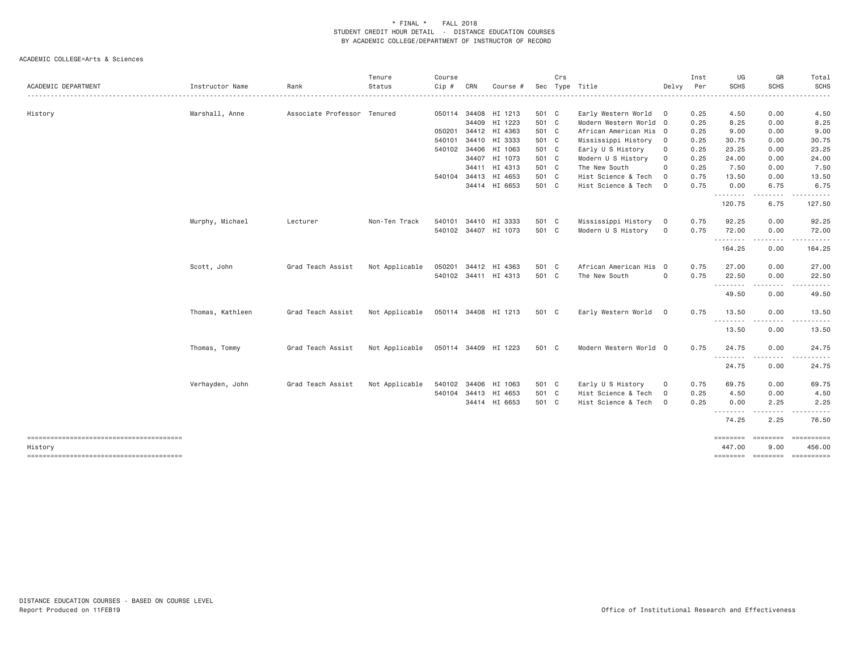|                  |                                   | Tenure         | Course                                       |        |          |                                                                                                                                                                                                                                                                                                                                                                                | Crs |                                                                                                                                                                |                                                                                                        | Inst                                                                                                                            | UG                                           | GR                                                                                                                 | Total                                                                                                                                                                                                                                                                                                                                                                                                                                                                                            |
|------------------|-----------------------------------|----------------|----------------------------------------------|--------|----------|--------------------------------------------------------------------------------------------------------------------------------------------------------------------------------------------------------------------------------------------------------------------------------------------------------------------------------------------------------------------------------|-----|----------------------------------------------------------------------------------------------------------------------------------------------------------------|--------------------------------------------------------------------------------------------------------|---------------------------------------------------------------------------------------------------------------------------------|----------------------------------------------|--------------------------------------------------------------------------------------------------------------------|--------------------------------------------------------------------------------------------------------------------------------------------------------------------------------------------------------------------------------------------------------------------------------------------------------------------------------------------------------------------------------------------------------------------------------------------------------------------------------------------------|
| Instructor Name  | Rank                              | Status         | Cip #                                        | CRN    | Course # | Sec                                                                                                                                                                                                                                                                                                                                                                            |     |                                                                                                                                                                | Delvy                                                                                                  | Per                                                                                                                             | SCHS                                         | <b>SCHS</b>                                                                                                        | <b>SCHS</b><br>------                                                                                                                                                                                                                                                                                                                                                                                                                                                                            |
|                  |                                   |                |                                              |        |          |                                                                                                                                                                                                                                                                                                                                                                                |     |                                                                                                                                                                |                                                                                                        |                                                                                                                                 |                                              |                                                                                                                    | 4.50                                                                                                                                                                                                                                                                                                                                                                                                                                                                                             |
|                  |                                   |                |                                              |        |          |                                                                                                                                                                                                                                                                                                                                                                                |     |                                                                                                                                                                |                                                                                                        |                                                                                                                                 |                                              |                                                                                                                    | 8.25                                                                                                                                                                                                                                                                                                                                                                                                                                                                                             |
|                  |                                   |                |                                              |        |          |                                                                                                                                                                                                                                                                                                                                                                                |     |                                                                                                                                                                |                                                                                                        |                                                                                                                                 | 9.00                                         | 0.00                                                                                                               | 9.00                                                                                                                                                                                                                                                                                                                                                                                                                                                                                             |
|                  |                                   |                | 540101                                       |        |          |                                                                                                                                                                                                                                                                                                                                                                                |     |                                                                                                                                                                | $\mathbf 0$                                                                                            |                                                                                                                                 | 30.75                                        | 0.00                                                                                                               | 30.75                                                                                                                                                                                                                                                                                                                                                                                                                                                                                            |
|                  |                                   |                |                                              |        |          |                                                                                                                                                                                                                                                                                                                                                                                |     | Early U S History                                                                                                                                              | 0                                                                                                      | 0.25                                                                                                                            | 23.25                                        | 0.00                                                                                                               | 23.25                                                                                                                                                                                                                                                                                                                                                                                                                                                                                            |
|                  |                                   |                |                                              |        |          |                                                                                                                                                                                                                                                                                                                                                                                |     | Modern U S History                                                                                                                                             | 0                                                                                                      | 0.25                                                                                                                            | 24.00                                        | 0.00                                                                                                               | 24.00                                                                                                                                                                                                                                                                                                                                                                                                                                                                                            |
|                  |                                   |                |                                              |        |          |                                                                                                                                                                                                                                                                                                                                                                                |     | The New South                                                                                                                                                  | $\Omega$                                                                                               | 0.25                                                                                                                            | 7.50                                         | 0.00                                                                                                               | 7.50                                                                                                                                                                                                                                                                                                                                                                                                                                                                                             |
|                  |                                   |                |                                              |        |          |                                                                                                                                                                                                                                                                                                                                                                                |     | Hist Science & Tech                                                                                                                                            | $\mathbf 0$                                                                                            | 0.75                                                                                                                            | 13.50                                        | 0.00                                                                                                               | 13.50                                                                                                                                                                                                                                                                                                                                                                                                                                                                                            |
|                  |                                   |                |                                              |        |          |                                                                                                                                                                                                                                                                                                                                                                                |     | Hist Science & Tech                                                                                                                                            | $\circ$                                                                                                | 0.75                                                                                                                            | 0.00                                         | 6.75                                                                                                               | 6.75                                                                                                                                                                                                                                                                                                                                                                                                                                                                                             |
|                  |                                   |                |                                              |        |          |                                                                                                                                                                                                                                                                                                                                                                                |     |                                                                                                                                                                |                                                                                                        |                                                                                                                                 | 120.75                                       | 6.75                                                                                                               | 127.50                                                                                                                                                                                                                                                                                                                                                                                                                                                                                           |
|                  |                                   |                |                                              |        |          |                                                                                                                                                                                                                                                                                                                                                                                |     |                                                                                                                                                                |                                                                                                        |                                                                                                                                 |                                              |                                                                                                                    | 92.25                                                                                                                                                                                                                                                                                                                                                                                                                                                                                            |
|                  |                                   |                |                                              |        |          |                                                                                                                                                                                                                                                                                                                                                                                |     | Modern U S History                                                                                                                                             | $\circ$                                                                                                | 0.75                                                                                                                            | 72.00                                        | 0.00                                                                                                               | 72.00                                                                                                                                                                                                                                                                                                                                                                                                                                                                                            |
|                  |                                   |                |                                              |        |          |                                                                                                                                                                                                                                                                                                                                                                                |     |                                                                                                                                                                |                                                                                                        |                                                                                                                                 | 164.25                                       | 0.00                                                                                                               | 164.25                                                                                                                                                                                                                                                                                                                                                                                                                                                                                           |
| Scott, John      | Grad Teach Assist                 | Not Applicable | 050201                                       |        |          |                                                                                                                                                                                                                                                                                                                                                                                |     |                                                                                                                                                                | $\overline{\mathbf{0}}$                                                                                | 0.75                                                                                                                            | 27.00                                        | 0.00                                                                                                               | 27.00                                                                                                                                                                                                                                                                                                                                                                                                                                                                                            |
|                  |                                   |                |                                              |        |          |                                                                                                                                                                                                                                                                                                                                                                                |     | The New South                                                                                                                                                  | 0                                                                                                      | 0.75                                                                                                                            | 22.50                                        | 0.00                                                                                                               | 22.50<br>.                                                                                                                                                                                                                                                                                                                                                                                                                                                                                       |
|                  |                                   |                |                                              |        |          |                                                                                                                                                                                                                                                                                                                                                                                |     |                                                                                                                                                                |                                                                                                        |                                                                                                                                 | 49.50                                        | 0.00                                                                                                               | 49.50                                                                                                                                                                                                                                                                                                                                                                                                                                                                                            |
| Thomas, Kathleen | Grad Teach Assist                 | Not Applicable |                                              |        |          |                                                                                                                                                                                                                                                                                                                                                                                |     | Early Western World                                                                                                                                            | $\mathbf{0}$                                                                                           | 0.75                                                                                                                            | 13.50                                        | 0.00                                                                                                               | 13.50                                                                                                                                                                                                                                                                                                                                                                                                                                                                                            |
|                  |                                   |                |                                              |        |          |                                                                                                                                                                                                                                                                                                                                                                                |     |                                                                                                                                                                |                                                                                                        |                                                                                                                                 | 13.50                                        | 0.00                                                                                                               | 13.50                                                                                                                                                                                                                                                                                                                                                                                                                                                                                            |
| Thomas, Tommy    | Grad Teach Assist                 | Not Applicable |                                              |        |          |                                                                                                                                                                                                                                                                                                                                                                                |     |                                                                                                                                                                |                                                                                                        | 0.75                                                                                                                            | 24.75                                        | 0.00                                                                                                               | 24.75                                                                                                                                                                                                                                                                                                                                                                                                                                                                                            |
|                  |                                   |                |                                              |        |          |                                                                                                                                                                                                                                                                                                                                                                                |     |                                                                                                                                                                |                                                                                                        |                                                                                                                                 | 24.75                                        | 0.00                                                                                                               | 24.75                                                                                                                                                                                                                                                                                                                                                                                                                                                                                            |
| Verhayden, John  | Grad Teach Assist                 | Not Applicable |                                              |        |          |                                                                                                                                                                                                                                                                                                                                                                                |     | Early U S History                                                                                                                                              | $\circ$                                                                                                | 0.75                                                                                                                            | 69.75                                        | 0.00                                                                                                               | 69.75                                                                                                                                                                                                                                                                                                                                                                                                                                                                                            |
|                  |                                   |                |                                              |        |          |                                                                                                                                                                                                                                                                                                                                                                                |     |                                                                                                                                                                | $\circ$                                                                                                |                                                                                                                                 |                                              |                                                                                                                    | 4.50                                                                                                                                                                                                                                                                                                                                                                                                                                                                                             |
|                  |                                   |                |                                              |        |          |                                                                                                                                                                                                                                                                                                                                                                                |     | Hist Science & Tech                                                                                                                                            | $\overline{0}$                                                                                         | 0.25                                                                                                                            |                                              |                                                                                                                    | 2.25                                                                                                                                                                                                                                                                                                                                                                                                                                                                                             |
|                  |                                   |                |                                              |        |          |                                                                                                                                                                                                                                                                                                                                                                                |     |                                                                                                                                                                |                                                                                                        |                                                                                                                                 | 74.25                                        | 2.25                                                                                                               | 76.50                                                                                                                                                                                                                                                                                                                                                                                                                                                                                            |
|                  |                                   |                |                                              |        |          |                                                                                                                                                                                                                                                                                                                                                                                |     |                                                                                                                                                                |                                                                                                        |                                                                                                                                 | 447.00                                       | 9.00                                                                                                               | $\begin{array}{cccccccccc} \multicolumn{2}{c}{} & \multicolumn{2}{c}{} & \multicolumn{2}{c}{} & \multicolumn{2}{c}{} & \multicolumn{2}{c}{} & \multicolumn{2}{c}{} & \multicolumn{2}{c}{} & \multicolumn{2}{c}{} & \multicolumn{2}{c}{} & \multicolumn{2}{c}{} & \multicolumn{2}{c}{} & \multicolumn{2}{c}{} & \multicolumn{2}{c}{} & \multicolumn{2}{c}{} & \multicolumn{2}{c}{} & \multicolumn{2}{c}{} & \multicolumn{2}{c}{} & \multicolumn{2}{c}{} & \multicolumn{2}{c}{} & \mult$<br>456.00 |
|                  | Marshall, Anne<br>Murphy, Michael | Lecturer       | Associate Professor Tenured<br>Non-Ten Track | 540101 | 34409    | 050114 34408 HI 1213<br>HI 1223<br>050201 34412 HI 4363<br>34410 HI 3333<br>540102 34406 HI 1063<br>34407 HI 1073<br>34411 HI 4313<br>540104 34413 HI 4653<br>34414 HI 6653<br>34410 HI 3333<br>540102 34407 HI 1073<br>34412 HI 4363<br>540102 34411 HI 4313<br>050114 34408 HI 1213<br>050114 34409 HI 1223<br>540102 34406 HI 1063<br>540104 34413 HI 4653<br>34414 HI 6653 |     | 501 C<br>501 C<br>501 C<br>501 C<br>501 C<br>501 C<br>501 C<br>501 C<br>501 C<br>501 C<br>501 C<br>501 C<br>501 C<br>501 C<br>501 C<br>501 C<br>501 C<br>501 C | Type Title<br>Early Western World<br>Mississippi History<br>Mississippi History<br>Hist Science & Tech | $\overline{0}$<br>Modern Western World 0<br>African American His 0<br>$\circ$<br>African American His<br>Modern Western World 0 | 0.25<br>0.25<br>0.25<br>0.25<br>0.75<br>0.25 | 4.50<br>8.25<br><u>.</u><br>92.25<br>.<br>--------<br>.<br><u>.</u><br>4.50<br>0.00<br>- - - - - - - -<br>======== | 0.00<br>0.00<br>0.00<br>.<br>$\begin{array}{cccccccccccccc} \bullet & \bullet & \bullet & \bullet & \bullet & \bullet & \bullet \end{array}$<br>0.00<br>2.25<br><b>ESSESSES</b>                                                                                                                                                                                                                                                                                                                  |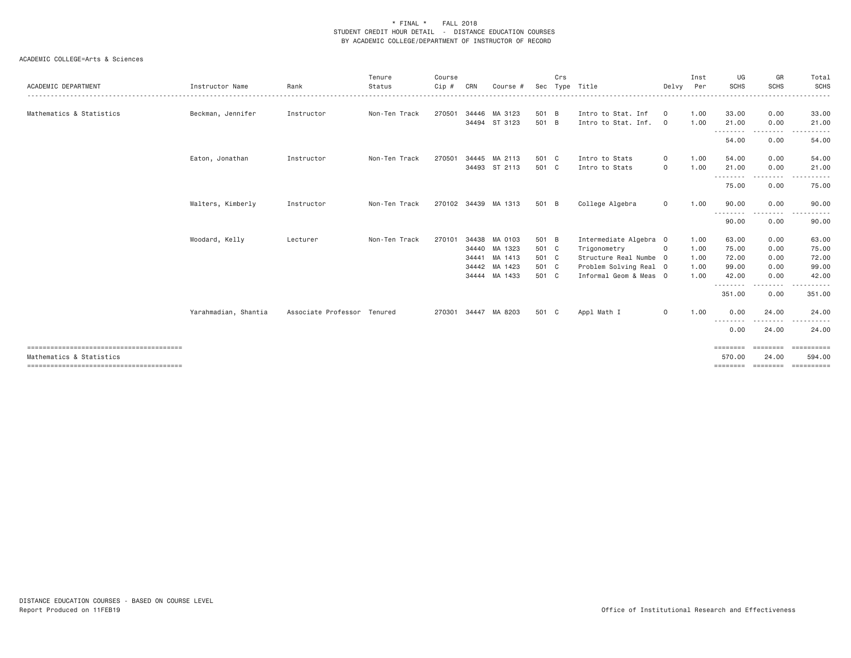| Instructor Name      | Rank       | Tenure<br>Status | Course<br>Cip #             | CRN | Course #       |                                                                                                                                                                                    | Crs |                                                                                                        |                              | Inst<br>Per                                                                                          | UG<br><b>SCHS</b>             | GR<br><b>SCHS</b>                                                                  | Total<br>SCHS<br>. <b>.</b> .                                                                                        |
|----------------------|------------|------------------|-----------------------------|-----|----------------|------------------------------------------------------------------------------------------------------------------------------------------------------------------------------------|-----|--------------------------------------------------------------------------------------------------------|------------------------------|------------------------------------------------------------------------------------------------------|-------------------------------|------------------------------------------------------------------------------------|----------------------------------------------------------------------------------------------------------------------|
| Beckman, Jennifer    | Instructor | Non-Ten Track    | 270501                      |     |                |                                                                                                                                                                                    |     | Intro to Stat, Inf                                                                                     | $\mathbf 0$                  | 1.00                                                                                                 | 33,00                         | 0.00                                                                               | 33.00                                                                                                                |
|                      |            |                  |                             |     |                |                                                                                                                                                                                    |     | Intro to Stat. Inf.                                                                                    | $\overline{\mathbf{0}}$      | 1.00                                                                                                 | 21.00                         | 0.00                                                                               | 21.00                                                                                                                |
|                      |            |                  |                             |     |                |                                                                                                                                                                                    |     |                                                                                                        |                              |                                                                                                      | 54.00                         | 0.00                                                                               | $- - -$<br>54.00                                                                                                     |
| Eaton, Jonathan      | Instructor | Non-Ten Track    | 270501                      |     |                |                                                                                                                                                                                    |     | Intro to Stats                                                                                         | $\circ$                      | 1.00                                                                                                 | 54.00                         | 0.00                                                                               | 54.00                                                                                                                |
|                      |            |                  |                             |     |                |                                                                                                                                                                                    |     |                                                                                                        | $\circ$                      |                                                                                                      |                               |                                                                                    | 21.00<br>.                                                                                                           |
|                      |            |                  |                             |     |                |                                                                                                                                                                                    |     |                                                                                                        |                              |                                                                                                      | 75.00                         | 0.00                                                                               | 75.00                                                                                                                |
| Walters, Kimberly    | Instructor | Non-Ten Track    |                             |     |                |                                                                                                                                                                                    |     | College Algebra                                                                                        | $\circ$                      | 1.00                                                                                                 | 90.00<br>---------            | 0.00<br>$\cdots$                                                                   | 90.00                                                                                                                |
|                      |            |                  |                             |     |                |                                                                                                                                                                                    |     |                                                                                                        |                              |                                                                                                      | 90.00                         | 0.00                                                                               | 90.00                                                                                                                |
| Woodard, Kelly       | Lecturer   | Non-Ten Track    | 270101                      |     |                |                                                                                                                                                                                    |     |                                                                                                        |                              | 1.00                                                                                                 | 63.00                         | 0.00                                                                               | 63.00                                                                                                                |
|                      |            |                  |                             |     |                |                                                                                                                                                                                    |     | Trigonometry                                                                                           | $\circ$                      | 1.00                                                                                                 | 75.00                         | 0.00                                                                               | 75.00                                                                                                                |
|                      |            |                  |                             |     |                |                                                                                                                                                                                    |     |                                                                                                        |                              | 1.00                                                                                                 |                               |                                                                                    | 72.00                                                                                                                |
|                      |            |                  |                             |     |                |                                                                                                                                                                                    |     |                                                                                                        |                              |                                                                                                      |                               |                                                                                    | 99.00                                                                                                                |
|                      |            |                  |                             |     |                |                                                                                                                                                                                    |     |                                                                                                        |                              |                                                                                                      |                               |                                                                                    | 42.00<br><u>.</u>                                                                                                    |
|                      |            |                  |                             |     |                |                                                                                                                                                                                    |     |                                                                                                        |                              |                                                                                                      | 351.00                        | 0.00                                                                               | 351.00                                                                                                               |
| Yarahmadian, Shantia |            |                  | 270301                      |     |                |                                                                                                                                                                                    |     | Appl Math I                                                                                            | $\circ$                      | 1.00                                                                                                 | 0.00                          | 24.00                                                                              | 24.00<br>$- - -$                                                                                                     |
|                      |            |                  |                             |     |                |                                                                                                                                                                                    |     |                                                                                                        |                              |                                                                                                      | 0.00                          | 24.00                                                                              | 24.00                                                                                                                |
|                      |            |                  |                             |     |                |                                                                                                                                                                                    |     |                                                                                                        |                              |                                                                                                      | $=$ = = = = = = =<br>570.00   | ========<br>24.00                                                                  | EEEEEEEE<br>594.00                                                                                                   |
|                      |            |                  | Associate Professor Tenured |     | 34441<br>34444 | 34446 MA 3123<br>34494 ST 3123<br>34445 MA 2113<br>34493 ST 2113<br>270102 34439 MA 1313<br>34438 MA 0103<br>34440 MA 1323<br>MA 1413<br>34442 MA 1423<br>MA 1433<br>34447 MA 8203 |     | Sec<br>501 B<br>501 B<br>501 C<br>501 C<br>501 B<br>501 B<br>501 C<br>501 C<br>501 C<br>501 C<br>501 C | Tvpe Title<br>Intro to Stats | Intermediate Algebra 0<br>Structure Real Numbe 0<br>Problem Solving Real 0<br>Informal Geom & Meas 0 | Delvy<br>1.00<br>1.00<br>1.00 | ---------<br>21.00<br>---------<br>72.00<br>99.00<br>42.00<br>--------<br>-------- | .<br>. <b>.</b> .<br>0.00<br>-----<br>0.00<br>0.00<br>0.00<br>.<br>. <u>.</u> .<br>================================= |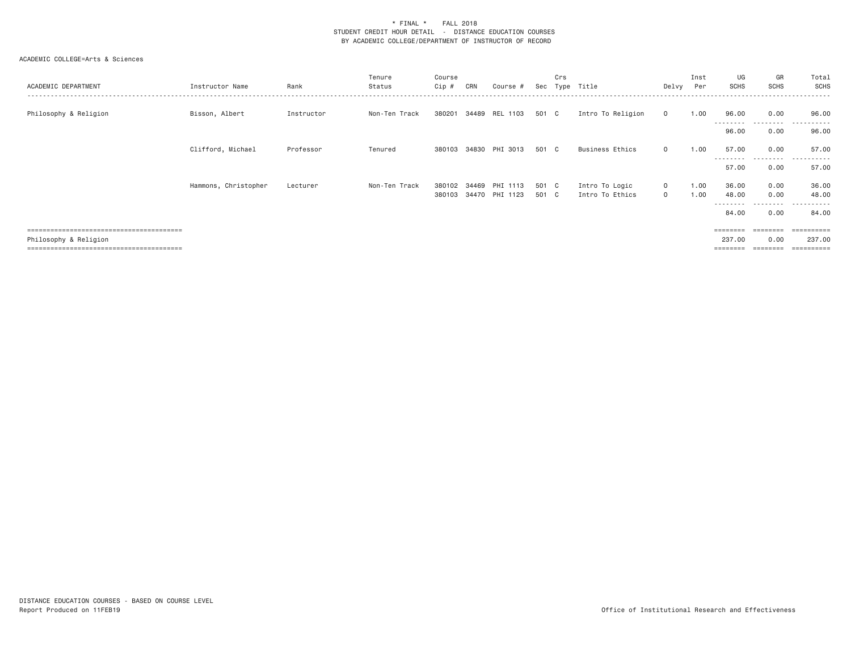| ACADEMIC DEPARTMENT   | Instructor Name      | Rank       | Tenure<br>Status | Course<br>Cip # | CRN   | Course #       |       | Crs | Sec Type Title         | Delvy Per    | Inst | UG<br>SCHS         | GR<br><b>SCHS</b> | Total<br><b>SCHS</b> |
|-----------------------|----------------------|------------|------------------|-----------------|-------|----------------|-------|-----|------------------------|--------------|------|--------------------|-------------------|----------------------|
| Philosophy & Religion | Bisson, Albert       | Instructor | Non-Ten Track    | 380201          |       | 34489 REL 1103 | 501 C |     | Intro To Religion      | $\mathbf{0}$ | 1.00 | 96.00<br>--------- | 0.00<br>--------- | 96.00<br>----------  |
|                       |                      |            |                  |                 |       |                |       |     |                        |              |      | 96.00              | 0.00              | 96.00                |
|                       | Clifford, Michael    | Professor  | Tenured          | 380103          |       | 34830 PHI 3013 | 501 C |     | <b>Business Ethics</b> | $\circ$      | 1.00 | 57.00              | 0.00              | 57.00                |
|                       |                      |            |                  |                 |       |                |       |     |                        |              |      | ---------<br>57.00 | ------<br>0.00    | .<br>57.00           |
|                       | Hammons, Christopher | Lecturer   | Non-Ten Track    | 380102          | 34469 | PHI 1113       | 501 C |     | Intro To Logic         | $\mathbf{0}$ | 1.00 | 36.00              | 0.00              | 36.00                |
|                       |                      |            |                  | 380103          |       | 34470 PHI 1123 | 501 C |     | Intro To Ethics        | $\mathbf{0}$ | 1.00 | 48.00<br>--------- | 0.00<br>.         | 48.00<br>.           |
|                       |                      |            |                  |                 |       |                |       |     |                        |              |      | 84.00              | 0.00              | 84.00                |
|                       |                      |            |                  |                 |       |                |       |     |                        |              |      |                    |                   | =======              |
| Philosophy & Religion |                      |            |                  |                 |       |                |       |     |                        |              |      | 237.00             | 0.00              | 237.00               |
|                       |                      |            |                  |                 |       |                |       |     |                        |              |      | ========           | ========          | ==========           |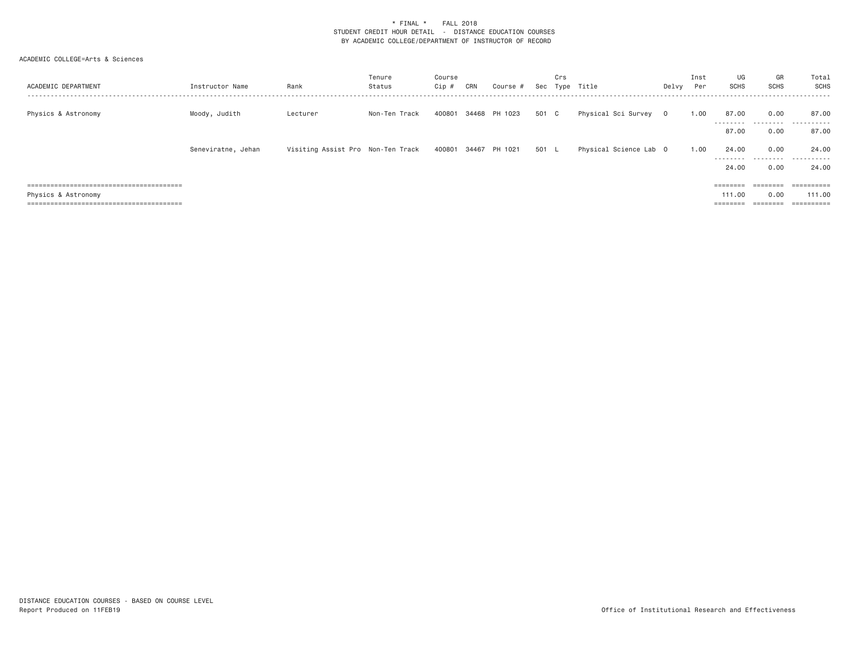| ACADEMIC DEPARTMENT | Instructor Name    | Rank                              | Tenure<br>Status | Course<br>Cip # | CRN | Course #             | Sec   | Crs<br>Type | Title                  | Delvy   | Inst<br>Per | UG<br><b>SCHS</b>  | GR<br><b>SCHS</b>     | Total<br>SCHS             |
|---------------------|--------------------|-----------------------------------|------------------|-----------------|-----|----------------------|-------|-------------|------------------------|---------|-------------|--------------------|-----------------------|---------------------------|
| Physics & Astronomy | Moody, Judith      | Lecturer                          | Non-Ten Track    | 400801          |     | 34468 PH 1023        | 501 C |             | Physical Sci Survey    | $\circ$ | 1.00        | 87.00              | 0.00                  | 87.00                     |
|                     |                    |                                   |                  |                 |     |                      |       |             |                        |         |             | ---------<br>87.00 | .<br>0.00             | .<br>87.00                |
|                     | Seneviratne, Jehan | Visiting Assist Pro Non-Ten Track |                  |                 |     | 400801 34467 PH 1021 | 501   | - L         | Physical Science Lab 0 |         | 1.00        | 24,00<br>--------- | 0.00<br>.             | 24,00<br>.                |
|                     |                    |                                   |                  |                 |     |                      |       |             |                        |         |             | 24,00              | 0.00                  | 24,00                     |
|                     |                    |                                   |                  |                 |     |                      |       |             |                        |         |             |                    |                       |                           |
| Physics & Astronomy |                    |                                   |                  |                 |     |                      |       |             |                        |         |             | 111.00             | 0.00                  | 111.00                    |
|                     |                    |                                   |                  |                 |     |                      |       |             |                        |         |             |                    | ---------<br>-------- | -----------<br>---------- |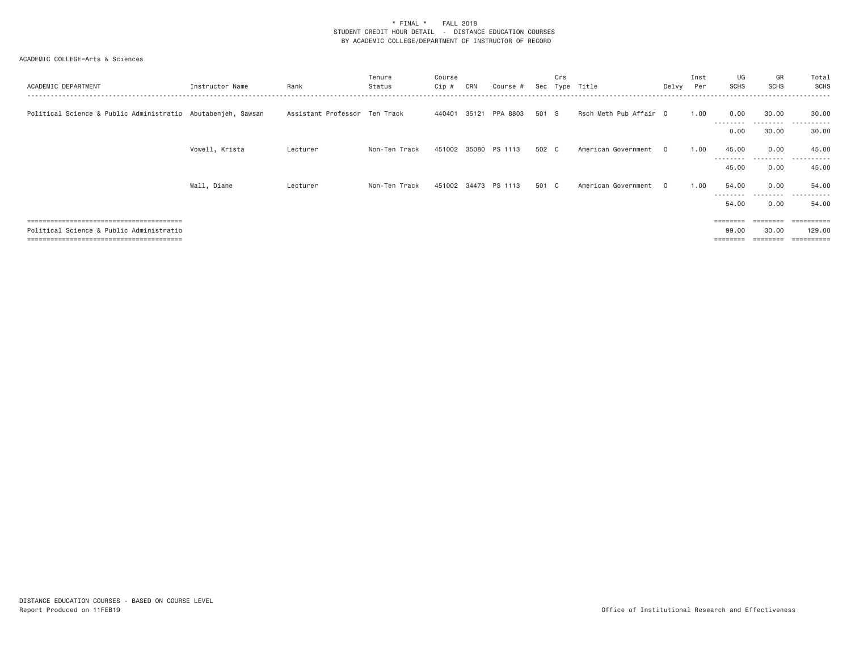| ACADEMIC DEPARTMENT                                          | Instructor Name | Rank                          | Tenure<br>Status | Course<br>Cip # | CRN   | Course               | Sec   | Crs<br>Tvne | Title                  | Delvy    | Inst<br>Per | UG<br><b>SCHS</b>  | GR<br><b>SCHS</b>  | Total<br>SCHS       |
|--------------------------------------------------------------|-----------------|-------------------------------|------------------|-----------------|-------|----------------------|-------|-------------|------------------------|----------|-------------|--------------------|--------------------|---------------------|
| Political Science & Public Administratio Abutabenjeh, Sawsan |                 | Assistant Professor Ten Track |                  | 440401          | 35121 | PPA 8803             | 501 S |             | Rsch Meth Pub Affair 0 |          | 1.00        | 0.00<br>---------  | 30.00<br>--------- | 30,00<br>.          |
|                                                              |                 |                               |                  |                 |       |                      |       |             |                        |          |             | 0.00               | 30.00              | 30.00               |
|                                                              | Vowell, Krista  | Lecturer                      | Non-Ten Track    |                 |       | 451002 35080 PS 1113 | 502 C |             | American Government    | 0        | 1,00        | 45.00              | 0.00               | 45.00               |
|                                                              |                 |                               |                  |                 |       |                      |       |             |                        |          |             | ---------<br>45.00 | .<br>0.00          | ----------<br>45.00 |
|                                                              | Wall, Diane     | Lecturer                      | Non-Ten Track    | 451002          |       | 34473 PS 1113        | 501 C |             | American Government    | $\Omega$ | 1.00        | 54.00              | 0.00               | 54.00               |
|                                                              |                 |                               |                  |                 |       |                      |       |             |                        |          |             | .<br>54.00         | .<br>0.00          | .<br>54.00          |
|                                                              |                 |                               |                  |                 |       |                      |       |             |                        |          |             |                    | ======             |                     |
| Political Science & Public Administratio                     |                 |                               |                  |                 |       |                      |       |             |                        |          |             | 99.00              | 30,00              | 129,00              |
|                                                              |                 |                               |                  |                 |       |                      |       |             |                        |          |             |                    |                    | .=======            |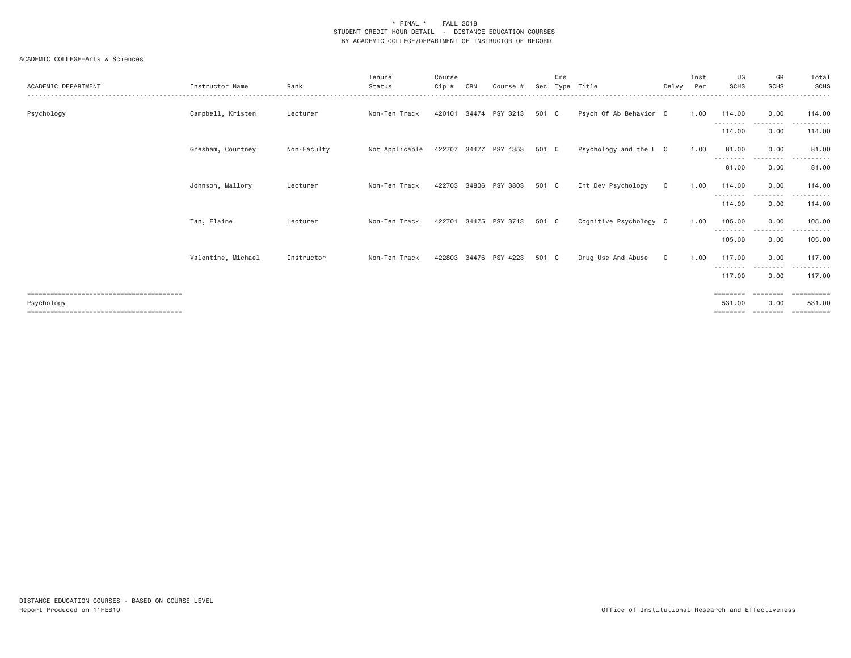| ACADEMIC DEPARTMENT | Instructor Name    | Rank        | Tenure<br>Status | Course<br>$Cip$ # | CRN   | Course #              | Sec   | Crs<br>Tvpe | Title                  | Delvv        | Inst<br>Per | UG<br><b>SCHS</b>          | GR<br><b>SCHS</b>  | Total<br>SCHS          |
|---------------------|--------------------|-------------|------------------|-------------------|-------|-----------------------|-------|-------------|------------------------|--------------|-------------|----------------------------|--------------------|------------------------|
| Psychology          | Campbell, Kristen  | Lecturer    | Non-Ten Track    | 420101            | 34474 | PSY 3213              | 501 C |             | Psych Of Ab Behavior 0 |              | 1.00        | 114.00<br>.                | 0.00               | 114,00                 |
|                     |                    |             |                  |                   |       |                       |       |             |                        |              |             | 114.00                     | 0.00               | 114.00                 |
|                     | Gresham, Courtney  | Non-Faculty | Not Applicable   |                   |       | 422707 34477 PSY 4353 | 501 C |             | Psychology and the L 0 |              | 1.00        | 81.00<br>- - - - - - - - - | 0.00<br>.          | 81.00<br>.             |
|                     |                    |             |                  |                   |       |                       |       |             |                        |              |             | 81.00                      | 0.00               | 81.00                  |
|                     | Johnson, Mallory   | Lecturer    | Non-Ten Track    | 422703            |       | 34806 PSY 3803        | 501 C |             | Int Dev Psychology     | $\mathbf{0}$ | 1.00        | 114,00<br>.                | 0.00<br>. <b>.</b> | 114.00                 |
|                     |                    |             |                  |                   |       |                       |       |             |                        |              |             | 114.00                     | 0.00               | 114.00                 |
|                     | Tan, Elaine        | Lecturer    | Non-Ten Track    | 422701            |       | 34475 PSY 3713        | 501 C |             | Cognitive Psychology 0 |              | 1.00        | 105.00<br>---------        | 0.00<br>--------   | 105.00<br>.            |
|                     |                    |             |                  |                   |       |                       |       |             |                        |              |             | 105.00                     | 0.00               | 105.00                 |
|                     | Valentine, Michael | Instructor  | Non-Ten Track    | 422803            |       | 34476 PSY 4223        | 501 C |             | Drug Use And Abuse     | $\circ$      | 1.00        | 117,00<br>---------        | 0.00<br>---------  | 117,00<br>. <u>.</u> . |
|                     |                    |             |                  |                   |       |                       |       |             |                        |              |             | 117.00                     | 0.00               | 117,00                 |
|                     |                    |             |                  |                   |       |                       |       |             |                        |              |             | $=$ = = = = = = =          | ========           | ==========             |
| Psychology          |                    |             |                  |                   |       |                       |       |             |                        |              |             | 531.00<br>========         | 0.00<br>========   | 531,00<br>==========   |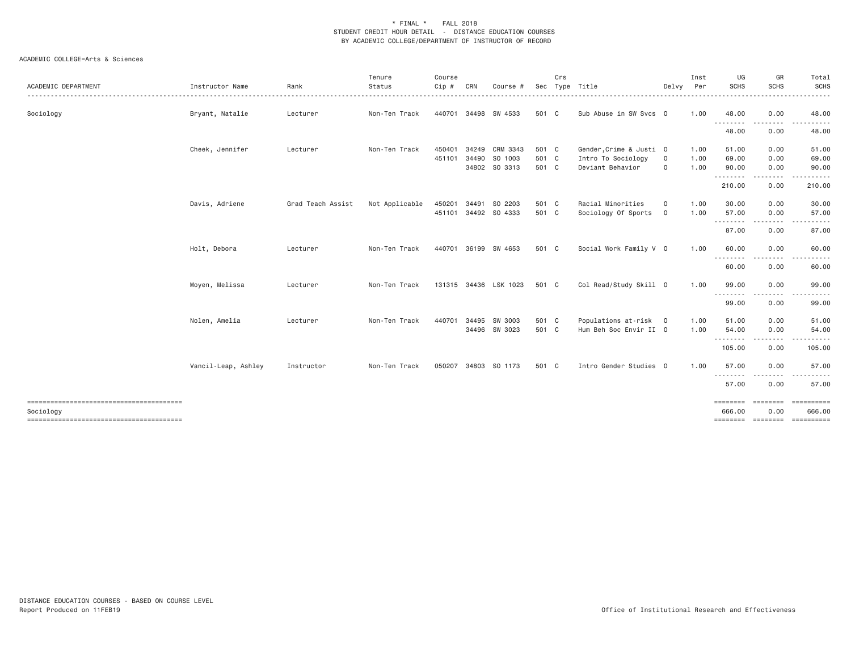| ACADEMIC DEPARTMENT | Instructor Name     | Rank              | Tenure<br>Status<br>. | Course<br>$Cip$ # | CRN   | Course #              | Sec   | Crs | Type Title              | Delvy       | Inst<br>Per | UG<br><b>SCHS</b>                | GR<br>SCHS                                                                                                                                                                              | Total<br>SCHS<br>. |
|---------------------|---------------------|-------------------|-----------------------|-------------------|-------|-----------------------|-------|-----|-------------------------|-------------|-------------|----------------------------------|-----------------------------------------------------------------------------------------------------------------------------------------------------------------------------------------|--------------------|
| Sociology           | Bryant, Natalie     | Lecturer          | Non-Ten Track         | 440701            |       | 34498 SW 4533         | 501 C |     | Sub Abuse in SW Svcs 0  |             | 1.00        | 48.00                            | 0.00                                                                                                                                                                                    | 48.00              |
|                     |                     |                   |                       |                   |       |                       |       |     |                         |             |             | --------<br>48.00                | --------<br>0.00                                                                                                                                                                        | .<br>48.00         |
|                     | Cheek, Jennifer     | Lecturer          | Non-Ten Track         | 450401            |       | 34249 CRM 3343        | 501 C |     | Gender, Crime & Justi 0 |             | 1.00        | 51.00                            | 0.00                                                                                                                                                                                    | 51.00              |
|                     |                     |                   |                       | 451101            |       | 34490 SO 1003         | 501 C |     | Intro To Sociology      | $\mathbf 0$ | 1.00        | 69.00                            | 0.00                                                                                                                                                                                    | 69.00              |
|                     |                     |                   |                       |                   |       | 34802 SO 3313         | 501 C |     | Deviant Behavior        | $\mathbf 0$ | 1.00        | 90.00                            | 0.00                                                                                                                                                                                    | 90.00              |
|                     |                     |                   |                       |                   |       |                       |       |     |                         |             |             | 210.00                           | 0.00                                                                                                                                                                                    | 210.00             |
|                     | Davis, Adriene      | Grad Teach Assist | Not Applicable        | 450201            | 34491 | SO 2203               | 501 C |     | Racial Minorities       | $\circ$     | 1.00        | 30.00                            | 0.00                                                                                                                                                                                    | 30.00              |
|                     |                     |                   |                       | 451101            |       | 34492 SO 4333         | 501 C |     | Sociology Of Sports     | $\mathbf 0$ | 1.00        | 57.00                            | 0.00                                                                                                                                                                                    | 57.00              |
|                     |                     |                   |                       |                   |       |                       |       |     |                         |             |             | ---------<br>87.00               | $\frac{1}{2} \left( \frac{1}{2} \right) \left( \frac{1}{2} \right) \left( \frac{1}{2} \right) \left( \frac{1}{2} \right) \left( \frac{1}{2} \right) \left( \frac{1}{2} \right)$<br>0.00 | .<br>87.00         |
|                     | Holt, Debora        | Lecturer          | Non-Ten Track         | 440701            |       | 36199 SW 4653         | 501 C |     | Social Work Family V 0  |             | 1.00        | 60.00                            | 0.00                                                                                                                                                                                    | 60.00              |
|                     |                     |                   |                       |                   |       |                       |       |     |                         |             |             | <u> - - - - - - - -</u><br>60.00 | 0.00                                                                                                                                                                                    | 60.00              |
|                     | Moyen, Melissa      | Lecturer          | Non-Ten Track         |                   |       | 131315 34436 LSK 1023 | 501 C |     | Col Read/Study Skill 0  |             | 1.00        | 99.00                            | 0.00                                                                                                                                                                                    | 99.00              |
|                     |                     |                   |                       |                   |       |                       |       |     |                         |             |             | --------<br>99.00                | 0.00                                                                                                                                                                                    | 99.00              |
|                     | Nolen, Amelia       | Lecturer          | Non-Ten Track         | 440701            |       | 34495 SW 3003         | 501 C |     | Populations at-risk 0   |             | 1.00        | 51.00                            | 0.00                                                                                                                                                                                    | 51.00              |
|                     |                     |                   |                       |                   |       | 34496 SW 3023         | 501 C |     | Hum Beh Soc Envir II 0  |             | 1.00        | 54.00                            | 0.00                                                                                                                                                                                    | 54.00              |
|                     |                     |                   |                       |                   |       |                       |       |     |                         |             |             | --------<br>105.00               | .<br>0.00                                                                                                                                                                               | 105.00             |
|                     | Vancil-Leap, Ashley | Instructor        | Non-Ten Track         | 050207            |       | 34803 SO 1173         | 501 C |     | Intro Gender Studies 0  |             | 1.00        | 57,00                            | 0.00                                                                                                                                                                                    | 57.00              |
|                     |                     |                   |                       |                   |       |                       |       |     |                         |             |             | .<br>57.00                       | 0.00                                                                                                                                                                                    | 57.00              |
|                     |                     |                   |                       |                   |       |                       |       |     |                         |             |             | <b>EBBERSE</b>                   | ---------                                                                                                                                                                               | ==========         |
| Sociology           |                     |                   |                       |                   |       |                       |       |     |                         |             |             | 666,00                           | 0.00                                                                                                                                                                                    | 666,00             |
|                     |                     |                   |                       |                   |       |                       |       |     |                         |             |             |                                  |                                                                                                                                                                                         |                    |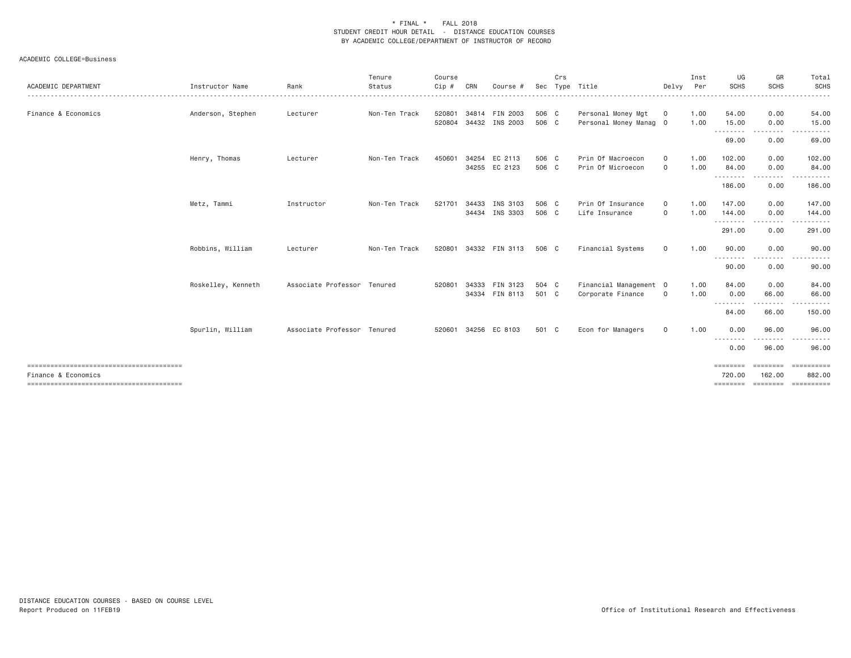|                     |                    |                             | Tenure        | Course |       |                |       | Crs |                        |             | Inst | UG                                                                                                                                                                                                                                                                                                                                                                                                                                                                                              | GR                 | Total                                                                                                                              |
|---------------------|--------------------|-----------------------------|---------------|--------|-------|----------------|-------|-----|------------------------|-------------|------|-------------------------------------------------------------------------------------------------------------------------------------------------------------------------------------------------------------------------------------------------------------------------------------------------------------------------------------------------------------------------------------------------------------------------------------------------------------------------------------------------|--------------------|------------------------------------------------------------------------------------------------------------------------------------|
| ACADEMIC DEPARTMENT | Instructor Name    | Rank                        | Status        | Cip #  | CRN   | Course ;       | Sec   |     | Type Title             | Delvy       | Per  | <b>SCHS</b>                                                                                                                                                                                                                                                                                                                                                                                                                                                                                     | <b>SCHS</b>        | SCHS                                                                                                                               |
| Finance & Economics | Anderson, Stephen  | Lecturer                    | Non-Ten Track | 520801 |       | 34814 FIN 2003 | 506 C |     | Personal Money Mgt     | $\mathbf 0$ | 1.00 | 54.00                                                                                                                                                                                                                                                                                                                                                                                                                                                                                           | 0.00               | 54.00                                                                                                                              |
|                     |                    |                             |               | 520804 |       | 34432 INS 2003 | 506 C |     | Personal Money Manag 0 |             | 1.00 | 15.00<br>--------                                                                                                                                                                                                                                                                                                                                                                                                                                                                               | 0.00<br>-----      | 15.00                                                                                                                              |
|                     |                    |                             |               |        |       |                |       |     |                        |             |      | 69.00                                                                                                                                                                                                                                                                                                                                                                                                                                                                                           | 0.00               | 69.00                                                                                                                              |
|                     | Henry, Thomas      | Lecturer                    | Non-Ten Track | 450601 | 34254 | EC 2113        | 506 C |     | Prin Of Macroecon      | $\circ$     | 1.00 | 102.00                                                                                                                                                                                                                                                                                                                                                                                                                                                                                          | 0.00               | 102.00                                                                                                                             |
|                     |                    |                             |               |        |       | 34255 EC 2123  | 506 C |     | Prin Of Microecon      | $\mathbf 0$ | 1.00 | 84.00<br>.                                                                                                                                                                                                                                                                                                                                                                                                                                                                                      | 0.00<br>-----      | 84.00<br>$\begin{array}{cccccccccccccc} \bullet & \bullet & \bullet & \bullet & \bullet & \bullet & \bullet & \bullet \end{array}$ |
|                     |                    |                             |               |        |       |                |       |     |                        |             |      | 186.00                                                                                                                                                                                                                                                                                                                                                                                                                                                                                          | 0.00               | 186.00                                                                                                                             |
|                     | Metz, Tammi        | Instructor                  | Non-Ten Track | 521701 | 34433 | INS 3103       | 506 C |     | Prin Of Insurance      | $\circ$     | 1.00 | 147.00                                                                                                                                                                                                                                                                                                                                                                                                                                                                                          | 0.00               | 147.00                                                                                                                             |
|                     |                    |                             |               |        |       | 34434 INS 3303 | 506 C |     | Life Insurance         | $\mathbf 0$ | 1.00 | 144.00<br>.                                                                                                                                                                                                                                                                                                                                                                                                                                                                                     | 0.00               | 144.00<br>-----                                                                                                                    |
|                     |                    |                             |               |        |       |                |       |     |                        |             |      | 291.00                                                                                                                                                                                                                                                                                                                                                                                                                                                                                          | 0.00               | 291.00                                                                                                                             |
|                     | Robbins, William   | Lecturer                    | Non-Ten Track | 520801 |       | 34332 FIN 3113 | 506 C |     | Financial Systems      | $\circ$     | 1.00 | 90.00<br>$\begin{array}{cccccccccccccc} \multicolumn{2}{c}{} & \multicolumn{2}{c}{} & \multicolumn{2}{c}{} & \multicolumn{2}{c}{} & \multicolumn{2}{c}{} & \multicolumn{2}{c}{} & \multicolumn{2}{c}{} & \multicolumn{2}{c}{} & \multicolumn{2}{c}{} & \multicolumn{2}{c}{} & \multicolumn{2}{c}{} & \multicolumn{2}{c}{} & \multicolumn{2}{c}{} & \multicolumn{2}{c}{} & \multicolumn{2}{c}{} & \multicolumn{2}{c}{} & \multicolumn{2}{c}{} & \multicolumn{2}{c}{} & \multicolumn{2}{c}{} & \$ | 0.00               | 90.00<br>. <u>.</u> .                                                                                                              |
|                     |                    |                             |               |        |       |                |       |     |                        |             |      | 90.00                                                                                                                                                                                                                                                                                                                                                                                                                                                                                           | 0.00               | 90.00                                                                                                                              |
|                     | Roskelley, Kenneth | Associate Professor Tenured |               | 520801 | 34333 | FIN 3123       | 504 C |     | Financial Management 0 |             | 1.00 | 84.00                                                                                                                                                                                                                                                                                                                                                                                                                                                                                           | 0.00               | 84.00                                                                                                                              |
|                     |                    |                             |               |        |       | 34334 FIN 8113 | 501 C |     | Corporate Finance      | $\mathbf 0$ | 1.00 | 0.00<br>- - - -                                                                                                                                                                                                                                                                                                                                                                                                                                                                                 | 66.00              | 66.00<br>- - - - - -                                                                                                               |
|                     |                    |                             |               |        |       |                |       |     |                        |             |      | 84.00                                                                                                                                                                                                                                                                                                                                                                                                                                                                                           | 66.00              | 150.00                                                                                                                             |
|                     | Spurlin, William   | Associate Professor Tenured |               | 520601 |       | 34256 EC 8103  | 501 C |     | Econ for Managers      | $\circ$     | 1.00 | 0.00                                                                                                                                                                                                                                                                                                                                                                                                                                                                                            | 96.00              | 96.00                                                                                                                              |
|                     |                    |                             |               |        |       |                |       |     |                        |             |      | --------<br>0.00                                                                                                                                                                                                                                                                                                                                                                                                                                                                                | 96.00              | 96.00                                                                                                                              |
| Finance & Economics |                    |                             |               |        |       |                |       |     |                        |             |      | ========<br>720,00                                                                                                                                                                                                                                                                                                                                                                                                                                                                              | ========<br>162,00 | - = = = = = = = = =<br>882,00                                                                                                      |
|                     |                    |                             |               |        |       |                |       |     |                        |             |      | ========                                                                                                                                                                                                                                                                                                                                                                                                                                                                                        |                    | ========= ==========                                                                                                               |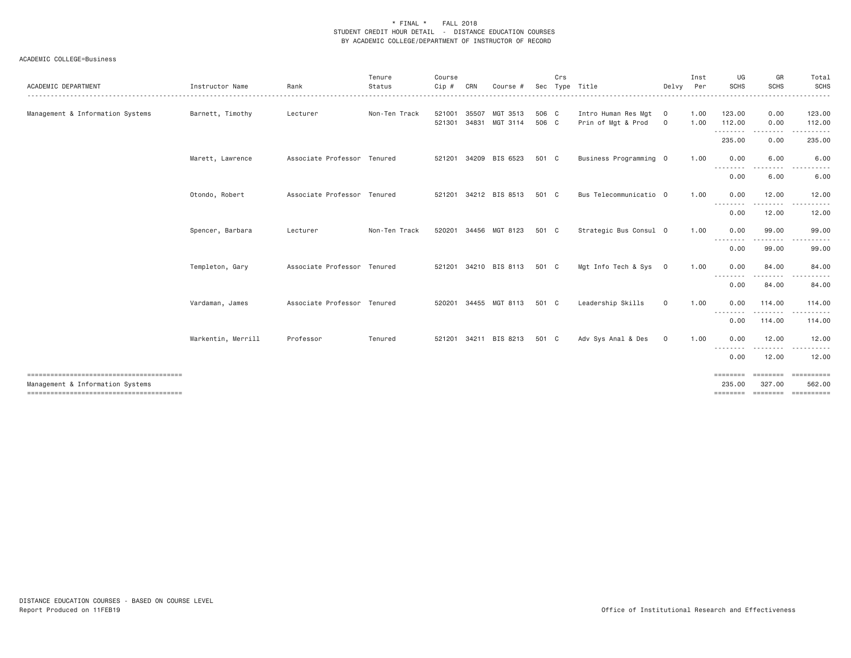| ACADEMIC DEPARTMENT              | Instructor Name    | Rank                        | Tenure<br>Status | Course<br>Cip # | CRN   | Course #                          | Sec            | Crs | Type Title                                | Delvy                         | Inst<br>Per  | UG<br><b>SCHS</b>  | GR<br><b>SCHS</b>  | Total<br><b>SCHS</b><br>. |
|----------------------------------|--------------------|-----------------------------|------------------|-----------------|-------|-----------------------------------|----------------|-----|-------------------------------------------|-------------------------------|--------------|--------------------|--------------------|---------------------------|
| Management & Information Systems | Barnett, Timothy   | Lecturer                    | Non-Ten Track    | 521301          | 34831 | 521001 35507 MGT 3513<br>MGT 3114 | 506 C<br>506 C |     | Intro Human Res Mgt<br>Prin of Mgt & Prod | $\overline{0}$<br>$\mathbf 0$ | 1.00<br>1.00 | 123.00<br>112.00   | 0.00<br>0.00       | 123.00<br>112.00          |
|                                  |                    |                             |                  |                 |       |                                   |                |     |                                           |                               |              | .<br>235.00        | -----<br>0.00      | 235.00                    |
|                                  | Marett, Lawrence   | Associate Professor Tenured |                  | 521201          |       | 34209 BIS 6523                    | 501 C          |     | Business Programming 0                    |                               | 1.00         | 0.00               | 6.00               | 6.00                      |
|                                  |                    |                             |                  |                 |       |                                   |                |     |                                           |                               |              | --------<br>0.00   | 6.00               | 6.00                      |
|                                  | Otondo, Robert     | Associate Professor Tenured |                  |                 |       | 521201 34212 BIS 8513             | 501 C          |     | Bus Telecommunicatio 0                    |                               | 1.00         | 0.00<br>--------   | 12.00<br>------    | 12.00                     |
|                                  |                    |                             |                  |                 |       |                                   |                |     |                                           |                               |              | 0.00               | 12.00              | 12.00                     |
|                                  | Spencer, Barbara   | Lecturer                    | Non-Ten Track    |                 |       | 520201 34456 MGT 8123             | 501 C          |     | Strategic Bus Consul 0                    |                               | 1.00         | 0.00<br>.          | 99.00<br>.         | 99.00<br>-------          |
|                                  |                    |                             |                  |                 |       |                                   |                |     |                                           |                               |              | 0.00               | 99.00              | 99.00                     |
|                                  | Templeton, Gary    | Associate Professor Tenured |                  |                 |       | 521201 34210 BIS 8113             | 501 C          |     | Mgt Info Tech & Sys 0                     |                               | 1.00         | 0.00<br>.          | 84.00              | 84.00                     |
|                                  |                    |                             |                  |                 |       |                                   |                |     |                                           |                               |              | 0.00               | 84.00              | 84.00                     |
|                                  | Vardaman, James    | Associate Professor Tenured |                  |                 |       | 520201 34455 MGT 8113             | 501 C          |     | Leadership Skills                         | $\circ$                       | 1.00         | 0.00<br>--------   | 114,00<br>.        | 114.00<br>----------      |
|                                  |                    |                             |                  |                 |       |                                   |                |     |                                           |                               |              | 0.00               | 114.00             | 114.00                    |
|                                  | Warkentin, Merrill | Professor                   | Tenured          |                 |       | 521201 34211 BIS 8213             | 501 C          |     | Adv Sys Anal & Des                        | $\circ$                       | 1.00         | 0.00<br>--------   | 12.00              | 12.00                     |
|                                  |                    |                             |                  |                 |       |                                   |                |     |                                           |                               |              | 0.00               | 12.00              | 12.00                     |
| Management & Information Systems |                    |                             |                  |                 |       |                                   |                |     |                                           |                               |              | ========<br>235.00 | ========<br>327.00 | ==========<br>562.00      |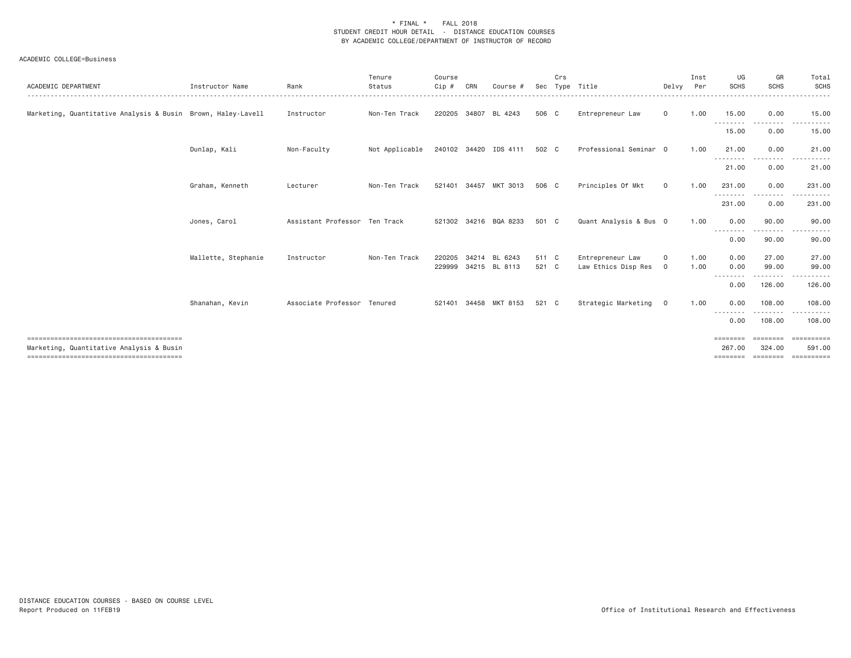| ACADEMIC DEPARTMENT                                          | Instructor Name     | Rank                          | Tenure<br>Status                     | Course<br>Cip#   | CRN   | Course                   | Sec            | Crs | Type Title                              | Delvy          | Inst<br>Per  | UG<br><b>SCHS</b>                       | GR<br><b>SCHS</b>               | Total<br>SCHS                               |
|--------------------------------------------------------------|---------------------|-------------------------------|--------------------------------------|------------------|-------|--------------------------|----------------|-----|-----------------------------------------|----------------|--------------|-----------------------------------------|---------------------------------|---------------------------------------------|
| Marketing, Quantitative Analysis & Busin Brown, Haley-Lavell |                     | Instructor                    | Non-Ten Track                        |                  |       | 220205 34807 BL 4243     | 506 C          |     | Entrepreneur Law                        | $\mathbf{0}$   | 1.00         | 15.00<br>.                              | 0.00<br>$\frac{1}{2}$           | 15.00                                       |
|                                                              |                     |                               |                                      |                  |       |                          |                |     |                                         |                |              | 15.00                                   | 0.00                            | 15.00                                       |
|                                                              | Dunlap, Kali        | Non-Faculty                   | Not Applicable 240102 34420 IDS 4111 |                  |       |                          | 502 C          |     | Professional Seminar 0                  |                | 1.00         | 21.00                                   | 0.00                            | 21.00                                       |
|                                                              |                     |                               |                                      |                  |       |                          |                |     |                                         |                |              | --------<br>21.00                       | . <b>.</b> .<br>0.00            | 21.00                                       |
|                                                              | Graham, Kenneth     | Lecturer                      | Non-Ten Track                        |                  |       | 521401 34457 MKT 3013    | 506 C          |     | Principles Of Mkt                       | $\mathbf 0$    | 1.00         | 231,00                                  | 0.00                            | 231.00                                      |
|                                                              |                     |                               |                                      |                  |       |                          |                |     |                                         |                |              | .<br>231.00                             | $- - - - -$<br>0.00             | 231.00                                      |
|                                                              | Jones, Carol        | Assistant Professor Ten Track |                                      |                  |       | 521302 34216 BQA 8233    | 501 C          |     | Quant Analysis & Bus 0                  |                | 1.00         | 0.00                                    | 90.00                           | 90.00                                       |
|                                                              |                     |                               |                                      |                  |       |                          |                |     |                                         |                |              | ---------<br>0.00                       | $\cdots \cdots \cdots$<br>90.00 | 90.00                                       |
|                                                              | Mallette, Stephanie | Instructor                    | Non-Ten Track                        | 220205<br>229999 | 34214 | BL 6243<br>34215 BL 8113 | 511 C<br>521 C |     | Entrepreneur Law<br>Law Ethics Disp Res | 0<br>$\circ$   | 1.00<br>1.00 | 0.00<br>0.00                            | 27.00<br>99.00                  | 27.00<br>99.00                              |
|                                                              |                     |                               |                                      |                  |       |                          |                |     |                                         |                |              | <u>.</u>                                | 126.00                          |                                             |
|                                                              |                     | Associate Professor Tenured   |                                      |                  |       | 34458 MKT 8153           | 521 C          |     |                                         |                |              | 0.00<br>0.00                            | 108,00                          | 126.00                                      |
|                                                              | Shanahan, Kevin     |                               |                                      | 521401           |       |                          |                |     | Strategic Marketing                     | $\overline{0}$ | 1.00         |                                         |                                 | 108.00                                      |
|                                                              |                     |                               |                                      |                  |       |                          |                |     |                                         |                |              | 0.00                                    | 108.00                          | 108.00                                      |
| Marketing, Quantitative Analysis & Busin                     |                     |                               |                                      |                  |       |                          |                |     |                                         |                |              | $=$ = = = = = = =<br>267.00<br>======== | 324.00                          | ==========<br>591.00<br>sessesse essessesse |
|                                                              |                     |                               |                                      |                  |       |                          |                |     |                                         |                |              |                                         |                                 |                                             |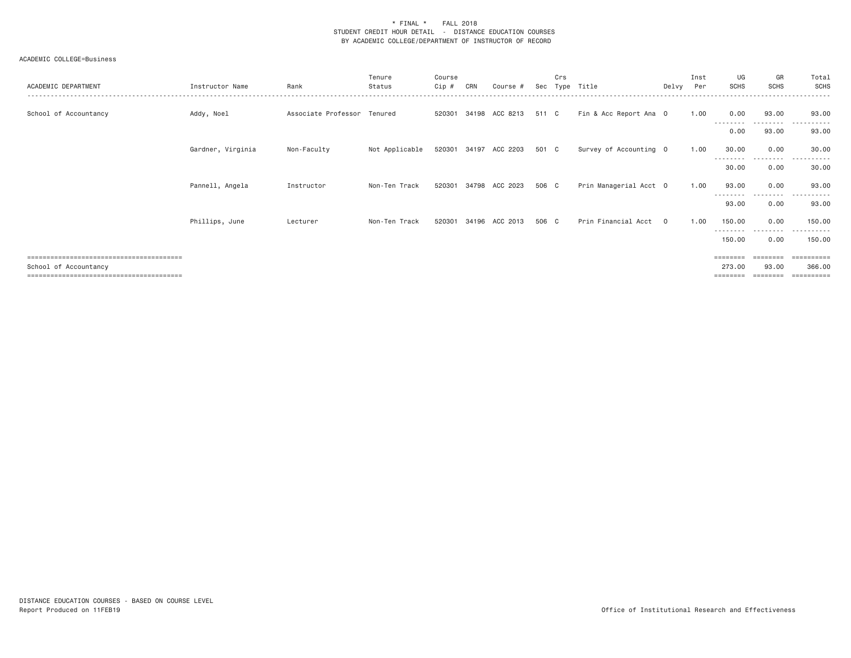| ACADEMIC DEPARTMENT   | Instructor Name   | Rank                        | Tenure<br>Status                     | Course<br>Cip # | CRN | Course #              | Sec   | Crs<br>Tvpe | Title                  | Delvv    | Inst<br>Per | UG<br><b>SCHS</b>           | GR<br><b>SCHS</b>  | Total<br>SCHS                   |
|-----------------------|-------------------|-----------------------------|--------------------------------------|-----------------|-----|-----------------------|-------|-------------|------------------------|----------|-------------|-----------------------------|--------------------|---------------------------------|
| School of Accountancy | Addy, Noel        | Associate Professor Tenured |                                      |                 |     | 520301 34198 ACC 8213 | 511 C |             | Fin & Acc Report Ana O |          | 1.00        | 0.00                        | 93.00              | 93.00<br>$  -$                  |
|                       |                   |                             |                                      |                 |     |                       |       |             |                        |          |             | 0.00                        | ---------<br>93.00 | 93.00                           |
|                       | Gardner, Virginia | Non-Faculty                 | Not Applicable 520301 34197 ACC 2203 |                 |     |                       | 501 C |             | Survey of Accounting 0 |          | 1.00        | 30.00                       | 0.00               | 30.00                           |
|                       |                   |                             |                                      |                 |     |                       |       |             |                        |          |             | 30.00                       | 0.00               | 30.00                           |
|                       | Pannell, Angela   | Instructor                  | Non-Ten Track                        | 520301          |     | 34798 ACC 2023        | 506 C |             | Prin Managerial Acct 0 |          | 1.00        | 93.00                       | 0.00               | 93.00                           |
|                       |                   |                             |                                      |                 |     |                       |       |             |                        |          |             | ---------<br>93.00          | ---------<br>0.00  | .<br>93.00                      |
|                       | Phillips, June    | Lecturer                    | Non-Ten Track                        |                 |     | 520301 34196 ACC 2013 | 506 C |             | Prin Financial Acct    | $\Omega$ | 1.00        | 150.00                      | 0.00               | 150.00                          |
|                       |                   |                             |                                      |                 |     |                       |       |             |                        |          |             | ---------<br>150.00         | 0.00               | 150.00                          |
| School of Accountancy |                   |                             |                                      |                 |     |                       |       |             |                        |          |             | $=$ = = = = = = =<br>273.00 | ========<br>93.00  | $=$ = = = = = = = = =<br>366,00 |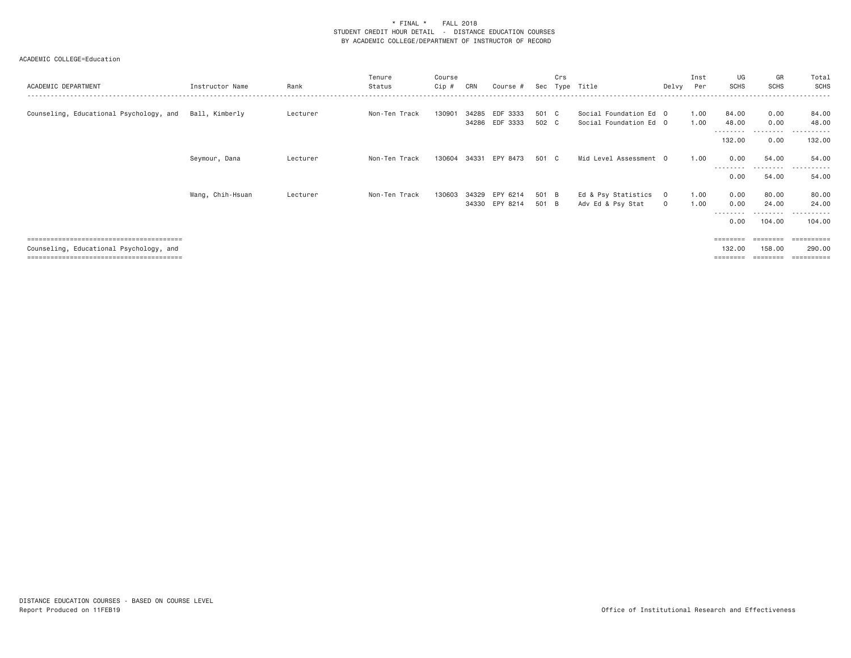| ACADEMIC DEPARTMENT                     | Instructor Name  | Rank     | Tenure<br>Status | Course<br>Cip# | CRN   | Course #                   | Sec            | Crs | Type Title                                       | Delvy                          | Inst<br>Per  | UG<br><b>SCHS</b>   | GR<br><b>SCHS</b>        | Total<br>SCHS        |
|-----------------------------------------|------------------|----------|------------------|----------------|-------|----------------------------|----------------|-----|--------------------------------------------------|--------------------------------|--------------|---------------------|--------------------------|----------------------|
| Counseling, Educational Psychology, and | Ball, Kimberly   | Lecturer | Non-Ten Track    | 130901         | 34285 | EDF 3333<br>34286 EDF 3333 | 501 C<br>502 C |     | Social Foundation Ed 0<br>Social Foundation Ed 0 |                                | 1.00<br>1.00 | 84.00<br>48,00<br>. | 0.00<br>0.00<br>-------- | 84.00<br>48.00       |
|                                         |                  |          |                  |                |       |                            |                |     |                                                  |                                |              | 132.00              | 0.00                     | 132.00               |
|                                         | Seymour, Dana    | Lecturer | Non-Ten Track    | 130604         | 34331 | EPY 8473                   | 501 C          |     | Mid Level Assessment 0                           |                                | 1.00         | 0.00<br>--------    | 54,00<br>---------       | 54,00<br>.           |
|                                         |                  |          |                  |                |       |                            |                |     |                                                  |                                |              | 0.00                | 54.00                    | 54.00                |
|                                         | Wang, Chih-Hsuan | Lecturer | Non-Ten Track    | 130603         | 34329 | EPY 6214<br>34330 EPY 8214 | 501 B<br>501 B |     | Ed & Psy Statistics<br>Adv Ed & Psy Stat         | $\overline{0}$<br>$\mathbf{0}$ | 1.00<br>1.00 | 0.00<br>0.00        | 80.00<br>24.00           | 80.00<br>24.00       |
|                                         |                  |          |                  |                |       |                            |                |     |                                                  |                                |              | 0.00                | 104,00                   | 104,00               |
| Counseling, Educational Psychology, and |                  |          |                  |                |       |                            |                |     |                                                  |                                |              | 132.00              | 158,00                   | ==========<br>290.00 |
|                                         |                  |          |                  |                |       |                            |                |     |                                                  |                                |              | ========            | ========                 | ==========           |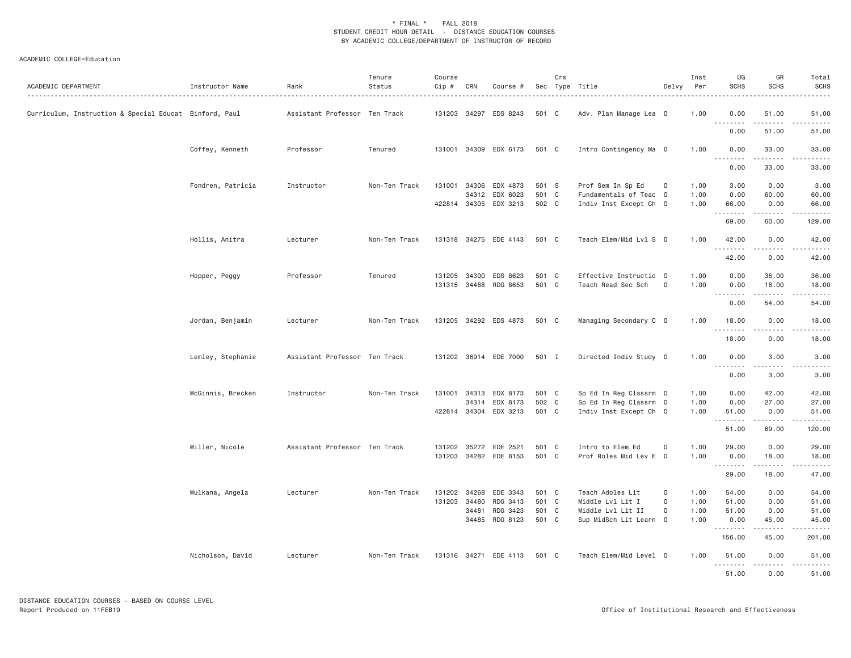| ACADEMIC DEPARTMENT                                    | Instructor Name   | Rank                          | Tenure<br>Status | Course<br>Cip # | CRN          | Course #              |       | Crs | Sec Type Title         | Delvy               | Inst<br>Per | UG<br><b>SCHS</b>     | GR<br><b>SCHS</b>    | Total<br><b>SCHS</b> |
|--------------------------------------------------------|-------------------|-------------------------------|------------------|-----------------|--------------|-----------------------|-------|-----|------------------------|---------------------|-------------|-----------------------|----------------------|----------------------|
| Curriculum, Instruction & Special Educat Binford, Paul |                   | Assistant Professor Ten Track |                  | 131203          |              | 34297 EDS 8243        | 501 C |     | Adv. Plan Manage Lea 0 |                     | 1.00        | 0.00<br>$\frac{1}{2}$ | 51.00                | 51.00<br>.           |
|                                                        |                   |                               |                  |                 |              |                       |       |     |                        |                     |             | 0.00                  | 51.00                | 51.00                |
|                                                        | Coffey, Kenneth   | Professor                     | Tenured          | 131001          |              | 34309 EDX 6173        | 501 C |     | Intro Contingency Ma 0 |                     | 1.00        | 0.00<br>.             | 33.00<br>.           | 33.00<br>.           |
|                                                        |                   |                               |                  |                 |              |                       |       |     |                        |                     |             | 0.00                  | 33.00                | 33.00                |
|                                                        | Fondren, Patricia | Instructor                    | Non-Ten Track    | 131001          | 34306        | EDX 4873              | 501 S |     | Prof Sem In Sp Ed      | 0                   | 1.00        | 3.00                  | 0.00                 | 3.00                 |
|                                                        |                   |                               |                  |                 | 34312        | EDX 8023              | 501 C |     | Fundamentals of Teac 0 |                     | 1.00        | 0.00                  | 60.00                | 60.00                |
|                                                        |                   |                               |                  |                 |              | 422814 34305 EDX 3213 | 502 C |     | Indiv Inst Except Ch 0 |                     | 1.00        | 66.00                 | 0.00                 | 66.00                |
|                                                        |                   |                               |                  |                 |              |                       |       |     |                        |                     |             | .<br>69.00            | .<br>60.00           | .<br>129.00          |
|                                                        | Hollis, Anitra    | Lecturer                      | Non-Ten Track    |                 |              | 131318 34275 EDE 4143 | 501 C |     | Teach Elem/Mid Lvl S 0 |                     | 1.00        | 42.00<br>.            | 0.00<br>.            | 42.00<br>.           |
|                                                        |                   |                               |                  |                 |              |                       |       |     |                        |                     |             | 42.00                 | 0.00                 | 42.00                |
|                                                        | Hopper, Peggy     | Professor                     | Tenured          | 131205          | 34300        | EDS 8623              | 501 C |     | Effective Instructio 0 |                     | 1.00        | 0.00                  | 36.00                | 36.00                |
|                                                        |                   |                               |                  |                 | 131315 34488 | RDG 8653              | 501 C |     | Teach Read Sec Sch     | $\mathbf 0$         | 1.00        | 0.00                  | 18.00                | 18.00                |
|                                                        |                   |                               |                  |                 |              |                       |       |     |                        |                     |             | .<br>0.00             | المستسما<br>54.00    | المتماما<br>54.00    |
|                                                        |                   |                               |                  |                 |              |                       |       |     |                        |                     |             |                       |                      |                      |
|                                                        | Jordan, Benjamin  | Lecturer                      | Non-Ten Track    |                 |              | 131205 34292 EDS 4873 | 501 C |     | Managing Secondary C 0 |                     | 1.00        | 18.00<br>.            | 0.00<br>. <b>.</b> . | 18.00<br>.           |
|                                                        |                   |                               |                  |                 |              |                       |       |     |                        |                     |             | 18.00                 | 0.00                 | 18.00                |
|                                                        | Lemley, Stephanie | Assistant Professor Ten Track |                  |                 |              | 131202 36914 EDE 7000 | 501 I |     | Directed Indiv Study 0 |                     | 1.00        | 0.00<br><u>.</u>      | 3.00                 | 3.00                 |
|                                                        |                   |                               |                  |                 |              |                       |       |     |                        |                     |             | 0.00                  | 3.00                 | 3.00                 |
|                                                        | McGinnis, Brecken | Instructor                    | Non-Ten Track    | 131001          |              | 34313 EDX 8173        | 501 C |     | Sp Ed In Reg Classrm 0 |                     | 1.00        | 0.00                  | 42.00                | 42.00                |
|                                                        |                   |                               |                  |                 | 34314        | EDX 8173              | 502 C |     | Sp Ed In Reg Classrm 0 |                     | 1.00        | 0.00                  | 27.00                | 27.00                |
|                                                        |                   |                               |                  |                 |              | 422814 34304 EDX 3213 | 501 C |     | Indiv Inst Except Ch 0 |                     | 1.00        | 51.00                 | 0.00                 | 51.00                |
|                                                        |                   |                               |                  |                 |              |                       |       |     |                        |                     |             | .<br>51.00            | <b></b><br>69.00     | <u>.</u><br>120.00   |
|                                                        | Miller, Nicole    | Assistant Professor Ten Track |                  | 131202          |              | 35272 EDE 2521        | 501 C |     | Intro to Elem Ed       | $\mathsf{O}\xspace$ | 1.00        | 29.00                 | 0.00                 | 29.00                |
|                                                        |                   |                               |                  | 131203          |              | 34282 EDE 8153        | 501 C |     | Prof Roles Mid Lev E 0 |                     | 1.00        | 0.00                  | 18.00                | 18.00                |
|                                                        |                   |                               |                  |                 |              |                       |       |     |                        |                     |             | .                     | .                    | المتماما             |
|                                                        |                   |                               |                  |                 |              |                       |       |     |                        |                     |             | 29.00                 | 18.00                | 47.00                |
|                                                        | Mulkana, Angela   | Lecturer                      | Non-Ten Track    | 131202          | 34268        | EDE 3343              | 501 C |     | Teach Adoles Lit       | $\mathbf 0$         | 1.00        | 54.00                 | 0.00                 | 54.00                |
|                                                        |                   |                               |                  | 131203          | 34480        | RDG 3413              | 501 C |     | Middle Lvl Lit I       | $\mathbf 0$         | 1.00        | 51.00                 | 0.00                 | 51.00                |
|                                                        |                   |                               |                  |                 | 34481        | RDG 3423              | 501 C |     | Middle Lvl Lit II      | 0                   | 1.00        | 51.00                 | 0.00                 | 51.00                |
|                                                        |                   |                               |                  |                 |              | 34485 RDG 8123        | 501 C |     | Sup MidSch Lit Learn 0 |                     | 1.00        | 0.00<br><u>.</u>      | 45.00<br>$- - - - -$ | 45.00<br>.           |
|                                                        |                   |                               |                  |                 |              |                       |       |     |                        |                     |             | 156.00                | 45.00                | 201.00               |
|                                                        | Nicholson, David  | Lecturer                      | Non-Ten Track    |                 |              | 131316 34271 EDE 4113 | 501 C |     | Teach Elem/Mid Level 0 |                     | 1.00        | 51.00<br><u>.</u>     | 0.00<br><u>.</u>     | 51.00<br>.           |
|                                                        |                   |                               |                  |                 |              |                       |       |     |                        |                     |             | 51.00                 | 0.00                 | 51.00                |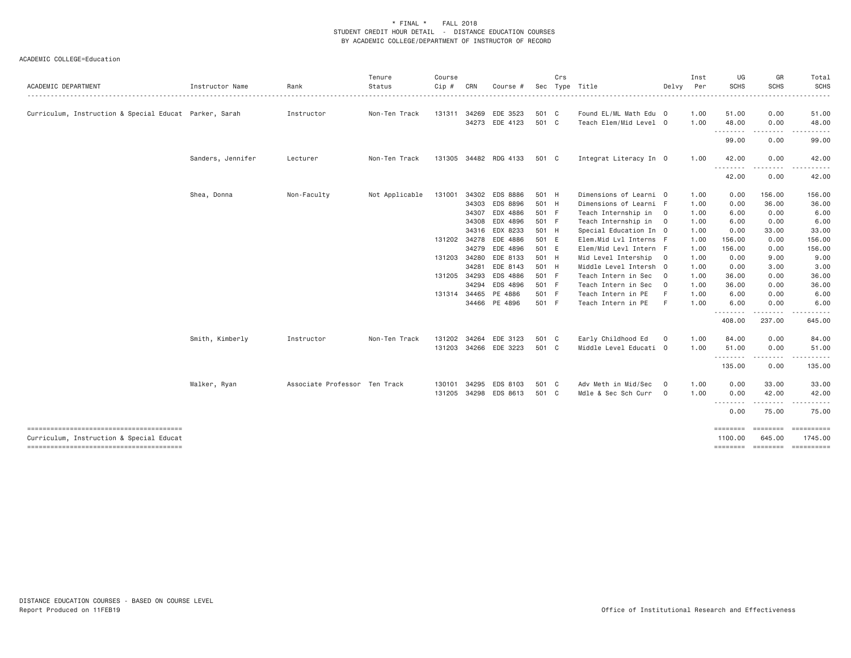|                                                        |                   |                               | Tenure         | Course |              |                       |       | Crs |                        |                | Inst | UG                 | GR                  | Total                                       |
|--------------------------------------------------------|-------------------|-------------------------------|----------------|--------|--------------|-----------------------|-------|-----|------------------------|----------------|------|--------------------|---------------------|---------------------------------------------|
| <b>ACADEMIC DEPARTMENT</b>                             | Instructor Name   | Rank                          | Status         | Cip #  | CRN          | Course #              | Sec   |     | Type Title             | Delvy          | Per  | <b>SCHS</b>        | <b>SCHS</b>         | <b>SCHS</b>                                 |
|                                                        |                   |                               | . <u>.</u> .   |        |              |                       |       |     |                        |                |      |                    |                     |                                             |
| Curriculum, Instruction & Special Educat Parker, Sarah |                   | Instructor                    | Non-Ten Track  | 131311 |              | 34269 EDE 3523        | 501 C |     | Found EL/ML Math Edu 0 |                | 1.00 | 51.00              | 0.00                | 51.00                                       |
|                                                        |                   |                               |                |        |              | 34273 EDE 4123        | 501 C |     | Teach Elem/Mid Level 0 |                | 1.00 | 48.00              | 0.00                | 48.00                                       |
|                                                        |                   |                               |                |        |              |                       |       |     |                        |                |      | .                  | .                   |                                             |
|                                                        |                   |                               |                |        |              |                       |       |     |                        |                |      | 99.00              | 0.00                | 99.00                                       |
|                                                        | Sanders, Jennifer | Lecturer                      | Non-Ten Track  |        |              | 131305 34482 RDG 4133 | 501 C |     | Integrat Literacy In 0 |                | 1.00 | 42.00<br><u>.</u>  | 0.00<br>.           | 42.00<br>.                                  |
|                                                        |                   |                               |                |        |              |                       |       |     |                        |                |      | 42.00              | 0.00                | 42.00                                       |
|                                                        | Shea, Donna       | Non-Faculty                   | Not Applicable | 131001 |              | 34302 EDS 8886        | 501 H |     | Dimensions of Learni 0 |                | 1.00 | 0.00               | 156.00              | 156.00                                      |
|                                                        |                   |                               |                |        | 34303        | EDS 8896              | 501 H |     | Dimensions of Learni F |                | 1.00 | 0.00               | 36.00               | 36.00                                       |
|                                                        |                   |                               |                |        | 34307        | EDX 4886              | 501 F |     | Teach Internship in    | $\overline{0}$ | 1.00 | 6.00               | 0.00                | 6.00                                        |
|                                                        |                   |                               |                |        |              | 34308 EDX 4896        | 501 F |     | Teach Internship in 0  |                | 1.00 | 6.00               | 0.00                | 6.00                                        |
|                                                        |                   |                               |                |        |              | 34316 EDX 8233        | 501 H |     | Special Education In 0 |                | 1.00 | 0.00               | 33.00               | 33.00                                       |
|                                                        |                   |                               |                |        |              | 131202 34278 EDE 4886 | 501 E |     | Elem.Mid Lvl Interns F |                | 1.00 | 156.00             | 0.00                | 156.00                                      |
|                                                        |                   |                               |                |        |              | 34279 EDE 4896        | 501 E |     | Elem/Mid Levl Intern F |                | 1.00 | 156.00             | 0.00                | 156.00                                      |
|                                                        |                   |                               |                |        | 131203 34280 | EDE 8133              | 501 H |     | Mid Level Intership    | $\overline{0}$ | 1.00 | 0.00               | 9.00                | 9.00                                        |
|                                                        |                   |                               |                |        | 34281        | EDE 8143              | 501 H |     | Middle Level Intersh 0 |                | 1.00 | 0.00               | 3.00                | 3.00                                        |
|                                                        |                   |                               |                |        | 131205 34293 | EDS 4886              | 501 F |     | Teach Intern in Sec    | $\overline{0}$ | 1.00 | 36.00              | 0.00                | 36.00                                       |
|                                                        |                   |                               |                |        | 34294        | EDS 4896              | 501 F |     | Teach Intern in Sec    | $\overline{0}$ | 1.00 | 36.00              | 0.00                | 36.00                                       |
|                                                        |                   |                               |                |        |              | 131314 34465 PE 4886  | 501 F |     | Teach Intern in PE     | -F             | 1.00 | 6.00               | 0.00                | 6.00                                        |
|                                                        |                   |                               |                |        |              | 34466 PE 4896         | 501 F |     | Teach Intern in PE     | -F             | 1.00 | 6.00               | 0.00                | 6.00                                        |
|                                                        |                   |                               |                |        |              |                       |       |     |                        |                |      | <u>.</u><br>408.00 | 237.00              | 645.00                                      |
|                                                        | Smith, Kimberly   | Instructor                    | Non-Ten Track  | 131202 | 34264        | EDE 3123              | 501 C |     | Early Childhood Ed     | $\mathbf 0$    | 1.00 | 84.00              | 0.00                | 84.00                                       |
|                                                        |                   |                               |                |        |              | 131203 34266 EDE 3223 | 501 C |     | Middle Level Educati 0 |                | 1.00 | 51.00              | 0.00                | 51.00                                       |
|                                                        |                   |                               |                |        |              |                       |       |     |                        |                |      | .<br>135.00        | .<br>0.00           | ------<br>135.00                            |
|                                                        | Walker, Ryan      | Associate Professor Ten Track |                | 130101 | 34295        | EDS 8103              | 501 C |     | Adv Meth in Mid/Sec    | $\circ$        | 1.00 | 0.00               | 33.00               | 33.00                                       |
|                                                        |                   |                               |                |        |              | 131205 34298 EDS 8613 | 501 C |     | Mdle & Sec Sch Curr    | $\overline{0}$ | 1.00 | 0.00               | 42.00               | 42.00                                       |
|                                                        |                   |                               |                |        |              |                       |       |     |                        |                |      | --------<br>0.00   | . <b>.</b><br>75.00 | 75.00                                       |
| --------------------------------------                 |                   |                               |                |        |              |                       |       |     |                        |                |      |                    | --------            |                                             |
| Curriculum, Instruction & Special Educat               |                   |                               |                |        |              |                       |       |     |                        |                |      | 1100.00            | 645.00              | 1745.00<br>stationary accessory proposition |
|                                                        |                   |                               |                |        |              |                       |       |     |                        |                |      |                    |                     |                                             |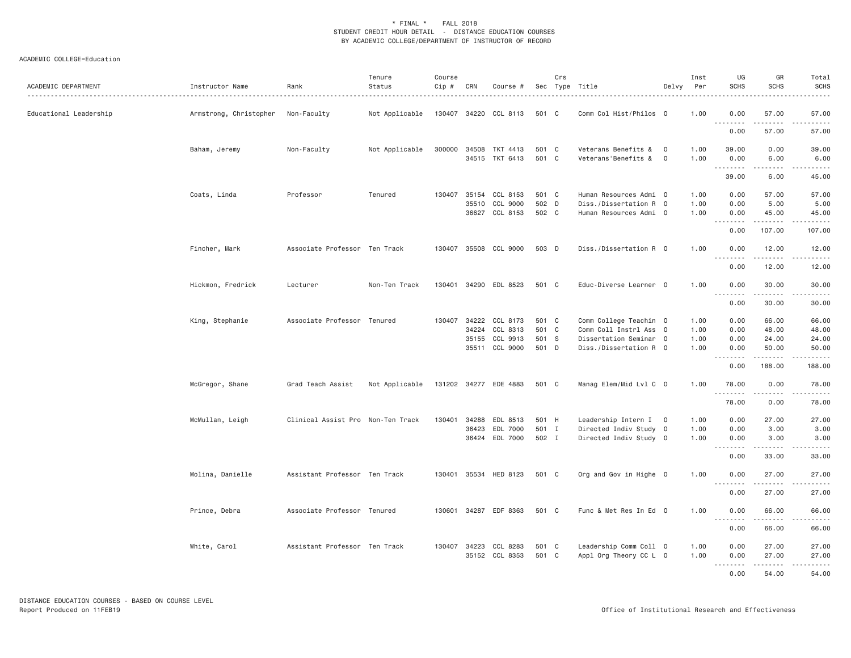| ACADEMIC DEPARTMENT    | Instructor Name                    | Rank                              | Tenure<br>Status<br>. | Course<br>Cip # | CRN   | Course #              |                | Crs | Sec Type Title                               | Delvy          | Inst<br>Per  | UG<br><b>SCHS</b> | GR<br><b>SCHS</b>                                                                                                                                                                                                                                                                                                                           | Total<br><b>SCHS</b><br>$\frac{1}{2}$                                                                                              |
|------------------------|------------------------------------|-----------------------------------|-----------------------|-----------------|-------|-----------------------|----------------|-----|----------------------------------------------|----------------|--------------|-------------------|---------------------------------------------------------------------------------------------------------------------------------------------------------------------------------------------------------------------------------------------------------------------------------------------------------------------------------------------|------------------------------------------------------------------------------------------------------------------------------------|
| Educational Leadership | Armstrong, Christopher Non-Faculty |                                   | Not Applicable        |                 |       | 130407 34220 CCL 8113 | 501 C          |     | Comm Col Hist/Philos 0                       |                | 1.00         | 0.00              | 57.00                                                                                                                                                                                                                                                                                                                                       | 57.00                                                                                                                              |
|                        |                                    |                                   |                       |                 |       |                       |                |     |                                              |                |              | .<br>0.00         | .<br>57.00                                                                                                                                                                                                                                                                                                                                  | .<br>57.00                                                                                                                         |
|                        | Baham, Jeremy                      | Non-Faculty                       | Not Applicable        |                 |       | 300000 34508 TKT 4413 | 501 C<br>501 C |     | Veterans Benefits & 0<br>Veterans'Benefits & | $\overline{0}$ | 1.00<br>1.00 | 39.00             | 0.00                                                                                                                                                                                                                                                                                                                                        | 39.00                                                                                                                              |
|                        |                                    |                                   |                       |                 |       | 34515 TKT 6413        |                |     |                                              |                |              | 0.00<br>.         | 6.00<br>.                                                                                                                                                                                                                                                                                                                                   | 6.00<br>.                                                                                                                          |
|                        |                                    |                                   |                       |                 |       |                       |                |     |                                              |                |              | 39.00             | 6.00                                                                                                                                                                                                                                                                                                                                        | 45.00                                                                                                                              |
|                        | Coats, Linda                       | Professor                         | Tenured               | 130407          |       | 35154 CCL 8153        | 501 C          |     | Human Resources Admi 0                       |                | 1.00         | 0.00              | 57.00                                                                                                                                                                                                                                                                                                                                       | 57.00                                                                                                                              |
|                        |                                    |                                   |                       |                 | 35510 | CCL 9000              | 502 D          |     | Diss./Dissertation R 0                       |                | 1.00         | 0.00              | 5.00                                                                                                                                                                                                                                                                                                                                        | 5.00                                                                                                                               |
|                        |                                    |                                   |                       |                 |       | 36627 CCL 8153        | 502 C          |     | Human Resources Admi 0                       |                | 1.00         | 0.00<br>.         | 45.00<br>.                                                                                                                                                                                                                                                                                                                                  | 45.00<br>$\begin{array}{cccccccccccccc} \bullet & \bullet & \bullet & \bullet & \bullet & \bullet & \bullet & \bullet \end{array}$ |
|                        |                                    |                                   |                       |                 |       |                       |                |     |                                              |                |              | 0.00              | 107.00                                                                                                                                                                                                                                                                                                                                      | 107.00                                                                                                                             |
|                        | Fincher, Mark                      | Associate Professor Ten Track     |                       |                 |       | 130407 35508 CCL 9000 | 503 D          |     | Diss./Dissertation R 0                       |                | 1.00         | 0.00              | 12.00<br>.                                                                                                                                                                                                                                                                                                                                  | 12.00<br>.                                                                                                                         |
|                        |                                    |                                   |                       |                 |       |                       |                |     |                                              |                |              | 0.00              | 12.00                                                                                                                                                                                                                                                                                                                                       | 12.00                                                                                                                              |
|                        | Hickmon, Fredrick                  | Lecturer                          | Non-Ten Track         |                 |       | 130401 34290 EDL 8523 | 501 C          |     | Educ-Diverse Learner 0                       |                | 1.00         | 0.00<br>.         | 30.00<br>.                                                                                                                                                                                                                                                                                                                                  | 30.00<br>.                                                                                                                         |
|                        |                                    |                                   |                       |                 |       |                       |                |     |                                              |                |              | 0.00              | 30.00                                                                                                                                                                                                                                                                                                                                       | 30.00                                                                                                                              |
|                        | King, Stephanie                    | Associate Professor Tenured       |                       |                 |       | 130407 34222 CCL 8173 | 501 C          |     | Comm College Teachin 0                       |                | 1.00         | 0.00              | 66.00                                                                                                                                                                                                                                                                                                                                       | 66.00                                                                                                                              |
|                        |                                    |                                   |                       |                 |       | 34224 CCL 8313        | 501 C          |     | Comm Coll Instrl Ass 0                       |                | 1.00         | 0.00              | 48.00                                                                                                                                                                                                                                                                                                                                       | 48.00                                                                                                                              |
|                        |                                    |                                   |                       |                 |       | 35155 CCL 9913        | 501 S          |     | Dissertation Seminar 0                       |                | 1.00         | 0.00              | 24.00                                                                                                                                                                                                                                                                                                                                       | 24.00                                                                                                                              |
|                        |                                    |                                   |                       |                 |       | 35511 CCL 9000        | 501 D          |     | Diss./Dissertation R 0                       |                | 1.00         | 0.00<br>.         | 50.00<br>.                                                                                                                                                                                                                                                                                                                                  | 50.00<br>.                                                                                                                         |
|                        |                                    |                                   |                       |                 |       |                       |                |     |                                              |                |              | 0.00              | 188.00                                                                                                                                                                                                                                                                                                                                      | 188.00                                                                                                                             |
|                        | McGregor, Shane                    | Grad Teach Assist                 | Not Applicable        |                 |       | 131202 34277 EDE 4883 | 501 C          |     | Manag Elem/Mid Lvl C 0                       |                | 1.00         | 78.00<br><u>.</u> | 0.00<br>. <u>.</u>                                                                                                                                                                                                                                                                                                                          | 78.00<br>.                                                                                                                         |
|                        |                                    |                                   |                       |                 |       |                       |                |     |                                              |                |              | 78.00             | 0.00                                                                                                                                                                                                                                                                                                                                        | 78.00                                                                                                                              |
|                        | McMullan, Leigh                    | Clinical Assist Pro Non-Ten Track |                       | 130401          | 34288 | EDL 8513              | 501 H          |     | Leadership Intern I 0                        |                | 1.00         | 0.00              | 27.00                                                                                                                                                                                                                                                                                                                                       | 27.00                                                                                                                              |
|                        |                                    |                                   |                       |                 |       | 36423 EDL 7000        | 501 I          |     | Directed Indiv Study 0                       |                | 1.00         | 0.00              | 3.00                                                                                                                                                                                                                                                                                                                                        | 3.00                                                                                                                               |
|                        |                                    |                                   |                       |                 |       | 36424 EDL 7000        | 502 I          |     | Directed Indiv Study 0                       |                | 1.00         | 0.00<br>.         | 3.00<br>. <u>.</u>                                                                                                                                                                                                                                                                                                                          | 3.00<br>.                                                                                                                          |
|                        |                                    |                                   |                       |                 |       |                       |                |     |                                              |                |              | 0.00              | 33.00                                                                                                                                                                                                                                                                                                                                       | 33.00                                                                                                                              |
|                        | Molina, Danielle                   | Assistant Professor Ten Track     |                       | 130401          |       | 35534 HED 8123        | 501 C          |     | Org and Gov in Highe 0                       |                | 1.00         | 0.00              | 27.00                                                                                                                                                                                                                                                                                                                                       | 27.00<br>الدامات بال                                                                                                               |
|                        |                                    |                                   |                       |                 |       |                       |                |     |                                              |                |              | 0.00              | 27.00                                                                                                                                                                                                                                                                                                                                       | 27.00                                                                                                                              |
|                        | Prince, Debra                      | Associate Professor Tenured       |                       |                 |       | 130601 34287 EDF 8363 | 501 C          |     | Func & Met Res In Ed 0                       |                | 1.00         | 0.00              | 66.00                                                                                                                                                                                                                                                                                                                                       | 66.00                                                                                                                              |
|                        |                                    |                                   |                       |                 |       |                       |                |     |                                              |                |              | .<br>0.00         | $\frac{1}{2} \left( \begin{array}{ccc} 1 & 0 & 0 & 0 & 0 \\ 0 & 0 & 0 & 0 & 0 \\ 0 & 0 & 0 & 0 & 0 \\ 0 & 0 & 0 & 0 & 0 \\ 0 & 0 & 0 & 0 & 0 \\ 0 & 0 & 0 & 0 & 0 \\ 0 & 0 & 0 & 0 & 0 \\ 0 & 0 & 0 & 0 & 0 \\ 0 & 0 & 0 & 0 & 0 \\ 0 & 0 & 0 & 0 & 0 \\ 0 & 0 & 0 & 0 & 0 \\ 0 & 0 & 0 & 0 & 0 \\ 0 & 0 & 0 & 0 & 0 \\ 0 & 0 & 0$<br>66.00 | .<br>66.00                                                                                                                         |
|                        | White, Carol                       | Assistant Professor Ten Track     |                       |                 |       | 130407 34223 CCL 8283 | 501 C          |     | Leadership Comm Coll 0                       |                | 1.00         | 0.00              | 27.00                                                                                                                                                                                                                                                                                                                                       | 27.00                                                                                                                              |
|                        |                                    |                                   |                       |                 |       | 35152 CCL 8353        | 501 C          |     | Appl Org Theory CC L 0                       |                | 1.00         | 0.00<br>.         | 27.00                                                                                                                                                                                                                                                                                                                                       | 27.00<br>.                                                                                                                         |
|                        |                                    |                                   |                       |                 |       |                       |                |     |                                              |                |              | 0.00              | 54.00                                                                                                                                                                                                                                                                                                                                       | 54.00                                                                                                                              |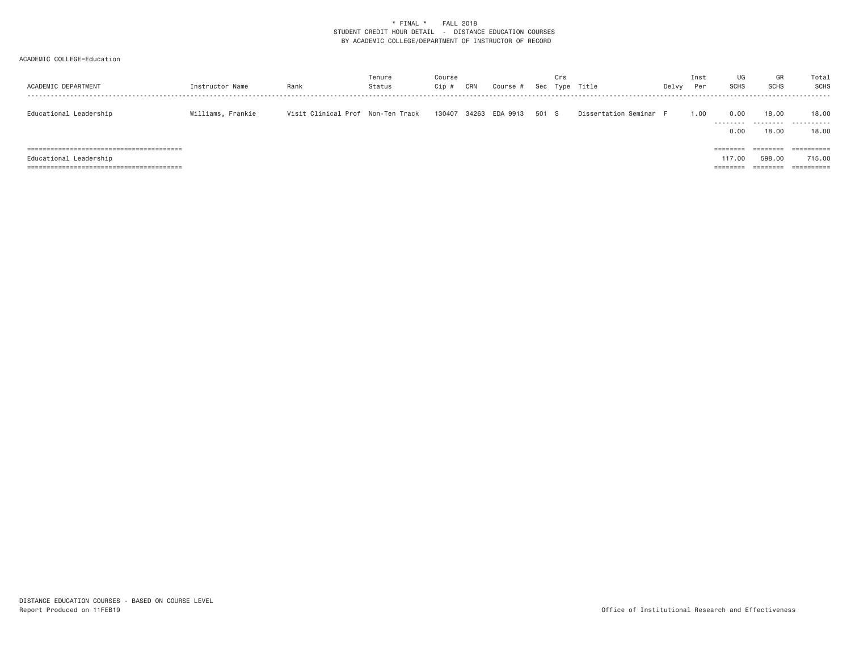| ACADEMIC DEPARTMENT    | Instructor Name   | Rank                              | Tenure<br>Status | Course<br>Cip ; | CRN | Course #       | Sec   | Crs<br>Type | Title                  | Delvy | Inst<br>Per | UG<br><b>SCHS</b>                           | GR<br><b>SCHS</b>                                   | Total<br>SCHS                                   |
|------------------------|-------------------|-----------------------------------|------------------|-----------------|-----|----------------|-------|-------------|------------------------|-------|-------------|---------------------------------------------|-----------------------------------------------------|-------------------------------------------------|
| Educational Leadership | Williams, Frankie | Visit Clinical Prof Non-Ten Track |                  | 130407          |     | 34263 EDA 9913 | 501 S |             | Dissertation Seminar F |       | 1.00        | 0.00<br>.<br>0.00                           | 18,00<br>.<br>18.00                                 | 18,00<br>.<br>18,00                             |
| Educational Leadership |                   |                                   |                  |                 |     |                |       |             |                        |       |             | ========<br>117.00<br>---------<br>-------- | $=$ = = = = = = =<br>598,00<br>________<br>-------- | $=$ = = = = = = = = = =<br>715,00<br>========== |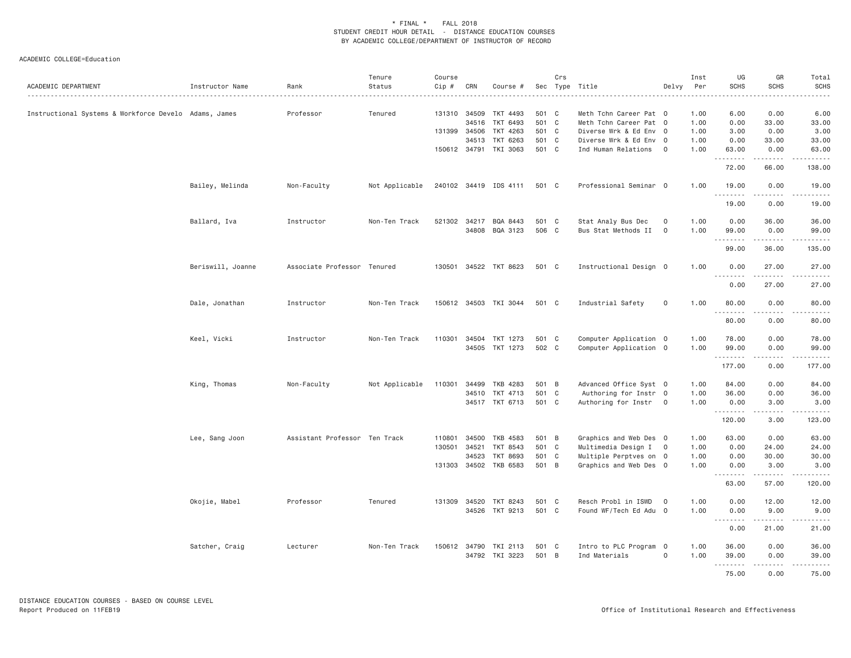| ACADEMIC DEPARTMENT                                   | Instructor Name   | Rank<br>. <u>.</u>            | Tenure<br>Status | Course<br>Cip # | CRN   | Course #              | Sec   | Crs          | Type Title<br>.        | Delvy          | Inst<br>Per | UG<br><b>SCHS</b> | GR<br><b>SCHS</b>                                                                                                                                             | Total<br><b>SCHS</b>                                                                                                                                                                      |
|-------------------------------------------------------|-------------------|-------------------------------|------------------|-----------------|-------|-----------------------|-------|--------------|------------------------|----------------|-------------|-------------------|---------------------------------------------------------------------------------------------------------------------------------------------------------------|-------------------------------------------------------------------------------------------------------------------------------------------------------------------------------------------|
| Instructional Systems & Workforce Develo Adams, James |                   | Professor                     | Tenured          | 131310 34509    |       | TKT 4493              | 501 C |              | Meth Tchn Career Pat 0 |                | 1.00        | 6.00              | 0.00                                                                                                                                                          | 6.00                                                                                                                                                                                      |
|                                                       |                   |                               |                  |                 | 34516 | TKT 6493              | 501 C |              | Meth Tchn Career Pat 0 |                | 1.00        | 0.00              | 33.00                                                                                                                                                         | 33.00                                                                                                                                                                                     |
|                                                       |                   |                               |                  | 131399 34506    |       | TKT 4263              | 501   | $\mathbf{C}$ | Diverse Wrk & Ed Env 0 |                | 1.00        | 3.00              | 0.00                                                                                                                                                          | 3.00                                                                                                                                                                                      |
|                                                       |                   |                               |                  |                 | 34513 | TKT 6263              | 501 C |              | Diverse Wrk & Ed Env 0 |                | 1.00        | 0.00              | 33.00                                                                                                                                                         | 33.00                                                                                                                                                                                     |
|                                                       |                   |                               |                  |                 |       | 150612 34791 TKI 3063 | 501 C |              | Ind Human Relations    | $\overline{0}$ | 1.00        | 63.00             | 0.00                                                                                                                                                          | 63.00                                                                                                                                                                                     |
|                                                       |                   |                               |                  |                 |       |                       |       |              |                        |                |             | .<br>72.00        | $\frac{1}{2} \left( \frac{1}{2} \right) \left( \frac{1}{2} \right) \left( \frac{1}{2} \right) \left( \frac{1}{2} \right) \left( \frac{1}{2} \right)$<br>66.00 | <b><i><u><u>.</u></u></i></b><br>138.00                                                                                                                                                   |
|                                                       | Bailey, Melinda   | Non-Faculty                   | Not Applicable   |                 |       | 240102 34419 IDS 4111 | 501 C |              | Professional Seminar 0 |                | 1.00        | 19.00             | 0.00                                                                                                                                                          | 19.00                                                                                                                                                                                     |
|                                                       |                   |                               |                  |                 |       |                       |       |              |                        |                |             | .<br>19.00        | 0.00                                                                                                                                                          | 19.00                                                                                                                                                                                     |
|                                                       | Ballard, Iva      | Instructor                    | Non-Ten Track    | 521302 34217    |       | BQA 8443              | 501 C |              | Stat Analy Bus Dec     | 0              | 1.00        | 0.00              | 36.00                                                                                                                                                         | 36.00                                                                                                                                                                                     |
|                                                       |                   |                               |                  |                 |       | 34808 BQA 3123        | 506 C |              |                        | $\mathbf{O}$   | 1.00        | 99.00             |                                                                                                                                                               |                                                                                                                                                                                           |
|                                                       |                   |                               |                  |                 |       |                       |       |              | Bus Stat Methods II    |                |             |                   | 0.00<br>.                                                                                                                                                     | 99.00<br><b><i><u><u>.</u></u></i></b>                                                                                                                                                    |
|                                                       |                   |                               |                  |                 |       |                       |       |              |                        |                |             | 99.00             | 36.00                                                                                                                                                         | 135.00                                                                                                                                                                                    |
|                                                       | Beriswill, Joanne | Associate Professor Tenured   |                  | 130501          |       | 34522 TKT 8623        | 501 C |              | Instructional Design 0 |                | 1.00        | 0.00<br>.         | 27.00                                                                                                                                                         | 27.00                                                                                                                                                                                     |
|                                                       |                   |                               |                  |                 |       |                       |       |              |                        |                |             | 0.00              | 27.00                                                                                                                                                         | 27.00                                                                                                                                                                                     |
|                                                       | Dale, Jonathan    | Instructor                    | Non-Ten Track    |                 |       | 150612 34503 TKI 3044 | 501 C |              | Industrial Safety      | 0              | 1.00        | 80.00             | 0.00<br>.                                                                                                                                                     | 80.00<br>.                                                                                                                                                                                |
|                                                       |                   |                               |                  |                 |       |                       |       |              |                        |                |             | 80.00             | 0.00                                                                                                                                                          | 80.00                                                                                                                                                                                     |
|                                                       | Keel, Vicki       | Instructor                    | Non-Ten Track    |                 |       | 110301 34504 TKT 1273 | 501 C |              | Computer Application 0 |                | 1.00        | 78.00             | 0.00                                                                                                                                                          | 78.00                                                                                                                                                                                     |
|                                                       |                   |                               |                  |                 |       | 34505 TKT 1273        | 502 C |              | Computer Application 0 |                | 1.00        | 99.00             | 0.00                                                                                                                                                          | 99.00                                                                                                                                                                                     |
|                                                       |                   |                               |                  |                 |       |                       |       |              |                        |                |             | ---------         | .                                                                                                                                                             | .                                                                                                                                                                                         |
|                                                       |                   |                               |                  |                 |       |                       |       |              |                        |                |             | 177.00            | 0.00                                                                                                                                                          | 177.00                                                                                                                                                                                    |
|                                                       | King, Thomas      | Non-Faculty                   | Not Applicable   | 110301          | 34499 | TKB 4283              | 501 B |              | Advanced Office Syst 0 |                | 1.00        | 84.00             | 0.00                                                                                                                                                          | 84.00                                                                                                                                                                                     |
|                                                       |                   |                               |                  |                 |       | 34510 TKT 4713        | 501 C |              | Authoring for Instr 0  |                | 1.00        | 36.00             | 0.00                                                                                                                                                          | 36.00                                                                                                                                                                                     |
|                                                       |                   |                               |                  |                 |       | 34517 TKT 6713        | 501 C |              | Authoring for Instr    | $\overline{0}$ | 1.00        | 0.00              | 3.00                                                                                                                                                          | 3.00                                                                                                                                                                                      |
|                                                       |                   |                               |                  |                 |       |                       |       |              |                        |                |             | .<br>120.00       | .<br>3.00                                                                                                                                                     | $\frac{1}{2} \left( \frac{1}{2} \right) \left( \frac{1}{2} \right) \left( \frac{1}{2} \right) \left( \frac{1}{2} \right) \left( \frac{1}{2} \right) \left( \frac{1}{2} \right)$<br>123.00 |
|                                                       | Lee, Sang Joon    | Assistant Professor Ten Track |                  | 110801          | 34500 | TKB 4583              | 501 B |              | Graphics and Web Des 0 |                | 1.00        | 63.00             | 0.00                                                                                                                                                          | 63.00                                                                                                                                                                                     |
|                                                       |                   |                               |                  | 130501          | 34521 | TKT 8543              | 501 C |              | Multimedia Design I 0  |                | 1.00        | 0.00              | 24.00                                                                                                                                                         | 24.00                                                                                                                                                                                     |
|                                                       |                   |                               |                  |                 | 34523 | <b>TKT 8693</b>       | 501 C |              | Multiple Perptves on 0 |                | 1.00        | 0.00              | 30.00                                                                                                                                                         | 30.00                                                                                                                                                                                     |
|                                                       |                   |                               |                  |                 |       | 131303 34502 TKB 6583 | 501 B |              | Graphics and Web Des 0 |                | 1.00        | 0.00              | 3.00                                                                                                                                                          | 3.00                                                                                                                                                                                      |
|                                                       |                   |                               |                  |                 |       |                       |       |              |                        |                |             | <u>.</u><br>63.00 | $\frac{1}{2} \left( \frac{1}{2} \right) \left( \frac{1}{2} \right) \left( \frac{1}{2} \right) \left( \frac{1}{2} \right) \left( \frac{1}{2} \right)$<br>57.00 | $\frac{1}{2} \left( \frac{1}{2} \right) \left( \frac{1}{2} \right) \left( \frac{1}{2} \right) \left( \frac{1}{2} \right) \left( \frac{1}{2} \right) \left( \frac{1}{2} \right)$<br>120.00 |
|                                                       |                   |                               |                  |                 |       |                       |       |              |                        |                |             |                   |                                                                                                                                                               |                                                                                                                                                                                           |
|                                                       | Okojie, Mabel     | Professor                     | Tenured          |                 |       | 131309 34520 TKT 8243 | 501 C |              | Resch Probl in ISWD    | $\overline{0}$ | 1.00        | 0.00              | 12.00                                                                                                                                                         | 12.00                                                                                                                                                                                     |
|                                                       |                   |                               |                  |                 |       | 34526 TKT 9213        | 501 C |              | Found WF/Tech Ed Adu 0 |                | 1.00        | 0.00<br><u>.</u>  | 9.00<br>.                                                                                                                                                     | 9.00<br>.                                                                                                                                                                                 |
|                                                       |                   |                               |                  |                 |       |                       |       |              |                        |                |             | 0.00              | 21.00                                                                                                                                                         | 21.00                                                                                                                                                                                     |
|                                                       | Satcher, Craig    | Lecturer                      | Non-Ten Track    |                 |       | 150612 34790 TKI 2113 | 501 C |              | Intro to PLC Program 0 |                | 1.00        | 36.00             | 0.00                                                                                                                                                          | 36.00                                                                                                                                                                                     |
|                                                       |                   |                               |                  |                 |       | 34792 TKI 3223        | 501 B |              | Ind Materials          | $\mathbf 0$    | 1.00        | 39.00             | 0.00                                                                                                                                                          | 39.00                                                                                                                                                                                     |
|                                                       |                   |                               |                  |                 |       |                       |       |              |                        |                |             | --------<br>75.00 | $\frac{1}{2} \left( \frac{1}{2} \right) \left( \frac{1}{2} \right) \left( \frac{1}{2} \right) \left( \frac{1}{2} \right) \left( \frac{1}{2} \right)$<br>0.00  | ------<br>75.00                                                                                                                                                                           |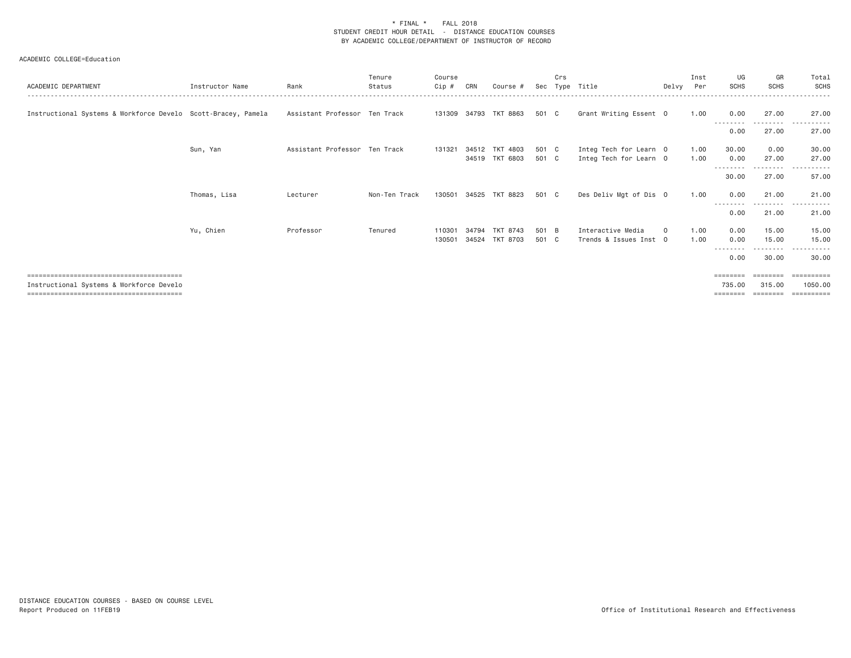| ACADEMIC DEPARTMENT                                           | Instructor Name | Rank                          | Tenure<br>Status | Course<br>Cip #  | CRN            | Course #                         | Sec            | Crs | Tvpe Title                                       | Delvy Per | Inst         | UG<br><b>SCHS</b>          | GR<br><b>SCHS</b>              | Total<br>SCHS                    |
|---------------------------------------------------------------|-----------------|-------------------------------|------------------|------------------|----------------|----------------------------------|----------------|-----|--------------------------------------------------|-----------|--------------|----------------------------|--------------------------------|----------------------------------|
| Instructional Systems & Workforce Develo Scott-Bracey, Pamela |                 | Assistant Professor Ten Track |                  |                  |                | 131309 34793 TKT 8863            | 501 C          |     | Grant Writing Essent 0                           |           | 1.00         | 0.00                       | 27.00                          | 27.00                            |
|                                                               |                 |                               |                  |                  |                |                                  |                |     |                                                  |           |              | 0.00                       | 27.00                          | 27.00                            |
|                                                               | Sun, Yan        | Assistant Professor Ten Track |                  | 131321           |                | 34512 TKT 4803<br>34519 TKT 6803 | 501 C<br>501 C |     | Integ Tech for Learn 0<br>Integ Tech for Learn 0 |           | 1.00<br>1.00 | 30.00<br>0.00<br>--------- | 0.00<br>27.00<br>.             | 30.00<br>27.00<br>$- - -$        |
|                                                               |                 |                               |                  |                  |                |                                  |                |     |                                                  |           |              | 30.00                      | 27.00                          | 57.00                            |
|                                                               | Thomas, Lisa    | Lecturer                      | Non-Ten Track    | 130501           | 34525          | TKT 8823                         | 501 C          |     | Des Deliv Mgt of Dis 0                           |           | 1.00         | 0.00                       | 21.00                          | 21.00                            |
|                                                               |                 |                               |                  |                  |                |                                  |                |     |                                                  |           |              | $\cdots$<br>0.00           | .<br>21.00                     | $- - -$<br>21.00                 |
|                                                               | Yu, Chien       | Professor                     | Tenured          | 110301<br>130501 | 34794<br>34524 | TKT 8743<br>TKT 8703             | 501 B<br>501 C |     | Interactive Media<br>Trends & Issues Inst 0      | $\Omega$  | 1.00<br>1.00 | 0.00<br>0.00               | 15,00<br>15.00                 | 15.00<br>15.00                   |
|                                                               |                 |                               |                  |                  |                |                                  |                |     |                                                  |           |              | --------<br>0.00           | .<br>30.00                     | 30.00                            |
| Instructional Systems & Workforce Develo                      |                 |                               |                  |                  |                |                                  |                |     |                                                  |           |              | $=$<br>735.00<br>========  | --------<br>315,00<br>-------- | 1050,00<br>$=$ = = = = = = = = = |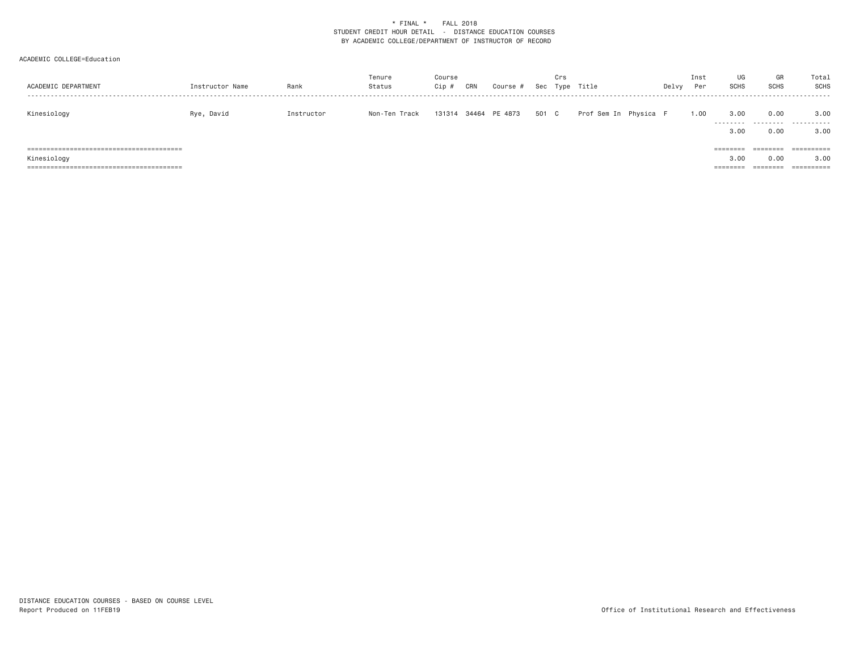| ACADEMIC DEPARTMENT | Instructor Name | Rank       | Tenure<br>Status | Course<br>Cip # | CRN | Course #             |       | Crs | Sec Type Title        | Delvy | Inst<br>Per | UG<br>SCHS                   | GR<br><b>SCHS</b>            | Total<br><b>SCHS</b>             |
|---------------------|-----------------|------------|------------------|-----------------|-----|----------------------|-------|-----|-----------------------|-------|-------------|------------------------------|------------------------------|----------------------------------|
| Kinesiology         | Rye, David      | Instructor | Non-Ten Track    |                 |     | 131314 34464 PE 4873 | 501 C |     | Prof Sem In Physica F |       | 1.00        | 3.00<br>---------<br>3.00    | 0.00<br>---------<br>0.00    | 3.00<br>.<br>3,00                |
| Kinesiology         |                 |            |                  |                 |     |                      |       |     |                       |       |             | ========<br>3.00<br>======== | ========<br>0.00<br>======== | ==========<br>3.00<br>========== |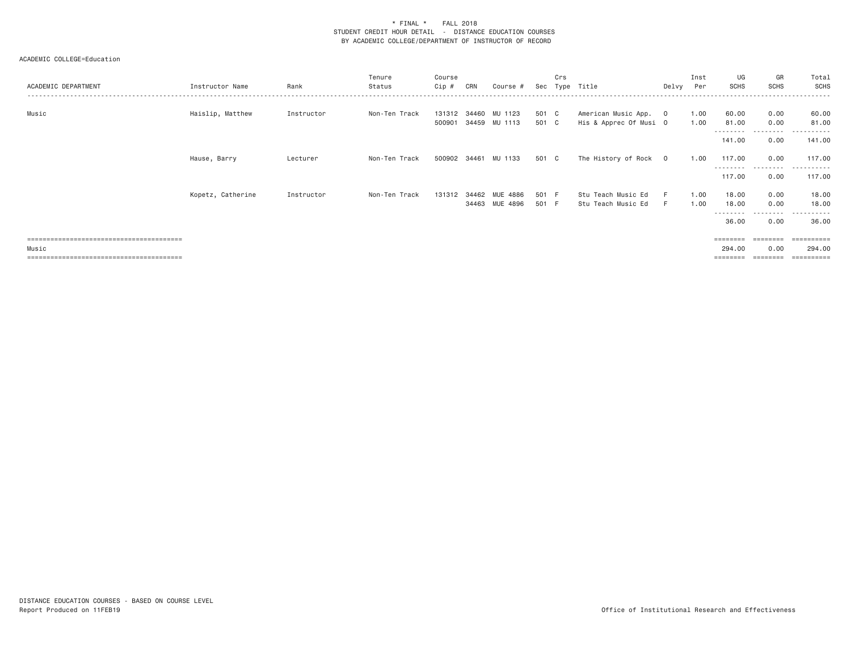# ACADEMIC COLLEGE=Education

| ACADEMIC DEPARTMENT | Instructor Name   | Rank       | Tenure<br>Status | Course<br>Cip #        | CRN   | Course #                   | Sec            | Crs | Type Title                                      | Delvy | Inst<br>Per  | UG<br><b>SCHS</b>          | GR<br><b>SCHS</b>         | Total<br>SCHS<br>------  |
|---------------------|-------------------|------------|------------------|------------------------|-------|----------------------------|----------------|-----|-------------------------------------------------|-------|--------------|----------------------------|---------------------------|--------------------------|
| Music               | Haislip, Matthew  | Instructor | Non-Ten Track    | 131312 34460<br>500901 |       | MU 1123<br>34459 MU 1113   | 501 C<br>501 C |     | American Music App. 0<br>His & Apprec Of Musi O |       | 1.00<br>1.00 | 60.00<br>81.00             | 0.00<br>0.00<br>.         | 60.00<br>81.00<br>.      |
|                     |                   |            |                  |                        |       |                            |                |     |                                                 |       |              | ---------<br>141.00        | 0.00                      | 141.00                   |
|                     | Hause, Barry      | Lecturer   | Non-Ten Track    |                        |       | 500902 34461 MU 1133       | 501 C          |     | The History of Rock 0                           |       | 1.00         | 117.00                     | 0.00                      | 117.00                   |
|                     |                   |            |                  |                        |       |                            |                |     |                                                 |       |              | --------<br>117.00         | ---------<br>0.00         | .<br>117.00              |
|                     | Kopetz, Catherine | Instructor | Non-Ten Track    | 131312                 | 34462 | MUE 4886<br>34463 MUE 4896 | 501 F<br>501 F |     | Stu Teach Music Ed<br>Stu Teach Music Ed        | F.    | 1.00<br>1.00 | 18.00<br>18.00<br>-------- | 0.00<br>0.00<br>--------- | 18.00<br>18.00<br>------ |
|                     |                   |            |                  |                        |       |                            |                |     |                                                 |       |              | 36.00                      | 0.00                      | 36.00                    |
|                     |                   |            |                  |                        |       |                            |                |     |                                                 |       |              | ========                   |                           |                          |
| Music               |                   |            |                  |                        |       |                            |                |     |                                                 |       |              | 294,00                     | 0.00                      | 294.00                   |

======================================== ======== ======== ==========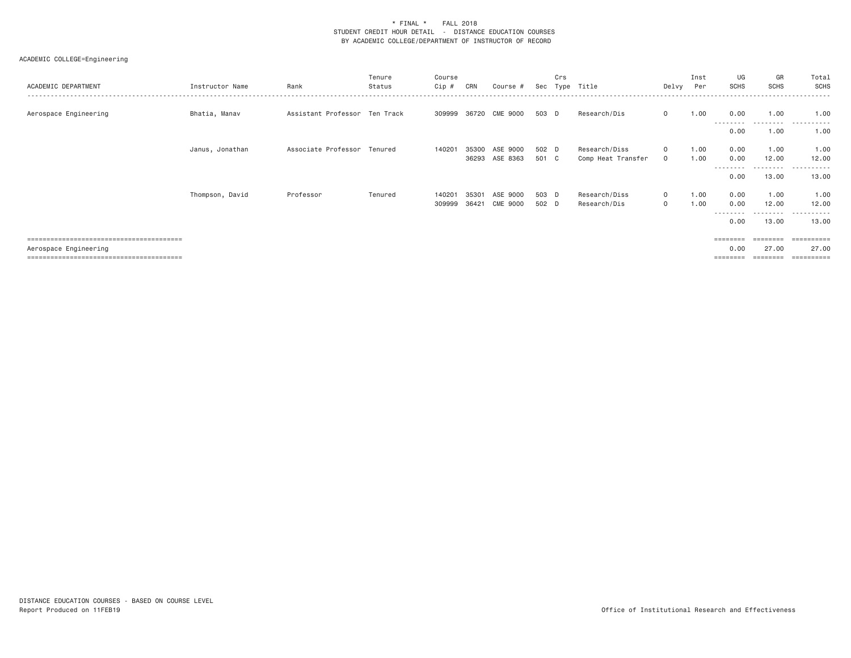### ACADEMIC COLLEGE=Engineering

| ACADEMIC DEPARTMENT   | Instructor Name | Rank                          | Tenure<br>Status | Course<br>Cip # | CRN   | Course #       | Sec   | Crs | Type Title         | Delvy        | Inst<br>Per | UG<br><b>SCHS</b> | GR<br><b>SCHS</b>  | Total<br>SCHS |
|-----------------------|-----------------|-------------------------------|------------------|-----------------|-------|----------------|-------|-----|--------------------|--------------|-------------|-------------------|--------------------|---------------|
| Aerospace Engineering | Bhatia, Manav   | Assistant Professor Ten Track |                  | 309999          | 36720 | CME 9000       | 503 D |     | Research/Dis       | $\mathbf{0}$ | 1.00        | 0.00              | 1,00               | 1.00          |
|                       |                 |                               |                  |                 |       |                |       |     |                    |              |             | 0.00              | 1,00               | 1.00          |
|                       | Janus, Jonathan | Associate Professor Tenured   |                  | 140201          | 35300 | ASE 9000       | 502 D |     | Research/Diss      | $\mathbf{0}$ | 1.00        | 0.00              | 1.00               | 1.00          |
|                       |                 |                               |                  |                 |       | 36293 ASE 8363 | 501 C |     | Comp Heat Transfer | $\mathbf{0}$ | 1.00        | 0.00<br>--------  | 12.00<br>--------- | 12.00<br>.    |
|                       |                 |                               |                  |                 |       |                |       |     |                    |              |             | 0.00              | 13.00              | 13.00         |
|                       | Thompson, David | Professor                     | Tenured          | 140201          | 35301 | ASE 9000       | 503 D |     | Research/Diss      | $\mathbf{0}$ | 1.00        | 0.00              | 1.00               | 1.00          |
|                       |                 |                               |                  | 309999          | 36421 | CME 9000       | 502 D |     | Research/Dis       | $\mathbf{0}$ | 1.00        | 0.00<br>--------- | 12.00<br>--------- | 12.00<br>.    |
|                       |                 |                               |                  |                 |       |                |       |     |                    |              |             | 0.00              | 13,00              | 13.00         |
|                       |                 |                               |                  |                 |       |                |       |     |                    |              |             | $=$ = = = = = = = | <b>EEEEEEE</b>     | -----------   |
| Aerospace Engineering |                 |                               |                  |                 |       |                |       |     |                    |              |             | 0.00              | 27.00              | 27.00         |

======================================== ======== ======== ==========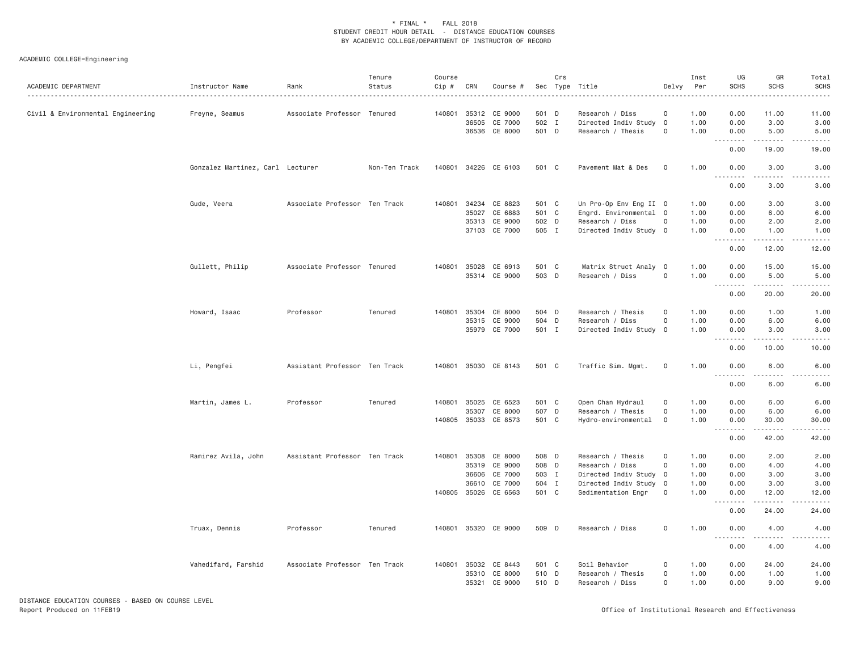# ACADEMIC COLLEGE=Engineering

| ACADEMIC DEPARTMENT               | Instructor Name                  | Rank                          | Tenure<br>Status | Course<br>Cip # | CRN   | Course #             | Sec   | Crs | Type Title             | Delvy                   | Inst<br>Per<br>. | UG<br><b>SCHS</b> | GR<br>SCHS                                                                                                                                                    | Total<br><b>SCHS</b>  |
|-----------------------------------|----------------------------------|-------------------------------|------------------|-----------------|-------|----------------------|-------|-----|------------------------|-------------------------|------------------|-------------------|---------------------------------------------------------------------------------------------------------------------------------------------------------------|-----------------------|
| Civil & Environmental Engineering | Freyne, Seamus                   | Associate Professor Tenured   |                  |                 |       | 140801 35312 CE 9000 | 501 D |     | Research / Diss        | $\mathbf 0$             | 1.00             | 0.00              | 11.00                                                                                                                                                         | 11.00                 |
|                                   |                                  |                               |                  |                 | 36505 | CE 7000              | 502 I |     | Directed Indiv Study   | $\overline{0}$          | 1.00             | 0.00              | 3.00                                                                                                                                                          | 3.00                  |
|                                   |                                  |                               |                  |                 |       | 36536 CE 8000        | 501 D |     | Research / Thesis      | $\mathsf{O}$            | 1.00             | 0.00              | 5.00<br>22222                                                                                                                                                 | 5.00                  |
|                                   |                                  |                               |                  |                 |       |                      |       |     |                        |                         |                  | 0.00              | 19.00                                                                                                                                                         | 19.00                 |
|                                   | Gonzalez Martinez, Carl Lecturer |                               | Non-Ten Track    | 140801          |       | 34226 CE 6103        | 501 C |     | Pavement Mat & Des     | $\circ$                 | 1.00             | 0.00<br>.         | 3.00                                                                                                                                                          | 3.00                  |
|                                   |                                  |                               |                  |                 |       |                      |       |     |                        |                         |                  | 0.00              | 3.00                                                                                                                                                          | 3.00                  |
|                                   | Gude, Veera                      | Associate Professor Ten Track |                  |                 |       | 140801 34234 CE 8823 | 501 C |     | Un Pro-Op Env Eng II 0 |                         | 1.00             | 0.00              | 3.00                                                                                                                                                          | 3.00                  |
|                                   |                                  |                               |                  |                 | 35027 | CE 6883              | 501 C |     | Engrd. Environmental 0 |                         | 1.00             | 0.00              | 6.00                                                                                                                                                          | 6.00                  |
|                                   |                                  |                               |                  |                 |       | 35313 CE 9000        | 502 D |     | Research / Diss        | $\circ$                 | 1.00             | 0.00              | 2.00                                                                                                                                                          | 2.00                  |
|                                   |                                  |                               |                  |                 |       | 37103 CE 7000        | 505 I |     | Directed Indiv Study 0 |                         | 1.00             | 0.00<br>.         | 1.00<br>-----                                                                                                                                                 | 1.00                  |
|                                   |                                  |                               |                  |                 |       |                      |       |     |                        |                         |                  | 0.00              | 12.00                                                                                                                                                         | 12.00                 |
|                                   | Gullett, Philip                  | Associate Professor Tenured   |                  |                 |       | 140801 35028 CE 6913 | 501 C |     | Matrix Struct Analy    | $\overline{\mathbf{0}}$ | 1.00             | 0.00              | 15.00                                                                                                                                                         | 15.00                 |
|                                   |                                  |                               |                  |                 |       | 35314 CE 9000        | 503 D |     | Research / Diss        | $\circ$                 | 1.00             | 0.00              | 5.00                                                                                                                                                          | 5.00                  |
|                                   |                                  |                               |                  |                 |       |                      |       |     |                        |                         |                  | .<br>0.00         | $\frac{1}{2} \left( \frac{1}{2} \right) \left( \frac{1}{2} \right) \left( \frac{1}{2} \right) \left( \frac{1}{2} \right) \left( \frac{1}{2} \right)$<br>20.00 | .<br>20.00            |
|                                   | Howard, Isaac                    | Professor                     | Tenured          | 140801          | 35304 | CE 8000              | 504 D |     | Research / Thesis      | $\mathbf 0$             | 1.00             | 0.00              | 1.00                                                                                                                                                          | 1.00                  |
|                                   |                                  |                               |                  |                 |       | 35315 CE 9000        | 504 D |     | Research / Diss        | $\mathsf{O}$            | 1.00             | 0.00              | 6.00                                                                                                                                                          | 6.00                  |
|                                   |                                  |                               |                  |                 |       | 35979 CE 7000        | 501 I |     | Directed Indiv Study 0 |                         | 1.00             | 0.00              | 3.00                                                                                                                                                          | 3.00                  |
|                                   |                                  |                               |                  |                 |       |                      |       |     |                        |                         |                  | .                 | .                                                                                                                                                             |                       |
|                                   |                                  |                               |                  |                 |       |                      |       |     |                        |                         |                  | 0.00              | 10.00                                                                                                                                                         | 10.00                 |
|                                   | Li, Pengfei                      | Assistant Professor Ten Track |                  |                 |       | 140801 35030 CE 8143 | 501 C |     | Traffic Sim. Mgmt.     | 0                       | 1.00             | 0.00              | 6.00<br>$- - - - -$                                                                                                                                           | 6.00<br>$\frac{1}{2}$ |
|                                   |                                  |                               |                  |                 |       |                      |       |     |                        |                         |                  | 0.00              | 6.00                                                                                                                                                          | 6.00                  |
|                                   | Martin, James L.                 | Professor                     | Tenured          |                 |       | 140801 35025 CE 6523 | 501 C |     | Open Chan Hydraul      | 0                       | 1.00             | 0.00              | 6.00                                                                                                                                                          | 6.00                  |
|                                   |                                  |                               |                  |                 | 35307 | CE 8000              | 507 D |     | Research / Thesis      | 0                       | 1.00             | 0.00              | 6.00                                                                                                                                                          | 6.00                  |
|                                   |                                  |                               |                  |                 |       | 140805 35033 CE 8573 | 501 C |     | Hydro-environmental    | $\circ$                 | 1.00             | 0.00              | 30.00                                                                                                                                                         | 30.00                 |
|                                   |                                  |                               |                  |                 |       |                      |       |     |                        |                         |                  | 0.00              | -----<br>42.00                                                                                                                                                | 42.00                 |
|                                   | Ramirez Avila, John              | Assistant Professor Ten Track |                  |                 |       | 140801 35308 CE 8000 | 508 D |     | Research / Thesis      | 0                       | 1.00             | 0.00              | 2.00                                                                                                                                                          | 2.00                  |
|                                   |                                  |                               |                  |                 | 35319 | CE 9000              | 508 D |     | Research / Diss        | 0                       | 1.00             | 0.00              | 4.00                                                                                                                                                          | 4.00                  |
|                                   |                                  |                               |                  |                 | 36606 | CE 7000              | 503 I |     | Directed Indiv Study 0 |                         | 1.00             | 0.00              | 3.00                                                                                                                                                          | 3.00                  |
|                                   |                                  |                               |                  |                 |       | 36610 CE 7000        | 504 I |     | Directed Indiv Study 0 |                         | 1.00             | 0.00              | 3.00                                                                                                                                                          | 3.00                  |
|                                   |                                  |                               |                  |                 |       | 140805 35026 CE 6563 | 501 C |     | Sedimentation Engr     | $\circ$                 | 1.00             | 0.00              | 12.00                                                                                                                                                         | 12.00                 |
|                                   |                                  |                               |                  |                 |       |                      |       |     |                        |                         |                  | .                 | .                                                                                                                                                             |                       |
|                                   |                                  |                               |                  |                 |       |                      |       |     |                        |                         |                  | 0.00              | 24.00                                                                                                                                                         | 24.00                 |
|                                   | Truax, Dennis                    | Professor                     | Tenured          |                 |       | 140801 35320 CE 9000 | 509 D |     | Research / Diss        | $\mathsf{O}$            | 1.00             | 0.00              | 4.00                                                                                                                                                          | 4.00                  |
|                                   |                                  |                               |                  |                 |       |                      |       |     |                        |                         |                  | 0.00              | 4.00                                                                                                                                                          | 4.00                  |
|                                   | Vahedifard, Farshid              | Associate Professor Ten Track |                  |                 |       | 140801 35032 CE 8443 | 501 C |     | Soil Behavior          | 0                       | 1.00             | 0.00              | 24.00                                                                                                                                                         | 24.00                 |
|                                   |                                  |                               |                  |                 |       | 35310 CE 8000        | 510 D |     | Research / Thesis      | $\Omega$                | 1.00             | 0.00              | 1.00                                                                                                                                                          | 1.00                  |
|                                   |                                  |                               |                  |                 | 35321 | CE 9000              | 510 D |     | Research / Diss        | 0                       | 1.00             | 0.00              | 9.00                                                                                                                                                          | 9.00                  |

DISTANCE EDUCATION COURSES - BASED ON COURSE LEVELReport Produced on 11FEB19 Office of Institutional Research and Effectiveness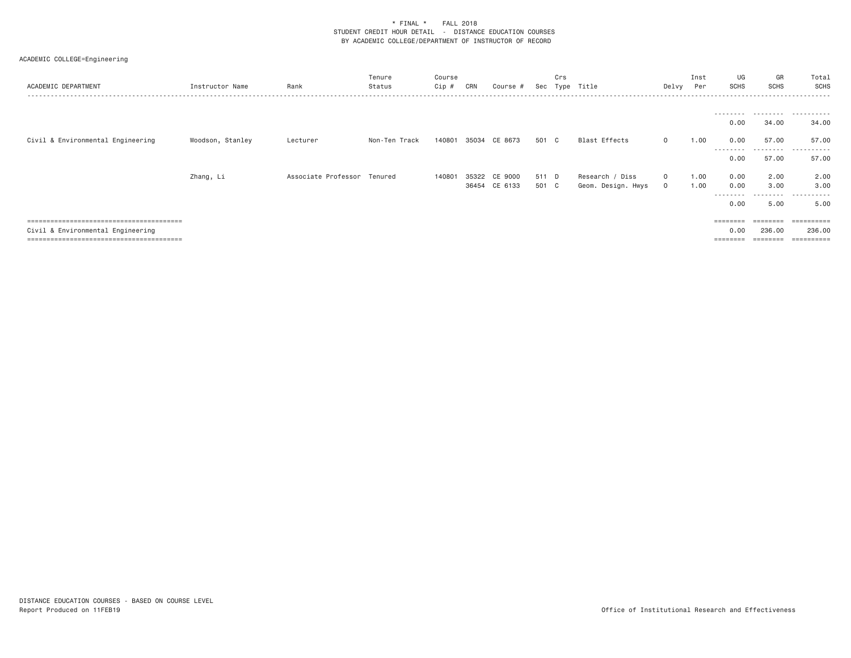| ACADEMIC DEPARTMENT               | Instructor Name  | Rank                        | Tenure<br>Status | Course<br>Cip # | CRN | Course #      | Sec   | Crs<br>Type | Title              | Delvy   | Inst<br>Per | UG<br><b>SCHS</b>                                                       | GR<br><b>SCHS</b>  | Total<br>SCHS |
|-----------------------------------|------------------|-----------------------------|------------------|-----------------|-----|---------------|-------|-------------|--------------------|---------|-------------|-------------------------------------------------------------------------|--------------------|---------------|
|                                   |                  |                             |                  |                 |     |               |       |             |                    |         |             |                                                                         |                    |               |
|                                   |                  |                             |                  |                 |     |               |       |             |                    |         |             | 0.00                                                                    | 34.00              | 34.00         |
| Civil & Environmental Engineering | Woodson, Stanley | Lecturer                    | Non-Ten Track    | 140801          |     | 35034 CE 8673 | 501 C |             | Blast Effects      | $\circ$ | 1.00        | 0.00<br>---------                                                       | 57.00<br>--------- | 57.00<br>.    |
|                                   |                  |                             |                  |                 |     |               |       |             |                    |         |             | 0.00                                                                    | 57.00              | 57.00         |
|                                   | Zhang, Li        | Associate Professor Tenured |                  | 140801          |     | 35322 CE 9000 | 511 D |             | Research / Diss    | $\circ$ | 1.00        | 0.00                                                                    | 2.00               | 2.00          |
|                                   |                  |                             |                  |                 |     | 36454 CE 6133 | 501 C |             | Geom. Design. Hwys | $\circ$ | 1.00        | 0.00                                                                    | 3.00               | 3,00          |
|                                   |                  |                             |                  |                 |     |               |       |             |                    |         |             | --------<br>0.00                                                        | .<br>5.00          | .<br>5.00     |
|                                   |                  |                             |                  |                 |     |               |       |             |                    |         |             | $\qquad \qquad \equiv \equiv \equiv \equiv \equiv \equiv \equiv \equiv$ | ========           | ==========    |
| Civil & Environmental Engineering |                  |                             |                  |                 |     |               |       |             |                    |         |             | 0.00                                                                    | 236,00             | 236,00        |
|                                   |                  |                             |                  |                 |     |               |       |             |                    |         |             | --------                                                                | ========           | =========     |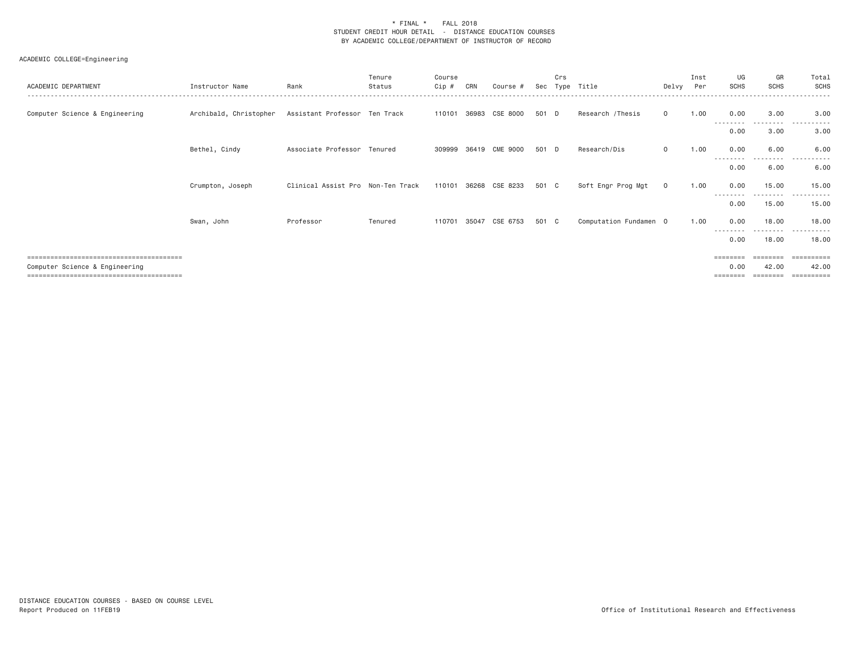| ACADEMIC DEPARTMENT            | Instructor Name        | Rank                              | Tenure<br>Status | Course<br>$Cip \#$ | CRN   | Course #       | Sec   | Crs<br>Type | Title                  | Delvv    | Inst<br>Per | UG<br><b>SCHS</b> | GR<br><b>SCHS</b>  | Total<br><b>SCHS</b>                        |
|--------------------------------|------------------------|-----------------------------------|------------------|--------------------|-------|----------------|-------|-------------|------------------------|----------|-------------|-------------------|--------------------|---------------------------------------------|
| Computer Science & Engineering | Archibald, Christopher | Assistant Professor Ten Track     |                  | 110101             | 36983 | CSE 8000       | 501 D |             | Research / Thesis      | $\Omega$ | 1.00        | 0.00<br>.         | 3.00               | 3.00                                        |
|                                |                        |                                   |                  |                    |       |                |       |             |                        |          |             | 0.00              | .<br>3.00          | $- - -$<br>.<br>3.00                        |
|                                | Bethel, Cindy          | Associate Professor Tenured       |                  | 309999             |       | 36419 CME 9000 | 501 D |             | Research/Dis           | $\circ$  | 1.00        | 0.00              | 6.00               | 6,00                                        |
|                                |                        |                                   |                  |                    |       |                |       |             |                        |          |             | --------<br>0.00  | 6.00               | .<br>6.00                                   |
|                                | Crumpton, Joseph       | Clinical Assist Pro Non-Ten Track |                  | 110101             | 36268 | CSE 8233       | 501 C |             | Soft Engr Prog Mgt     | $\Omega$ | 1.00        | 0.00              | 15.00              | 15.00                                       |
|                                |                        |                                   |                  |                    |       |                |       |             |                        |          |             | --------<br>0.00  | .<br>15.00         | .<br>15.00                                  |
|                                | Swan, John             | Professor                         | Tenured          | 110701             | 35047 | CSE 6753       | 501 C |             | Computation Fundamen 0 |          | 1.00        | 0.00              | 18,00              | 18.00                                       |
|                                |                        |                                   |                  |                    |       |                |       |             |                        |          |             | ---------<br>0.00 | ---------<br>18.00 | .<br>18.00                                  |
| Computer Science & Engineering |                        |                                   |                  |                    |       |                |       |             |                        |          |             | ========<br>0.00  | ========<br>42.00  | =========<br>42.00<br>$=$ = = = = = = = = = |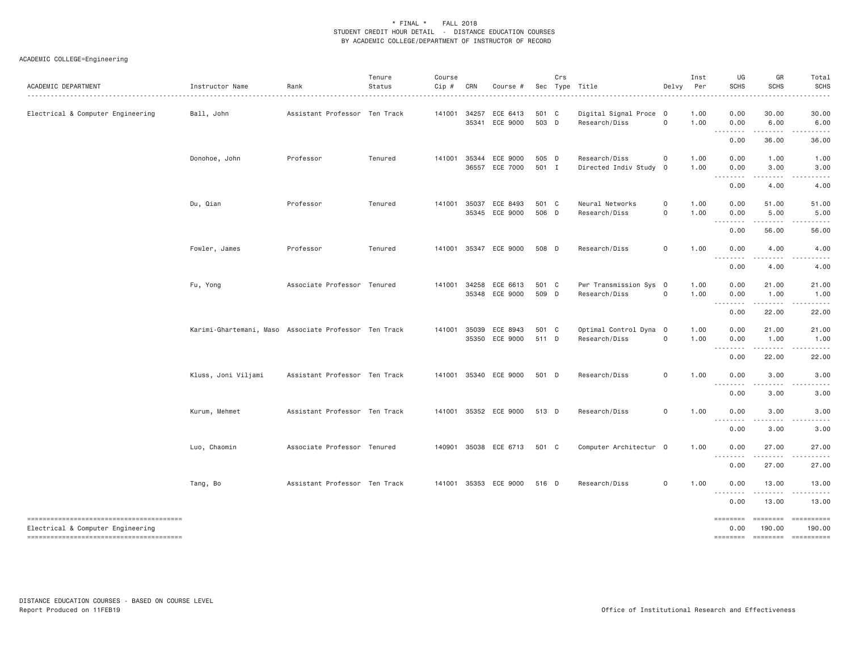| ACADEMIC DEPARTMENT                    | Instructor Name                                       | Rank                          | Tenure<br>Status | Course<br>Cip # | CRN   | Course #                                |                | Crs | Sec Type Title                          | Delvy               | Inst<br>Per  | UG<br><b>SCHS</b>                             | GR<br><b>SCHS</b>            | Total<br><b>SCHS</b><br>$\frac{1}{2} \left( \frac{1}{2} \right) \left( \frac{1}{2} \right) \left( \frac{1}{2} \right) \left( \frac{1}{2} \right) \left( \frac{1}{2} \right) \left( \frac{1}{2} \right)$                                                                                                                                                                                                                                                                                          |
|----------------------------------------|-------------------------------------------------------|-------------------------------|------------------|-----------------|-------|-----------------------------------------|----------------|-----|-----------------------------------------|---------------------|--------------|-----------------------------------------------|------------------------------|--------------------------------------------------------------------------------------------------------------------------------------------------------------------------------------------------------------------------------------------------------------------------------------------------------------------------------------------------------------------------------------------------------------------------------------------------------------------------------------------------|
| Electrical & Computer Engineering      | Ball, John                                            | Assistant Professor Ten Track |                  | 141001          | 34257 | ECE 6413<br>35341 ECE 9000              | 501 C<br>503 D |     | Digital Signal Proce 0<br>Research/Diss | 0                   | 1.00<br>1.00 | 0.00<br>0.00                                  | 30.00<br>6.00                | 30.00<br>6.00                                                                                                                                                                                                                                                                                                                                                                                                                                                                                    |
|                                        |                                                       |                               |                  |                 |       |                                         |                |     |                                         |                     |              | 0.00                                          | -----<br>36.00               | . <u>.</u> .<br>36.00                                                                                                                                                                                                                                                                                                                                                                                                                                                                            |
|                                        | Donohoe, John                                         | Professor                     | Tenured          | 141001          |       | 35344 ECE 9000<br>36557 ECE 7000        | 505 D<br>501 I |     | Research/Diss<br>Directed Indiv Study   | 0<br>$\overline{0}$ | 1.00<br>1.00 | 0.00<br>0.00                                  | 1.00<br>3.00                 | 1.00<br>3.00                                                                                                                                                                                                                                                                                                                                                                                                                                                                                     |
|                                        |                                                       |                               |                  |                 |       |                                         |                |     |                                         |                     |              | .<br>0.00                                     | .<br>4.00                    | .<br>4.00                                                                                                                                                                                                                                                                                                                                                                                                                                                                                        |
|                                        | Du, Qian                                              | Professor                     | Tenured          |                 |       | 141001 35037 ECE 8493<br>35345 ECE 9000 | 501 C<br>506 D |     | Neural Networks<br>Research/Diss        | 0<br>0              | 1.00<br>1.00 | 0.00<br>0.00                                  | 51.00<br>5.00<br>.           | 51.00<br>5.00<br>.                                                                                                                                                                                                                                                                                                                                                                                                                                                                               |
|                                        |                                                       |                               |                  |                 |       |                                         |                |     |                                         |                     |              | 0.00                                          | 56.00                        | 56.00                                                                                                                                                                                                                                                                                                                                                                                                                                                                                            |
|                                        | Fowler, James                                         | Professor                     | Tenured          |                 |       | 141001 35347 ECE 9000                   | 508 D          |     | Research/Diss                           | 0                   | 1.00         | 0.00<br><b></b>                               | 4.00<br>.                    | 4.00<br>$\frac{1}{2}$                                                                                                                                                                                                                                                                                                                                                                                                                                                                            |
|                                        |                                                       |                               |                  |                 |       |                                         |                |     |                                         |                     |              | 0.00                                          | 4.00                         | 4.00                                                                                                                                                                                                                                                                                                                                                                                                                                                                                             |
|                                        | Fu, Yong                                              | Associate Professor Tenured   |                  |                 |       | 141001 34258 ECE 6613<br>35348 ECE 9000 | 501 C<br>509 D |     | Pwr Transmission Sys 0<br>Research/Diss | 0                   | 1.00<br>1.00 | 0.00<br>0.00<br>$\cdots \cdots \cdots \cdots$ | 21.00<br>1.00<br>.           | 21.00<br>1.00<br>.                                                                                                                                                                                                                                                                                                                                                                                                                                                                               |
|                                        |                                                       |                               |                  |                 |       |                                         |                |     |                                         |                     |              | 0.00                                          | 22.00                        | 22.00                                                                                                                                                                                                                                                                                                                                                                                                                                                                                            |
|                                        | Karimi-Ghartemani, Maso Associate Professor Ten Track |                               |                  |                 |       | 141001 35039 ECE 8943<br>35350 ECE 9000 | 501 C<br>511 D |     | Optimal Control Dyna 0<br>Research/Diss | $\mathsf{O}$        | 1.00<br>1.00 | 0.00<br>0.00                                  | 21.00<br>1.00                | 21.00<br>1.00                                                                                                                                                                                                                                                                                                                                                                                                                                                                                    |
|                                        |                                                       |                               |                  |                 |       |                                         |                |     |                                         |                     |              | --------<br>0.00                              | .<br>22.00                   | 22.00                                                                                                                                                                                                                                                                                                                                                                                                                                                                                            |
|                                        | Kluss, Joni Viljami                                   | Assistant Professor Ten Track |                  |                 |       | 141001 35340 ECE 9000 501 D             |                |     | Research/Diss                           | 0                   | 1.00         | 0.00                                          | 3.00<br>$\omega$ is a set of | 3.00<br>.                                                                                                                                                                                                                                                                                                                                                                                                                                                                                        |
|                                        |                                                       |                               |                  |                 |       |                                         |                |     |                                         |                     |              | 0.00                                          | 3.00                         | 3.00                                                                                                                                                                                                                                                                                                                                                                                                                                                                                             |
|                                        | Kurum, Mehmet                                         | Assistant Professor Ten Track |                  |                 |       | 141001 35352 ECE 9000 513 D             |                |     | Research/Diss                           | 0                   | 1.00         | 0.00<br>.                                     | 3.00<br>.                    | 3.00                                                                                                                                                                                                                                                                                                                                                                                                                                                                                             |
|                                        |                                                       |                               |                  |                 |       |                                         |                |     |                                         |                     |              | 0.00                                          | 3.00                         | 3.00                                                                                                                                                                                                                                                                                                                                                                                                                                                                                             |
|                                        | Luo, Chaomin                                          | Associate Professor Tenured   |                  |                 |       | 140901 35038 ECE 6713                   | 501 C          |     | Computer Architectur 0                  |                     | 1.00         | 0.00                                          | 27.00<br>.                   | 27.00<br>.                                                                                                                                                                                                                                                                                                                                                                                                                                                                                       |
|                                        |                                                       |                               |                  |                 |       |                                         |                |     |                                         |                     |              | 0.00                                          | 27.00                        | 27.00                                                                                                                                                                                                                                                                                                                                                                                                                                                                                            |
|                                        | Tang, Bo                                              | Assistant Professor Ten Track |                  |                 |       | 141001 35353 ECE 9000                   | 516 D          |     | Research/Diss                           | 0                   | 1.00         | 0.00                                          | 13.00                        | 13.00                                                                                                                                                                                                                                                                                                                                                                                                                                                                                            |
|                                        |                                                       |                               |                  |                 |       |                                         |                |     |                                         |                     |              | 0.00                                          | 13.00                        | 13.00                                                                                                                                                                                                                                                                                                                                                                                                                                                                                            |
| Electrical & Computer Engineering      |                                                       |                               |                  |                 |       |                                         |                |     |                                         |                     |              | <b>EDESSERS</b><br>0.00                       | ========<br>190.00           | $\begin{array}{cccccccccc} \multicolumn{2}{c}{} & \multicolumn{2}{c}{} & \multicolumn{2}{c}{} & \multicolumn{2}{c}{} & \multicolumn{2}{c}{} & \multicolumn{2}{c}{} & \multicolumn{2}{c}{} & \multicolumn{2}{c}{} & \multicolumn{2}{c}{} & \multicolumn{2}{c}{} & \multicolumn{2}{c}{} & \multicolumn{2}{c}{} & \multicolumn{2}{c}{} & \multicolumn{2}{c}{} & \multicolumn{2}{c}{} & \multicolumn{2}{c}{} & \multicolumn{2}{c}{} & \multicolumn{2}{c}{} & \multicolumn{2}{c}{} & \mult$<br>190.00 |
| -------------------------------------- |                                                       |                               |                  |                 |       |                                         |                |     |                                         |                     |              |                                               |                              | ======== ======== ==========                                                                                                                                                                                                                                                                                                                                                                                                                                                                     |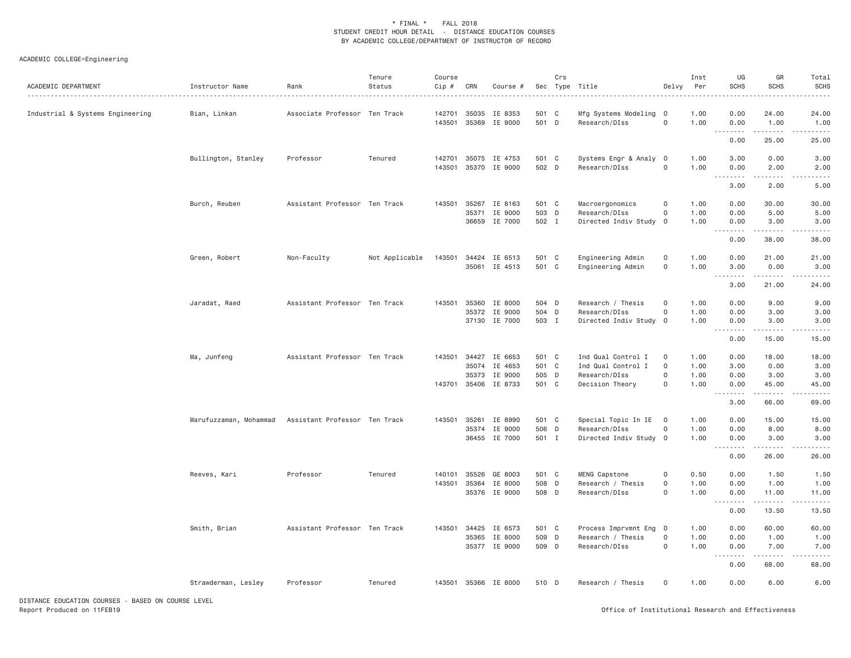# ACADEMIC COLLEGE=Engineering

| ACADEMIC DEPARTMENT                                | Instructor Name        | Rank                          | Tenure<br>Status | Course<br>Cip # | CRN          | Course #             |       | Crs | Sec Type Title         | Delvy               | Inst<br>Per | UG<br><b>SCHS</b>                                           | GR<br><b>SCHS</b>    | Total<br><b>SCHS</b> |
|----------------------------------------------------|------------------------|-------------------------------|------------------|-----------------|--------------|----------------------|-------|-----|------------------------|---------------------|-------------|-------------------------------------------------------------|----------------------|----------------------|
| Industrial & Systems Engineering                   | Bian, Linkan           | Associate Professor Ten Track |                  | 142701          | 35035        | IE 8353              | 501 C |     | Mfg Systems Modeling   | $\Omega$            | 1.00        | 0.00                                                        | 24.00                | 24.00                |
|                                                    |                        |                               |                  |                 |              | 143501 35369 IE 9000 | 501 D |     | Research/DIss          | $\mathbf 0$         | 1.00        | 0.00                                                        | 1.00                 | 1.00                 |
|                                                    |                        |                               |                  |                 |              |                      |       |     |                        |                     |             | $\sim$ $\sim$ $\sim$ $\sim$<br>$\sim$ $\sim$ $\sim$<br>0.00 | $- - - - -$<br>25.00 | 25.00                |
|                                                    | Bullington, Stanley    | Professor                     | Tenured          | 142701          |              | 35075 IE 4753        | 501 C |     | Systems Engr & Analy   | $\overline{0}$      | 1.00        | 3.00                                                        | 0.00                 | 3.00                 |
|                                                    |                        |                               |                  | 143501          | 35370        | IE 9000              | 502 D |     | Research/DIss          | $\mathsf{O}\xspace$ | 1.00        | 0.00                                                        | 2.00<br>.            | 2.00<br>-----        |
|                                                    |                        |                               |                  |                 |              |                      |       |     |                        |                     |             | 3.00                                                        | 2.00                 | 5.00                 |
|                                                    | Burch, Reuben          | Assistant Professor Ten Track |                  | 143501          | 35267        | IE 8163              | 501 C |     | Macroergonomics        | $\mathsf{O}\xspace$ | 1.00        | 0.00                                                        | 30.00                | 30.00                |
|                                                    |                        |                               |                  |                 | 35371        | IE 9000              | 503 D |     | Research/DIss          | $\mathbf 0$         | 1.00        | 0.00                                                        | 5.00                 | 5.00                 |
|                                                    |                        |                               |                  |                 |              | 36659 IE 7000        | 502 I |     | Directed Indiv Study   | $\overline{0}$      | 1.00        | 0.00<br>$\sim$ $\sim$ $\sim$                                | 3.00                 | 3.00                 |
|                                                    |                        |                               |                  |                 |              |                      |       |     |                        |                     |             | 0.00                                                        | 38.00                | 38.00                |
|                                                    | Green, Robert          | Non-Faculty                   | Not Applicable   | 143501          |              | 34424 IE 6513        | 501 C |     | Engineering Admin      | 0                   | 1.00        | 0.00                                                        | 21.00                | 21.00                |
|                                                    |                        |                               |                  |                 |              | 35061 IE 4513        | 501 C |     | Engineering Admin      | $\mathsf{O}\xspace$ | 1.00        | 3.00                                                        | 0.00<br>.            | 3.00<br>.            |
|                                                    |                        |                               |                  |                 |              |                      |       |     |                        |                     |             | 3.00                                                        | 21.00                | 24.00                |
|                                                    | Jaradat, Raed          | Assistant Professor Ten Track |                  | 143501          | 35360        | IE 8000              | 504 D |     | Research / Thesis      | $\mathsf{O}\xspace$ | 1.00        | 0.00                                                        | 9.00                 | 9.00                 |
|                                                    |                        |                               |                  |                 | 35372        | IE 9000              | 504 D |     | Research/DIss          | $\mathbf 0$         | 1.00        | 0.00                                                        | 3.00                 | 3.00                 |
|                                                    |                        |                               |                  |                 |              | 37130 IE 7000        | 503 I |     | Directed Indiv Study 0 |                     | 1.00        | 0.00<br>.                                                   | 3.00<br><u>.</u>     | 3.00                 |
|                                                    |                        |                               |                  |                 |              |                      |       |     |                        |                     |             | 0.00                                                        | 15.00                | 15.00                |
|                                                    | Ma, Junfeng            | Assistant Professor Ten Track |                  | 143501          | 34427        | IE 6653              | 501 C |     | Ind Qual Control I     | 0                   | 1.00        | 0.00                                                        | 18.00                | 18.00                |
|                                                    |                        |                               |                  |                 | 35074        | IE 4653              | 501 C |     | Ind Qual Control I     | $\mathbf 0$         | 1.00        | 3.00                                                        | 0.00                 | 3.00                 |
|                                                    |                        |                               |                  |                 | 35373        | IE 9000              | 505 D |     | Research/DIss          | $\mathbf 0$         | 1.00        | 0.00                                                        | 3.00                 | 3.00                 |
|                                                    |                        |                               |                  |                 |              | 143701 35406 IE 8733 | 501 C |     | Decision Theory        | $\mathsf{O}\xspace$ | 1.00        | 0.00<br>.                                                   | 45.00                | 45.00                |
|                                                    |                        |                               |                  |                 |              |                      |       |     |                        |                     |             | 3.00                                                        | 66.00                | 69.00                |
|                                                    | Marufuzzaman, Mohammad | Assistant Professor Ten Track |                  |                 | 143501 35261 | IE 8990              | 501 C |     | Special Topic In IE    | $\overline{0}$      | 1.00        | 0.00                                                        | 15.00                | 15.00                |
|                                                    |                        |                               |                  |                 |              | 35374 IE 9000        | 506 D |     | Research/DIss          | $\mathsf{O}\xspace$ | 1.00        | 0.00                                                        | 8.00                 | 8.00                 |
|                                                    |                        |                               |                  |                 | 36455        | IE 7000              | 501 I |     | Directed Indiv Study 0 |                     | 1.00        | 0.00                                                        | 3.00<br>.            | 3.00<br>.            |
|                                                    |                        |                               |                  |                 |              |                      |       |     |                        |                     |             | 0.00                                                        | 26.00                | 26.00                |
|                                                    | Reeves, Kari           | Professor                     | Tenured          | 140101          | 35526        | GE 8003              | 501 C |     | MENG Capstone          | 0                   | 0.50        | 0.00                                                        | 1.50                 | 1.50                 |
|                                                    |                        |                               |                  | 143501          | 35364        | IE 8000              | 508 D |     | Research / Thesis      | $\mathbf 0$         | 1.00        | 0.00                                                        | 1.00                 | 1.00                 |
|                                                    |                        |                               |                  |                 |              | 35376 IE 9000        | 508 D |     | Research/DIss          | $\mathbf 0$         | 1.00        | 0.00<br>$\sim$ $\sim$ $\sim$<br>.                           | 11.00                | 11.00                |
|                                                    |                        |                               |                  |                 |              |                      |       |     |                        |                     |             | 0.00                                                        | 13.50                | 13.50                |
|                                                    | Smith, Brian           | Assistant Professor Ten Track |                  |                 | 143501 34425 | IE 6573              | 501 C |     | Process Imprvmnt Eng 0 |                     | 1.00        | 0.00                                                        | 60.00                | 60.00                |
|                                                    |                        |                               |                  |                 | 35365        | IE 8000              | 509 D |     | Research / Thesis      | $\mathsf{O}\xspace$ | 1.00        | 0.00                                                        | 1.00                 | 1.00                 |
|                                                    |                        |                               |                  |                 |              | 35377 IE 9000        | 509 D |     | Research/DIss          | $\mathbf 0$         | 1.00        | 0.00<br>.                                                   | 7.00                 | 7.00                 |
|                                                    |                        |                               |                  |                 |              |                      |       |     |                        |                     |             | 0.00                                                        | 68.00                | 68.00                |
|                                                    | Strawderman, Lesley    | Professor                     | Tenured          |                 |              | 143501 35366 IE 8000 | 510 D |     | Research / Thesis      | $\Omega$            | 1.00        | 0.00                                                        | 6.00                 | 6.00                 |
| DISTANCE EDUCATION COURSES - BASED ON COURSE LEVEL |                        |                               |                  |                 |              |                      |       |     |                        |                     |             |                                                             |                      |                      |

Report Produced on 11FEB19 Office of Institutional Research and Effectiveness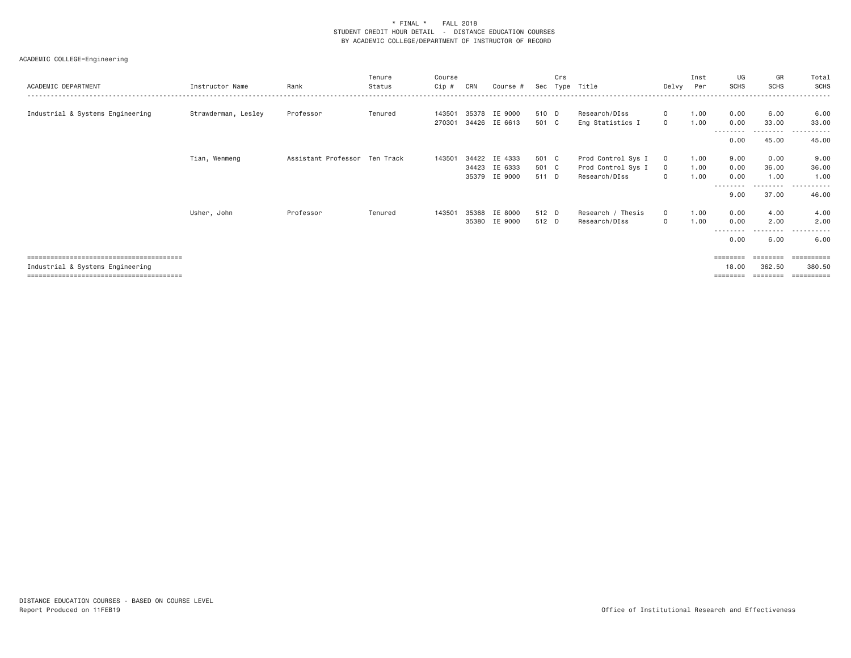| ACADEMIC DEPARTMENT              | Instructor Name     | Rank                          | Tenure<br>Status | Course<br>Cip #  | CRN   | Course #                 | Sec            | Crs<br>Tvpe | Title                                    | Delvy                   | Inst<br>Per  | UG<br><b>SCHS</b>        | GR<br><b>SCHS</b>              | Total<br>SCHS                            |
|----------------------------------|---------------------|-------------------------------|------------------|------------------|-------|--------------------------|----------------|-------------|------------------------------------------|-------------------------|--------------|--------------------------|--------------------------------|------------------------------------------|
| Industrial & Systems Engineering | Strawderman, Lesley | Professor                     | Tenured          | 143501<br>270301 | 35378 | IE 9000<br>34426 IE 6613 | 510 D<br>501 C |             | Research/DIss<br>Eng Statistics I        | $\mathbf{0}$<br>$\circ$ | 1.00<br>1.00 | 0.00<br>0.00             | 6.00<br>33.00                  | 6.00<br>33.00                            |
|                                  |                     |                               |                  |                  |       |                          |                |             |                                          |                         |              | --------<br>0.00         | ---------<br>45.00             | .<br>45.00                               |
|                                  | Tian, Wenmeng       | Assistant Professor Ten Track |                  | 143501           | 34422 | IE 4333<br>34423 IE 6333 | 501 C<br>501 C |             | Prod Control Sys I<br>Prod Control Sys I | $\circ$<br>$\circ$      | 1.00<br>1.00 | 9.00<br>0.00             | 0.00<br>36.00                  | 9.00<br>36.00                            |
|                                  |                     |                               |                  |                  |       | 35379 IE 9000            | 511 D          |             | Research/DIss                            | $\mathbf{0}$            | 1.00         | 0.00<br>--------<br>9.00 | 1.00<br>$\frac{1}{2}$<br>37.00 | 1.00<br>. <u>.</u> .<br>$- - -$<br>46.00 |
|                                  | Usher, John         | Professor                     | Tenured          | 143501           | 35368 | IE 8000<br>35380 IE 9000 | 512 D<br>512 D |             | Research / Thesis<br>Research/DIss       | $\circ$<br>$\mathbf{0}$ | 1.00<br>1.00 | 0.00<br>0.00             | 4.00<br>2.00                   | 4.00<br>2.00                             |
|                                  |                     |                               |                  |                  |       |                          |                |             |                                          |                         |              | - - - - -<br>0.00        | $\cdots$<br>6.00               | 6.00                                     |
|                                  |                     |                               |                  |                  |       |                          |                |             |                                          |                         |              | ========                 | ========                       |                                          |
| Industrial & Systems Engineering |                     |                               |                  |                  |       |                          |                |             |                                          |                         |              | 18.00<br>========        | 362.50<br>---------            | 380.50<br>-----------                    |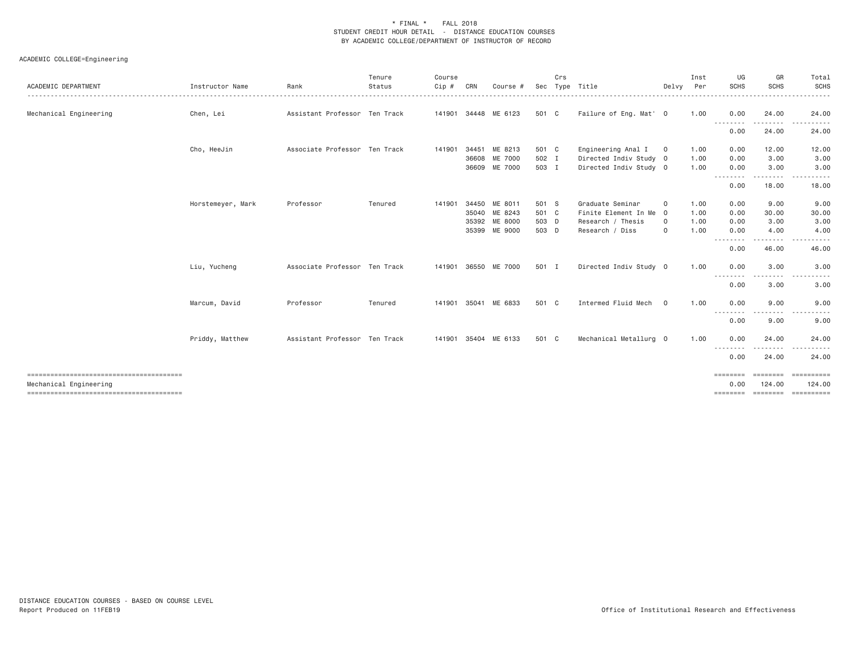| ACADEMIC DEPARTMENT                                              | Instructor Name   | Rank                          | Tenure<br>Status | Course<br>Cip # | CRN | Course #             | Sec   | Crs | Type Title             | Delvy          | Inst<br>Per | UG<br><b>SCHS</b>  | GR<br><b>SCHS</b> | Total<br><b>SCHS</b><br>.       |
|------------------------------------------------------------------|-------------------|-------------------------------|------------------|-----------------|-----|----------------------|-------|-----|------------------------|----------------|-------------|--------------------|-------------------|---------------------------------|
| Mechanical Engineering                                           | Chen, Lei         | Assistant Professor Ten Track |                  |                 |     | 141901 34448 ME 6123 | 501 C |     | Failure of Eng. Mat' 0 |                | 1.00        | 0.00               | 24.00             | 24.00                           |
|                                                                  |                   |                               |                  |                 |     |                      |       |     |                        |                |             | --------<br>0.00   | 24.00             | 24.00                           |
|                                                                  | Cho, HeeJin       | Associate Professor Ten Track |                  | 141901          |     | 34451 ME 8213        | 501 C |     | Engineering Anal I     | $\overline{0}$ | 1.00        | 0.00               | 12.00             | 12.00                           |
|                                                                  |                   |                               |                  |                 |     | 36608 ME 7000        | 502 I |     | Directed Indiv Study 0 |                | 1.00        | 0.00               | 3.00              | 3.00                            |
|                                                                  |                   |                               |                  |                 |     | 36609 ME 7000        | 503 I |     | Directed Indiv Study 0 |                | 1.00        | 0.00<br>.          | 3.00              | 3.00                            |
|                                                                  |                   |                               |                  |                 |     |                      |       |     |                        |                |             | 0.00               | 18.00             | 18.00                           |
|                                                                  | Horstemeyer, Mark | Professor                     | Tenured          | 141901          |     | 34450 ME 8011        | 501 S |     | Graduate Seminar       | $\circ$        | 1.00        | 0.00               | 9.00              | 9.00                            |
|                                                                  |                   |                               |                  |                 |     | 35040 ME 8243        | 501 C |     | Finite Element In Me 0 |                | 1.00        | 0.00               | 30.00             | 30.00                           |
|                                                                  |                   |                               |                  |                 |     | 35392 ME 8000        | 503 D |     | Research / Thesis      | 0              | 1.00        | 0.00               | 3.00              | 3.00                            |
|                                                                  |                   |                               |                  |                 |     | 35399 ME 9000        | 503 D |     | Research / Diss        | $\mathbf 0$    | 1.00        | 0.00               | 4.00              | 4.00                            |
|                                                                  |                   |                               |                  |                 |     |                      |       |     |                        |                |             | . <u>.</u><br>0.00 | 46.00             | 46.00                           |
|                                                                  | Liu, Yucheng      | Associate Professor Ten Track |                  |                 |     | 141901 36550 ME 7000 | 501 I |     | Directed Indiv Study 0 |                | 1.00        | 0.00               | 3.00              | 3.00                            |
|                                                                  |                   |                               |                  |                 |     |                      |       |     |                        |                |             | . <b>.</b><br>0.00 | 3.00              | $- - -$<br>. <u>.</u> .<br>3.00 |
|                                                                  | Marcum, David     | Professor                     | Tenured          | 141901          |     | 35041 ME 6833        | 501 C |     | Intermed Fluid Mech    | $\overline{0}$ | 1.00        | 0.00<br>---------  | 9.00<br>-----     | 9.00<br>. <b>.</b> .            |
|                                                                  |                   |                               |                  |                 |     |                      |       |     |                        |                |             | 0.00               | 9.00              | 9.00                            |
|                                                                  | Priddy, Matthew   | Assistant Professor Ten Track |                  | 141901          |     | 35404 ME 6133        | 501 C |     | Mechanical Metallurg 0 |                | 1.00        | 0.00               | 24.00             | 24.00                           |
|                                                                  |                   |                               |                  |                 |     |                      |       |     |                        |                |             | --------<br>0.00   | 24.00             | 24.00                           |
|                                                                  |                   |                               |                  |                 |     |                      |       |     |                        |                |             | ========           | <b>EEEEEEE</b>    | ==========                      |
| Mechanical Engineering<br>-------------------------------------- |                   |                               |                  |                 |     |                      |       |     |                        |                |             | 0.00<br>========   | 124,00            | 124,00<br>======== =========    |
|                                                                  |                   |                               |                  |                 |     |                      |       |     |                        |                |             |                    |                   |                                 |